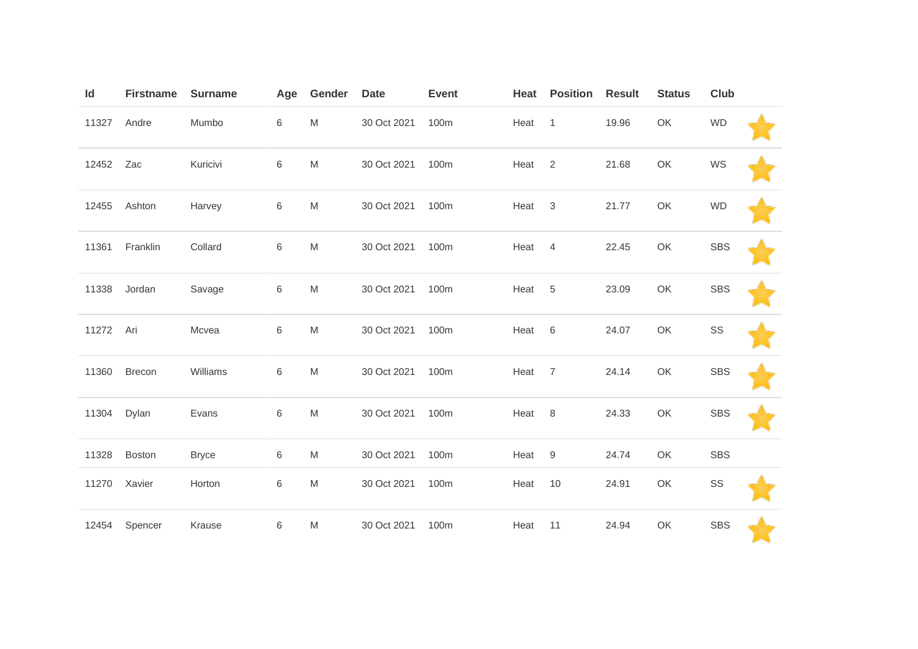| Id        | <b>Firstname</b> | <b>Surname</b> | Age   | Gender    | <b>Date</b> | <b>Event</b> | Heat   | <b>Position</b> | <b>Result</b> | <b>Status</b> | <b>Club</b> |  |
|-----------|------------------|----------------|-------|-----------|-------------|--------------|--------|-----------------|---------------|---------------|-------------|--|
| 11327     | Andre            | Mumbo          | 6     | ${\sf M}$ | 30 Oct 2021 | 100m         | Heat 1 |                 | 19.96         | OK            | <b>WD</b>   |  |
| 12452     | Zac              | Kuricivi       | 6     | M         | 30 Oct 2021 | 100m         | Heat   | 2               | 21.68         | OK            | WS          |  |
| 12455     | Ashton           | Harvey         | 6     | M         | 30 Oct 2021 | 100m         | Heat   | 3               | 21.77         | OK            | <b>WD</b>   |  |
| 11361     | Franklin         | Collard        | 6     | M         | 30 Oct 2021 | 100m         | Heat   | $\overline{4}$  | 22.45         | OK            | <b>SBS</b>  |  |
| 11338     | Jordan           | Savage         | 6     | M         | 30 Oct 2021 | 100m         | Heat   | $-5$            | 23.09         | OK            | <b>SBS</b>  |  |
| 11272 Ari |                  | Mcvea          | 6     | M         | 30 Oct 2021 | 100m         | Heat 6 |                 | 24.07         | OK            | SS          |  |
| 11360     | <b>Brecon</b>    | Williams       | 6     | M         | 30 Oct 2021 | 100m         | Heat 7 |                 | 24.14         | OK            | <b>SBS</b>  |  |
| 11304     | Dylan            | Evans          | 6     | M         | 30 Oct 2021 | 100m         | Heat 8 |                 | 24.33         | OK            | <b>SBS</b>  |  |
| 11328     | <b>Boston</b>    | <b>Bryce</b>   | 6     | M         | 30 Oct 2021 | 100m         | Heat   | 9               | 24.74         | OK            | <b>SBS</b>  |  |
| 11270     | Xavier           | Horton         | 6     | M         | 30 Oct 2021 | 100m         | Heat   | 10              | 24.91         | OK            | SS          |  |
| 12454     | Spencer          | Krause         | $\,6$ | ${\sf M}$ | 30 Oct 2021 | 100m         | Heat   | 11              | 24.94         | OK            | <b>SBS</b>  |  |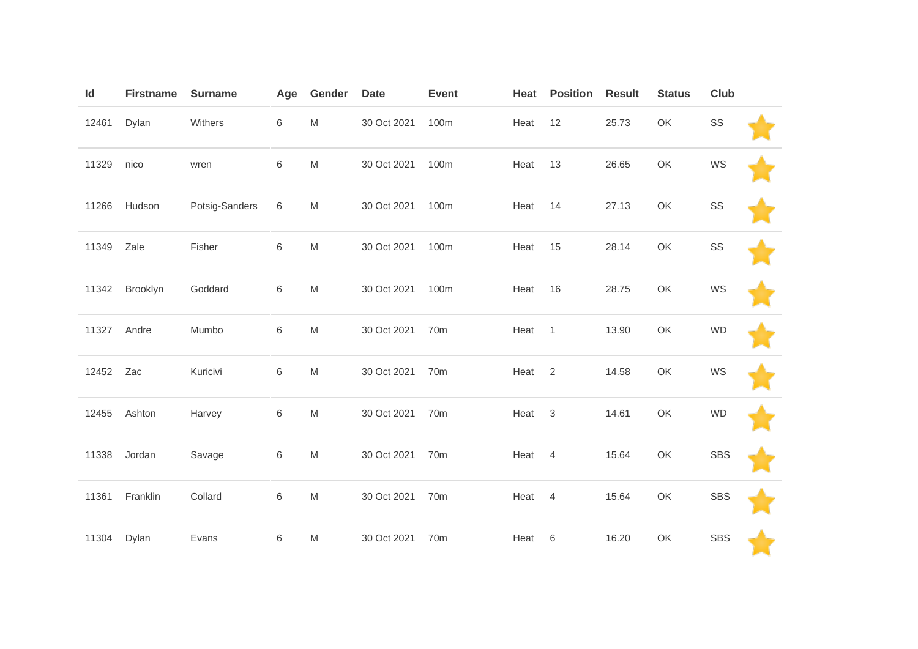| Id    | <b>Firstname</b> | <b>Surname</b> | Age     | Gender                                                                                | <b>Date</b> | <b>Event</b>    | Heat   | <b>Position</b> | <b>Result</b> | <b>Status</b> | Club       |  |
|-------|------------------|----------------|---------|---------------------------------------------------------------------------------------|-------------|-----------------|--------|-----------------|---------------|---------------|------------|--|
| 12461 | Dylan            | Withers        | 6       | M                                                                                     | 30 Oct 2021 | 100m            | Heat   | 12              | 25.73         | OK            | SS         |  |
| 11329 | nico             | wren           | 6       | ${\sf M}$                                                                             | 30 Oct 2021 | 100m            | Heat   | 13              | 26.65         | OK            | WS         |  |
| 11266 | Hudson           | Potsig-Sanders | 6       | ${\sf M}$                                                                             | 30 Oct 2021 | 100m            | Heat   | 14              | 27.13         | OK            | SS         |  |
| 11349 | Zale             | Fisher         | 6       | ${\sf M}$                                                                             | 30 Oct 2021 | 100m            | Heat   | 15              | 28.14         | OK            | SS         |  |
| 11342 | Brooklyn         | Goddard        | 6       | $\mathsf{M}% _{T}=\mathsf{M}_{T}\!\left( a,b\right) ,\ \mathsf{M}_{T}=\mathsf{M}_{T}$ | 30 Oct 2021 | 100m            | Heat   | 16              | 28.75         | OK            | WS         |  |
| 11327 | Andre            | Mumbo          | 6       | $\mathsf{M}% _{T}=\mathsf{M}_{T}\!\left( a,b\right) ,\ \mathsf{M}_{T}=\mathsf{M}_{T}$ | 30 Oct 2021 | 70 <sub>m</sub> | Heat   | $\overline{1}$  | 13.90         | OK            | <b>WD</b>  |  |
| 12452 | Zac              | Kuricivi       | 6       | $\mathsf{M}% _{T}=\mathsf{M}_{T}\!\left( a,b\right) ,\ \mathsf{M}_{T}=\mathsf{M}_{T}$ | 30 Oct 2021 | 70m             | Heat   | $\overline{2}$  | 14.58         | OK            | WS         |  |
| 12455 | Ashton           | Harvey         | $\,6\,$ | ${\sf M}$                                                                             | 30 Oct 2021 | 70 <sub>m</sub> | Heat   | $\mathsf 3$     | 14.61         | OK            | <b>WD</b>  |  |
| 11338 | Jordan           | Savage         | $\,6\,$ | M                                                                                     | 30 Oct 2021 | 70m             | Heat   | $\overline{4}$  | 15.64         | OK            | <b>SBS</b> |  |
| 11361 | Franklin         | Collard        | 6       | $\mathsf{M}% _{T}=\mathsf{M}_{T}\!\left( a,b\right) ,\ \mathsf{M}_{T}=\mathsf{M}_{T}$ | 30 Oct 2021 | 70m             | Heat 4 |                 | 15.64         | OK            | <b>SBS</b> |  |
| 11304 | Dylan            | Evans          | 6       | M                                                                                     | 30 Oct 2021 | 70 <sub>m</sub> | Heat   | 6               | 16.20         | OK            | <b>SBS</b> |  |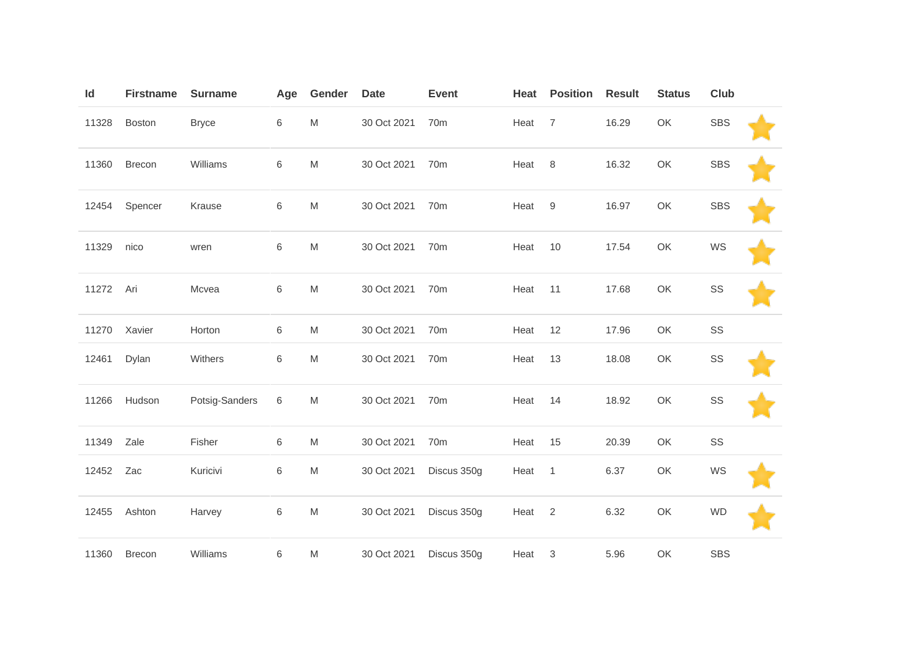| Id    | <b>Firstname</b> | <b>Surname</b> | Age | Gender                                                                                                     | <b>Date</b> | <b>Event</b>    | Heat              | <b>Position</b> | <b>Result</b> | <b>Status</b> | <b>Club</b> |  |
|-------|------------------|----------------|-----|------------------------------------------------------------------------------------------------------------|-------------|-----------------|-------------------|-----------------|---------------|---------------|-------------|--|
| 11328 | Boston           | <b>Bryce</b>   | 6   | $\mathsf{M}% _{T}=\mathsf{M}_{T}\!\left( a,b\right) ,\ \mathsf{M}_{T}=\mathsf{M}_{T}\!\left( a,b\right) ,$ | 30 Oct 2021 | 70 <sub>m</sub> | Heat              | $\overline{7}$  | 16.29         | OK            | <b>SBS</b>  |  |
| 11360 | Brecon           | Williams       | 6   | $\mathsf{M}% _{T}=\mathsf{M}_{T}\!\left( a,b\right) ,\ \mathsf{M}_{T}=\mathsf{M}_{T}\!\left( a,b\right) ,$ | 30 Oct 2021 | 70m             | Heat              | 8               | 16.32         | OK            | <b>SBS</b>  |  |
| 12454 | Spencer          | Krause         | 6   | $\mathsf{M}% _{T}=\mathsf{M}_{T}\!\left( a,b\right) ,\ \mathsf{M}_{T}=\mathsf{M}_{T}\!\left( a,b\right) ,$ | 30 Oct 2021 | 70 <sub>m</sub> | Heat              | 9               | 16.97         | OK            | <b>SBS</b>  |  |
| 11329 | nico             | wren           | 6   | M                                                                                                          | 30 Oct 2021 | 70 <sub>m</sub> | Heat              | 10              | 17.54         | OK            | WS          |  |
| 11272 | Ari              | Mcvea          | 6   | $\mathsf{M}% _{T}=\mathsf{M}_{T}\!\left( a,b\right) ,\ \mathsf{M}_{T}=\mathsf{M}_{T}\!\left( a,b\right) ,$ | 30 Oct 2021 | 70 <sub>m</sub> | Heat              | 11              | 17.68         | OK            | SS          |  |
| 11270 | Xavier           | Horton         | 6   | M                                                                                                          | 30 Oct 2021 | 70 <sub>m</sub> | Heat              | 12              | 17.96         | OK            | SS          |  |
| 12461 | Dylan            | Withers        | 6   | $\mathsf{M}% _{T}=\mathsf{M}_{T}\!\left( a,b\right) ,\ \mathsf{M}_{T}=\mathsf{M}_{T}\!\left( a,b\right) ,$ | 30 Oct 2021 | 70 <sub>m</sub> | Heat              | 13              | 18.08         | OK            | SS          |  |
| 11266 | Hudson           | Potsig-Sanders | 6   | M                                                                                                          | 30 Oct 2021 | 70 <sub>m</sub> | Heat              | 14              | 18.92         | OK            | SS          |  |
| 11349 | Zale             | Fisher         | 6   | M                                                                                                          | 30 Oct 2021 | 70 <sub>m</sub> | Heat              | 15              | 20.39         | OK            | SS          |  |
| 12452 | Zac              | Kuricivi       | 6   | $\mathsf{M}% _{T}=\mathsf{M}_{T}\!\left( a,b\right) ,\ \mathsf{M}_{T}=\mathsf{M}_{T}\!\left( a,b\right) ,$ | 30 Oct 2021 | Discus 350g     | Heat              | $\mathbf{1}$    | 6.37          | OK            | WS          |  |
| 12455 | Ashton           | Harvey         | 6   | ${\sf M}$                                                                                                  | 30 Oct 2021 | Discus 350g     | Heat <sub>2</sub> |                 | 6.32          | OK            | <b>WD</b>   |  |
| 11360 | Brecon           | Williams       | 6   | M                                                                                                          | 30 Oct 2021 | Discus 350g     | Heat              | $\mathbf{3}$    | 5.96          | OK            | <b>SBS</b>  |  |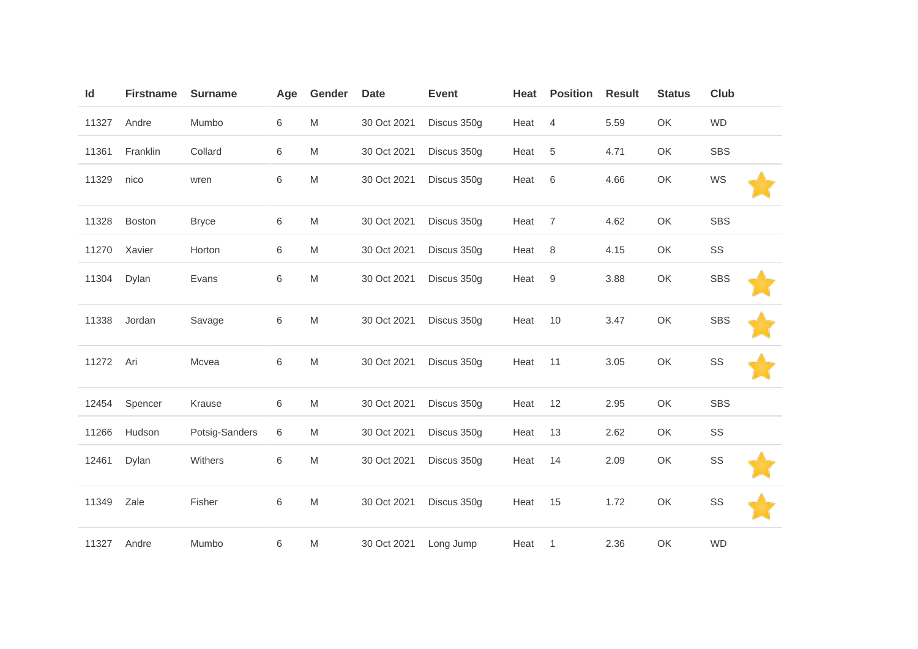| Id    | <b>Firstname</b> | <b>Surname</b> | Age | Gender                                                                                | <b>Date</b> | <b>Event</b> | Heat | <b>Position</b> | <b>Result</b> | <b>Status</b> | Club       |  |
|-------|------------------|----------------|-----|---------------------------------------------------------------------------------------|-------------|--------------|------|-----------------|---------------|---------------|------------|--|
| 11327 | Andre            | Mumbo          | 6   | M                                                                                     | 30 Oct 2021 | Discus 350g  | Heat | $\overline{4}$  | 5.59          | OK            | <b>WD</b>  |  |
| 11361 | Franklin         | Collard        | 6   | M                                                                                     | 30 Oct 2021 | Discus 350g  | Heat | $\,$ 5 $\,$     | 4.71          | OK            | <b>SBS</b> |  |
| 11329 | nico             | wren           | 6   | M                                                                                     | 30 Oct 2021 | Discus 350g  | Heat | 6               | 4.66          | OK            | WS         |  |
| 11328 | Boston           | <b>Bryce</b>   | 6   | M                                                                                     | 30 Oct 2021 | Discus 350g  | Heat | $\overline{7}$  | 4.62          | OK            | SBS        |  |
| 11270 | Xavier           | Horton         | 6   | M                                                                                     | 30 Oct 2021 | Discus 350g  | Heat | 8               | 4.15          | OK            | SS         |  |
| 11304 | Dylan            | Evans          | 6   | M                                                                                     | 30 Oct 2021 | Discus 350g  | Heat | $9\,$           | 3.88          | OK            | <b>SBS</b> |  |
| 11338 | Jordan           | Savage         | 6   | M                                                                                     | 30 Oct 2021 | Discus 350g  | Heat | 10              | 3.47          | OK            | <b>SBS</b> |  |
| 11272 | Ari              | Mcvea          | 6   | $\mathsf{M}% _{T}=\mathsf{M}_{T}\!\left( a,b\right) ,\ \mathsf{M}_{T}=\mathsf{M}_{T}$ | 30 Oct 2021 | Discus 350g  | Heat | 11              | 3.05          | OK            | SS         |  |
| 12454 | Spencer          | Krause         | 6   | $\mathsf{M}% _{T}=\mathsf{M}_{T}\!\left( a,b\right) ,\ \mathsf{M}_{T}=\mathsf{M}_{T}$ | 30 Oct 2021 | Discus 350g  | Heat | 12              | 2.95          | OK            | <b>SBS</b> |  |
| 11266 | Hudson           | Potsig-Sanders | 6   | M                                                                                     | 30 Oct 2021 | Discus 350g  | Heat | 13              | 2.62          | OK            | SS         |  |
| 12461 | Dylan            | Withers        | 6   | M                                                                                     | 30 Oct 2021 | Discus 350g  | Heat | 14              | 2.09          | OK            | SS         |  |
| 11349 | Zale             | Fisher         | 6   | M                                                                                     | 30 Oct 2021 | Discus 350g  | Heat | 15              | 1.72          | OK            | SS         |  |
| 11327 | Andre            | Mumbo          | 6   | M                                                                                     | 30 Oct 2021 | Long Jump    | Heat | $\mathbf{1}$    | 2.36          | OK            | <b>WD</b>  |  |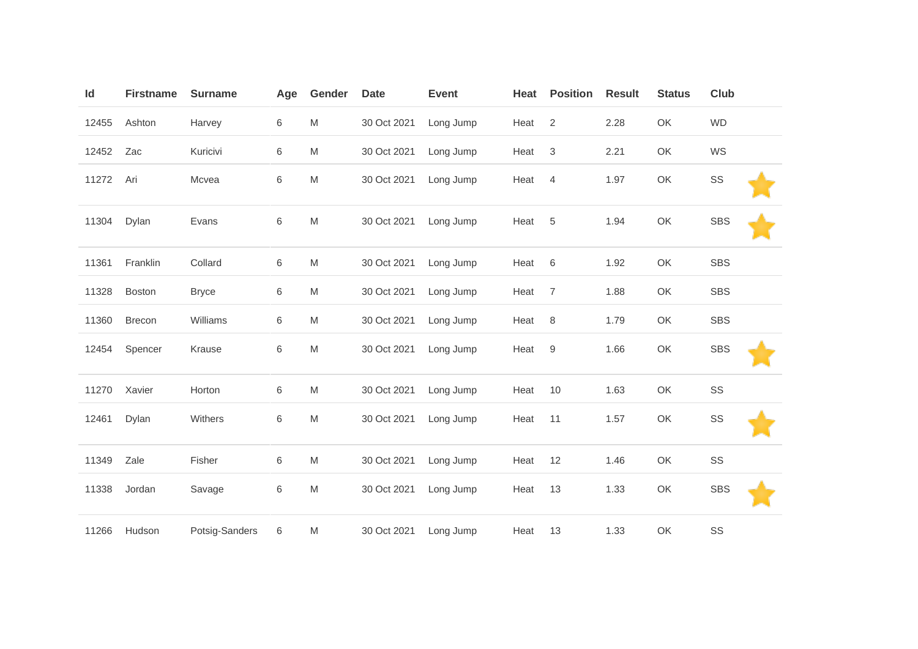| Id    | <b>Firstname</b> | <b>Surname</b> | Age   | Gender                                                                                                     | <b>Date</b> | <b>Event</b> | Heat | <b>Position</b> | <b>Result</b> | <b>Status</b> | Club       |  |
|-------|------------------|----------------|-------|------------------------------------------------------------------------------------------------------------|-------------|--------------|------|-----------------|---------------|---------------|------------|--|
| 12455 | Ashton           | Harvey         | 6     | M                                                                                                          | 30 Oct 2021 | Long Jump    | Heat | $\overline{2}$  | 2.28          | OK            | <b>WD</b>  |  |
| 12452 | Zac              | Kuricivi       | 6     | $\mathsf{M}% _{T}=\mathsf{M}_{T}\!\left( a,b\right) ,\ \mathsf{M}_{T}=\mathsf{M}_{T}\!\left( a,b\right) ,$ | 30 Oct 2021 | Long Jump    | Heat | $\sqrt{3}$      | 2.21          | OK            | WS         |  |
| 11272 | Ari              | Mcvea          | 6     | M                                                                                                          | 30 Oct 2021 | Long Jump    | Heat | $\overline{4}$  | 1.97          | OK            | SS         |  |
| 11304 | Dylan            | Evans          | $\,6$ | $\mathsf{M}% _{T}=\mathsf{M}_{T}\!\left( a,b\right) ,\ \mathsf{M}_{T}=\mathsf{M}_{T}\!\left( a,b\right) ,$ | 30 Oct 2021 | Long Jump    | Heat | 5               | 1.94          | OK            | <b>SBS</b> |  |
| 11361 | Franklin         | Collard        | 6     | $\mathsf{M}% _{T}=\mathsf{M}_{T}\!\left( a,b\right) ,\ \mathsf{M}_{T}=\mathsf{M}_{T}\!\left( a,b\right) ,$ | 30 Oct 2021 | Long Jump    | Heat | 6               | 1.92          | OK            | <b>SBS</b> |  |
| 11328 | Boston           | <b>Bryce</b>   | 6     | M                                                                                                          | 30 Oct 2021 | Long Jump    | Heat | $\overline{7}$  | 1.88          | OK            | <b>SBS</b> |  |
| 11360 | Brecon           | Williams       | 6     | M                                                                                                          | 30 Oct 2021 | Long Jump    | Heat | 8               | 1.79          | OK            | <b>SBS</b> |  |
| 12454 | Spencer          | Krause         | 6     | M                                                                                                          | 30 Oct 2021 | Long Jump    | Heat | 9               | 1.66          | OK            | <b>SBS</b> |  |
| 11270 | Xavier           | Horton         | 6     | M                                                                                                          | 30 Oct 2021 | Long Jump    | Heat | 10              | 1.63          | OK            | SS         |  |
| 12461 | Dylan            | Withers        | 6     | M                                                                                                          | 30 Oct 2021 | Long Jump    | Heat | 11              | 1.57          | OK            | SS         |  |
| 11349 | Zale             | Fisher         | 6     | M                                                                                                          | 30 Oct 2021 | Long Jump    | Heat | 12              | 1.46          | OK            | SS         |  |
| 11338 | Jordan           | Savage         | 6     | $\mathsf{M}% _{T}=\mathsf{M}_{T}\!\left( a,b\right) ,\ \mathsf{M}_{T}=\mathsf{M}_{T}\!\left( a,b\right) ,$ | 30 Oct 2021 | Long Jump    | Heat | 13              | 1.33          | OK            | <b>SBS</b> |  |
| 11266 | Hudson           | Potsig-Sanders | 6     | M                                                                                                          | 30 Oct 2021 | Long Jump    | Heat | 13              | 1.33          | OK            | SS         |  |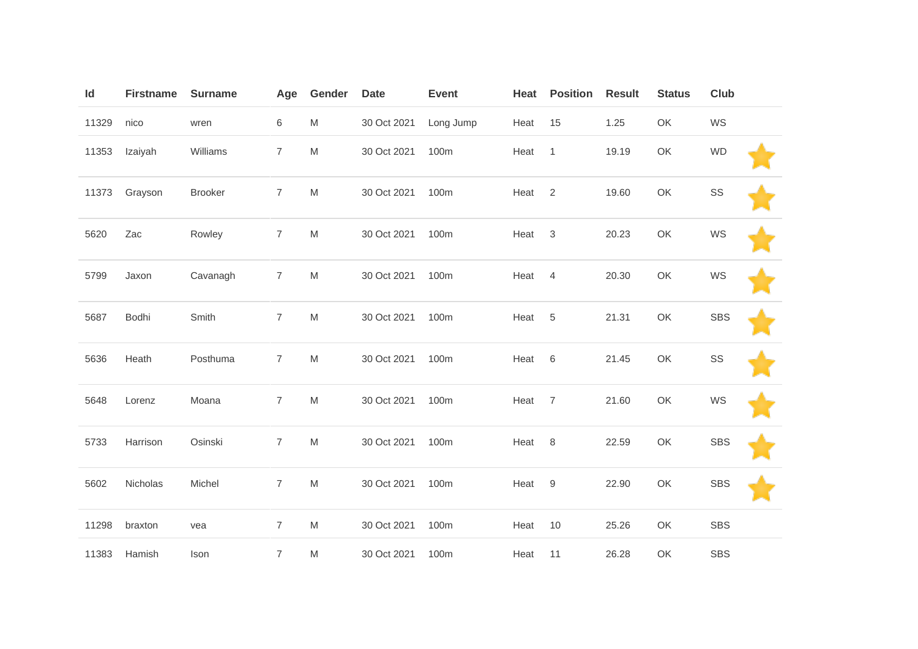| Id    | <b>Firstname</b> | <b>Surname</b> | Age              | Gender                                                                                                     | <b>Date</b> | <b>Event</b> | Heat   | <b>Position</b> | <b>Result</b> | <b>Status</b> | Club       |  |
|-------|------------------|----------------|------------------|------------------------------------------------------------------------------------------------------------|-------------|--------------|--------|-----------------|---------------|---------------|------------|--|
| 11329 | nico             | wren           | 6                | ${\sf M}$                                                                                                  | 30 Oct 2021 | Long Jump    | Heat   | 15              | 1.25          | OK            | WS         |  |
| 11353 | Izaiyah          | Williams       | $\overline{7}$   | $\mathsf{M}% _{T}=\mathsf{M}_{T}\!\left( a,b\right) ,\ \mathsf{M}_{T}=\mathsf{M}_{T}\!\left( a,b\right) ,$ | 30 Oct 2021 | 100m         | Heat   | $\mathbf{1}$    | 19.19         | OK            | <b>WD</b>  |  |
| 11373 | Grayson          | <b>Brooker</b> | $\overline{7}$   | $\mathsf{M}% _{T}=\mathsf{M}_{T}\!\left( a,b\right) ,\ \mathsf{M}_{T}=\mathsf{M}_{T}\!\left( a,b\right) ,$ | 30 Oct 2021 | 100m         | Heat   | 2               | 19.60         | OK            | SS         |  |
| 5620  | Zac              | Rowley         | $\overline{7}$   | $\mathsf{M}% _{T}=\mathsf{M}_{T}\!\left( a,b\right) ,\ \mathsf{M}_{T}=\mathsf{M}_{T}\!\left( a,b\right) ,$ | 30 Oct 2021 | 100m         | Heat   | $\mathbf{3}$    | 20.23         | OK            | WS         |  |
| 5799  | Jaxon            | Cavanagh       | $\overline{7}$   | $\mathsf{M}% _{T}=\mathsf{M}_{T}\!\left( a,b\right) ,\ \mathsf{M}_{T}=\mathsf{M}_{T}\!\left( a,b\right) ,$ | 30 Oct 2021 | 100m         | Heat   | $\overline{4}$  | 20.30         | OK            | WS         |  |
| 5687  | Bodhi            | Smith          | $\overline{7}$   | $\mathsf{M}% _{T}=\mathsf{M}_{T}\!\left( a,b\right) ,\ \mathsf{M}_{T}=\mathsf{M}_{T}\!\left( a,b\right) ,$ | 30 Oct 2021 | 100m         | Heat   | 5               | 21.31         | OK            | <b>SBS</b> |  |
| 5636  | Heath            | Posthuma       | $\overline{7}$   | $\mathsf{M}% _{T}=\mathsf{M}_{T}\!\left( a,b\right) ,\ \mathsf{M}_{T}=\mathsf{M}_{T}\!\left( a,b\right) ,$ | 30 Oct 2021 | 100m         | Heat   | 6               | 21.45         | OK            | SS         |  |
| 5648  | Lorenz           | Moana          | $\overline{7}$   | $\mathsf{M}% _{T}=\mathsf{M}_{T}\!\left( a,b\right) ,\ \mathsf{M}_{T}=\mathsf{M}_{T}\!\left( a,b\right) ,$ | 30 Oct 2021 | 100m         | Heat 7 |                 | 21.60         | OK            | WS         |  |
| 5733  | Harrison         | Osinski        | $\overline{7}$   | $\mathsf{M}% _{H}=\mathsf{M}_{H}$                                                                          | 30 Oct 2021 | 100m         | Heat   | 8               | 22.59         | OK            | <b>SBS</b> |  |
| 5602  | Nicholas         | Michel         | $\overline{7}$   | $\mathsf{M}% _{H}=\mathsf{M}_{H}$                                                                          | 30 Oct 2021 | 100m         | Heat   | 9               | 22.90         | OK            | <b>SBS</b> |  |
| 11298 | braxton          | vea            | $\overline{7}$   | M                                                                                                          | 30 Oct 2021 | 100m         | Heat   | 10              | 25.26         | OK            | SBS        |  |
| 11383 | Hamish           | Ison           | $\boldsymbol{7}$ | $\mathsf{M}% _{T}=\mathsf{M}_{T}\!\left( a,b\right) ,\ \mathsf{M}_{T}=\mathsf{M}_{T}\!\left( a,b\right) ,$ | 30 Oct 2021 | 100m         | Heat   | 11              | 26.28         | OK            | <b>SBS</b> |  |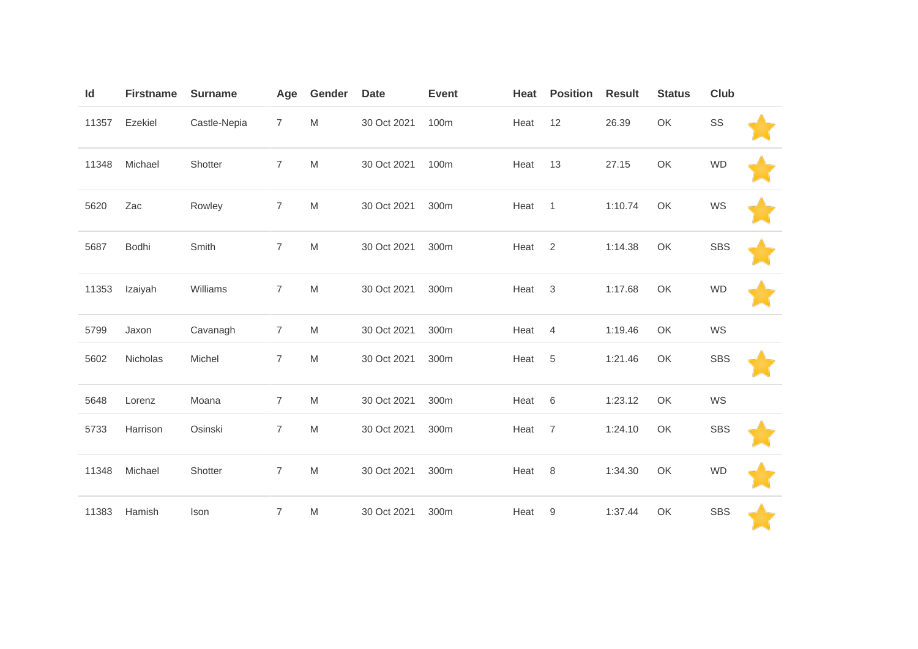| Id    | <b>Firstname</b> | <b>Surname</b> | Age            | Gender                                                                                                     | <b>Date</b> | <b>Event</b> | Heat | <b>Position</b> | <b>Result</b> | <b>Status</b> | Club       |  |
|-------|------------------|----------------|----------------|------------------------------------------------------------------------------------------------------------|-------------|--------------|------|-----------------|---------------|---------------|------------|--|
| 11357 | Ezekiel          | Castle-Nepia   | $\overline{7}$ | ${\sf M}$                                                                                                  | 30 Oct 2021 | 100m         | Heat | 12              | 26.39         | OK            | SS         |  |
| 11348 | Michael          | Shotter        | $\overline{7}$ | M                                                                                                          | 30 Oct 2021 | 100m         | Heat | 13              | 27.15         | OK            | <b>WD</b>  |  |
| 5620  | Zac              | Rowley         | $\overline{7}$ | M                                                                                                          | 30 Oct 2021 | 300m         | Heat | $\overline{1}$  | 1:10.74       | OK            | WS         |  |
| 5687  | Bodhi            | Smith          | $\overline{7}$ | M                                                                                                          | 30 Oct 2021 | 300m         | Heat | 2               | 1:14.38       | OK            | <b>SBS</b> |  |
| 11353 | Izaiyah          | Williams       | 7              | M                                                                                                          | 30 Oct 2021 | 300m         | Heat | $\mathbf{3}$    | 1:17.68       | OK            | <b>WD</b>  |  |
| 5799  | Jaxon            | Cavanagh       | $\overline{7}$ | M                                                                                                          | 30 Oct 2021 | 300m         | Heat | 4               | 1:19.46       | OK            | WS         |  |
| 5602  | Nicholas         | Michel         | $\overline{7}$ | M                                                                                                          | 30 Oct 2021 | 300m         | Heat | 5               | 1:21.46       | OK            | <b>SBS</b> |  |
| 5648  | Lorenz           | Moana          | $\overline{7}$ | M                                                                                                          | 30 Oct 2021 | 300m         | Heat | 6               | 1:23.12       | OK            | WS         |  |
| 5733  | Harrison         | Osinski        | 7              | $\mathsf{M}% _{T}=\mathsf{M}_{T}\!\left( a,b\right) ,\ \mathsf{M}_{T}=\mathsf{M}_{T}\!\left( a,b\right) ,$ | 30 Oct 2021 | 300m         | Heat | $\overline{7}$  | 1:24.10       | OK            | <b>SBS</b> |  |
| 11348 | Michael          | Shotter        | $\overline{7}$ | $\mathsf{M}% _{T}=\mathsf{M}_{T}\!\left( a,b\right) ,\ \mathsf{M}_{T}=\mathsf{M}_{T}\!\left( a,b\right) ,$ | 30 Oct 2021 | 300m         | Heat | 8               | 1:34.30       | OK            | <b>WD</b>  |  |
| 11383 | Hamish           | Ison           | $\overline{7}$ | $\mathsf{M}% _{T}=\mathsf{M}_{T}\!\left( a,b\right) ,\ \mathsf{M}_{T}=\mathsf{M}_{T}\!\left( a,b\right) ,$ | 30 Oct 2021 | 300m         | Heat | 9               | 1:37.44       | OK            | <b>SBS</b> |  |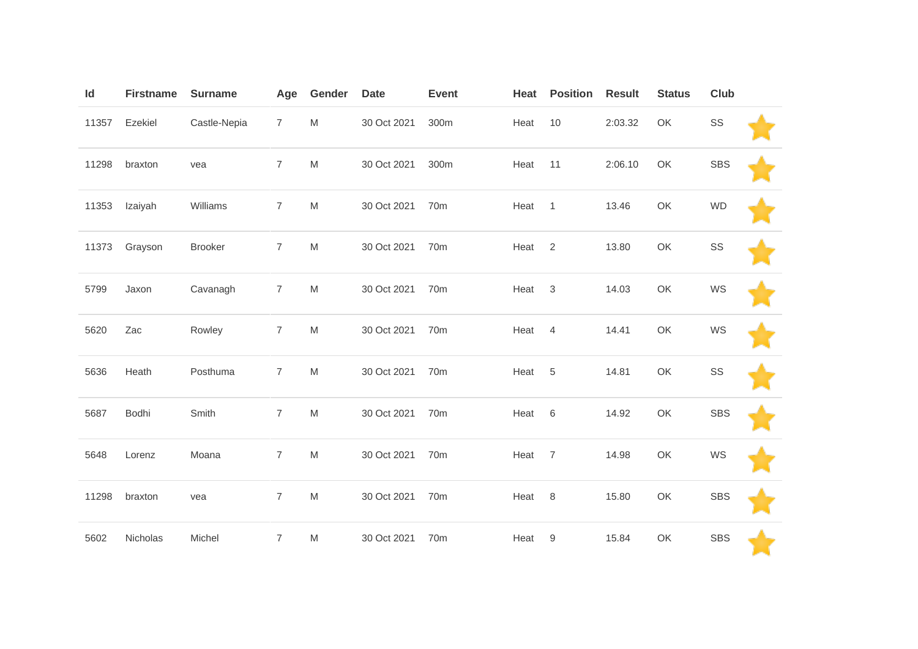| Id    | <b>Firstname</b> | <b>Surname</b> | Age            | Gender                                                                                                     | <b>Date</b> | <b>Event</b>    | Heat | <b>Position</b> | <b>Result</b> | <b>Status</b> | Club       |  |
|-------|------------------|----------------|----------------|------------------------------------------------------------------------------------------------------------|-------------|-----------------|------|-----------------|---------------|---------------|------------|--|
| 11357 | Ezekiel          | Castle-Nepia   | $\overline{7}$ | $\mathsf{M}% _{T}=\mathsf{M}_{T}\!\left( a,b\right) ,\ \mathsf{M}_{T}=\mathsf{M}_{T}\!\left( a,b\right) ,$ | 30 Oct 2021 | 300m            | Heat | 10              | 2:03.32       | OK            | SS         |  |
| 11298 | braxton          | vea            | $\overline{7}$ | $\mathsf{M}% _{T}=\mathsf{M}_{T}\!\left( a,b\right) ,\ \mathsf{M}_{T}=\mathsf{M}_{T}\!\left( a,b\right) ,$ | 30 Oct 2021 | 300m            | Heat | 11              | 2:06.10       | OK            | <b>SBS</b> |  |
| 11353 | Izaiyah          | Williams       | $\overline{7}$ | ${\sf M}$                                                                                                  | 30 Oct 2021 | 70 <sub>m</sub> | Heat | $\mathbf{1}$    | 13.46         | OK            | <b>WD</b>  |  |
| 11373 | Grayson          | Brooker        | $\overline{7}$ | ${\sf M}$                                                                                                  | 30 Oct 2021 | 70m             | Heat | $\overline{2}$  | 13.80         | OK            | SS         |  |
| 5799  | Jaxon            | Cavanagh       | $\overline{7}$ | ${\sf M}$                                                                                                  | 30 Oct 2021 | 70m             | Heat | $\sqrt{3}$      | 14.03         | OK            | WS         |  |
| 5620  | Zac              | Rowley         | $\overline{7}$ | $\mathsf{M}% _{T}=\mathsf{M}_{T}\!\left( a,b\right) ,\ \mathsf{M}_{T}=\mathsf{M}_{T}\!\left( a,b\right) ,$ | 30 Oct 2021 | 70m             | Heat | $\overline{4}$  | 14.41         | OK            | WS         |  |
| 5636  | Heath            | Posthuma       | $\overline{7}$ | ${\sf M}$                                                                                                  | 30 Oct 2021 | 70 <sub>m</sub> | Heat | $\,$ 5 $\,$     | 14.81         | OK            | SS         |  |
| 5687  | Bodhi            | Smith          | $\overline{7}$ | $\mathsf{M}% _{T}=\mathsf{M}_{T}\!\left( a,b\right) ,\ \mathsf{M}_{T}=\mathsf{M}_{T}\!\left( a,b\right) ,$ | 30 Oct 2021 | 70 <sub>m</sub> | Heat | 6               | 14.92         | OK            | <b>SBS</b> |  |
| 5648  | Lorenz           | Moana          | $\overline{7}$ | ${\sf M}$                                                                                                  | 30 Oct 2021 | 70m             | Heat | $\overline{7}$  | 14.98         | OK            | WS         |  |
| 11298 | braxton          | vea            | $\overline{7}$ | $\mathsf{M}% _{T}=\mathsf{M}_{T}\!\left( a,b\right) ,\ \mathsf{M}_{T}=\mathsf{M}_{T}\!\left( a,b\right) ,$ | 30 Oct 2021 | 70m             | Heat | 8               | 15.80         | OK            | <b>SBS</b> |  |
| 5602  | Nicholas         | Michel         | $\overline{7}$ | M                                                                                                          | 30 Oct 2021 | 70 <sub>m</sub> | Heat | 9               | 15.84         | OK            | <b>SBS</b> |  |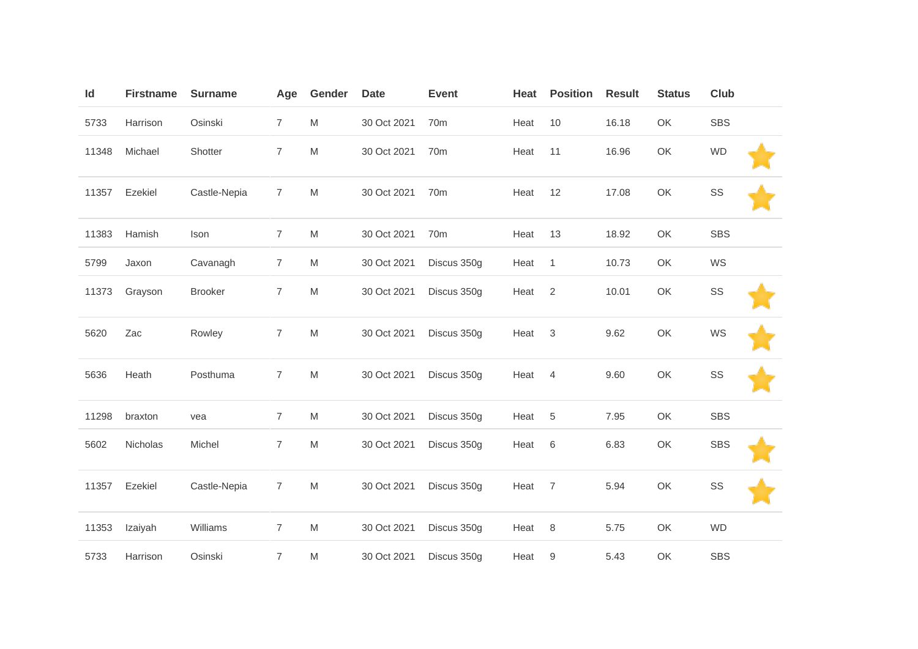| Id    | <b>Firstname</b> | <b>Surname</b> | Age            | Gender                                                                                                     | <b>Date</b> | <b>Event</b>    | Heat | <b>Position</b> | <b>Result</b> | <b>Status</b> | Club          |  |
|-------|------------------|----------------|----------------|------------------------------------------------------------------------------------------------------------|-------------|-----------------|------|-----------------|---------------|---------------|---------------|--|
| 5733  | Harrison         | Osinski        | $\overline{7}$ | $\mathsf{M}% _{T}=\mathsf{M}_{T}\!\left( a,b\right) ,\ \mathsf{M}_{T}=\mathsf{M}_{T}\!\left( a,b\right) ,$ | 30 Oct 2021 | 70 <sub>m</sub> | Heat | 10              | 16.18         | OK            | <b>SBS</b>    |  |
| 11348 | Michael          | Shotter        | $\overline{7}$ | M                                                                                                          | 30 Oct 2021 | 70 <sub>m</sub> | Heat | 11              | 16.96         | OK            | <b>WD</b>     |  |
| 11357 | Ezekiel          | Castle-Nepia   | $\overline{7}$ | $\mathsf{M}% _{H}=\mathsf{M}_{H}$                                                                          | 30 Oct 2021 | 70 <sub>m</sub> | Heat | 12              | 17.08         | OK            | SS            |  |
| 11383 | Hamish           | Ison           | $\overline{7}$ | $\mathsf{M}% _{T}=\mathsf{M}_{T}\!\left( a,b\right) ,\ \mathsf{M}_{T}=\mathsf{M}_{T}\!\left( a,b\right) ,$ | 30 Oct 2021 | 70 <sub>m</sub> | Heat | 13              | 18.92         | OK            | <b>SBS</b>    |  |
| 5799  | Jaxon            | Cavanagh       | $\overline{7}$ | M                                                                                                          | 30 Oct 2021 | Discus 350g     | Heat | $\overline{1}$  | 10.73         | OK            | WS            |  |
| 11373 | Grayson          | <b>Brooker</b> | $\overline{7}$ | ${\sf M}$                                                                                                  | 30 Oct 2021 | Discus 350g     | Heat | $\overline{2}$  | 10.01         | OK            | $\texttt{SS}$ |  |
| 5620  | Zac              | Rowley         | $\overline{7}$ | $\mathsf{M}% _{T}=\mathsf{M}_{T}\!\left( a,b\right) ,\ \mathsf{M}_{T}=\mathsf{M}_{T}\!\left( a,b\right) ,$ | 30 Oct 2021 | Discus 350g     | Heat | 3               | 9.62          | OK            | WS            |  |
| 5636  | Heath            | Posthuma       | $\overline{7}$ | $\mathsf{M}% _{T}=\mathsf{M}_{T}\!\left( a,b\right) ,\ \mathsf{M}_{T}=\mathsf{M}_{T}\!\left( a,b\right) ,$ | 30 Oct 2021 | Discus 350g     | Heat | $\overline{4}$  | 9.60          | OK            | $\texttt{SS}$ |  |
| 11298 | braxton          | vea            | $\overline{7}$ | M                                                                                                          | 30 Oct 2021 | Discus 350g     | Heat | 5               | 7.95          | OK            | <b>SBS</b>    |  |
| 5602  | Nicholas         | Michel         | $\overline{7}$ | $\mathsf{M}% _{T}=\mathsf{M}_{T}\!\left( a,b\right) ,\ \mathsf{M}_{T}=\mathsf{M}_{T}\!\left( a,b\right) ,$ | 30 Oct 2021 | Discus 350g     | Heat | 6               | 6.83          | OK            | <b>SBS</b>    |  |
| 11357 | Ezekiel          | Castle-Nepia   | $\overline{7}$ | $\mathsf{M}% _{H}=\mathsf{M}_{H}$                                                                          | 30 Oct 2021 | Discus 350g     | Heat | $\overline{7}$  | 5.94          | OK            | SS            |  |
| 11353 | Izaiyah          | Williams       | $\overline{7}$ | $\mathsf{M}% _{T}=\mathsf{M}_{T}\!\left( a,b\right) ,\ \mathsf{M}_{T}=\mathsf{M}_{T}\!\left( a,b\right) ,$ | 30 Oct 2021 | Discus 350g     | Heat | $\,8\,$         | 5.75          | OK            | <b>WD</b>     |  |
| 5733  | Harrison         | Osinski        | $\overline{7}$ | M                                                                                                          | 30 Oct 2021 | Discus 350g     | Heat | 9               | 5.43          | OK            | <b>SBS</b>    |  |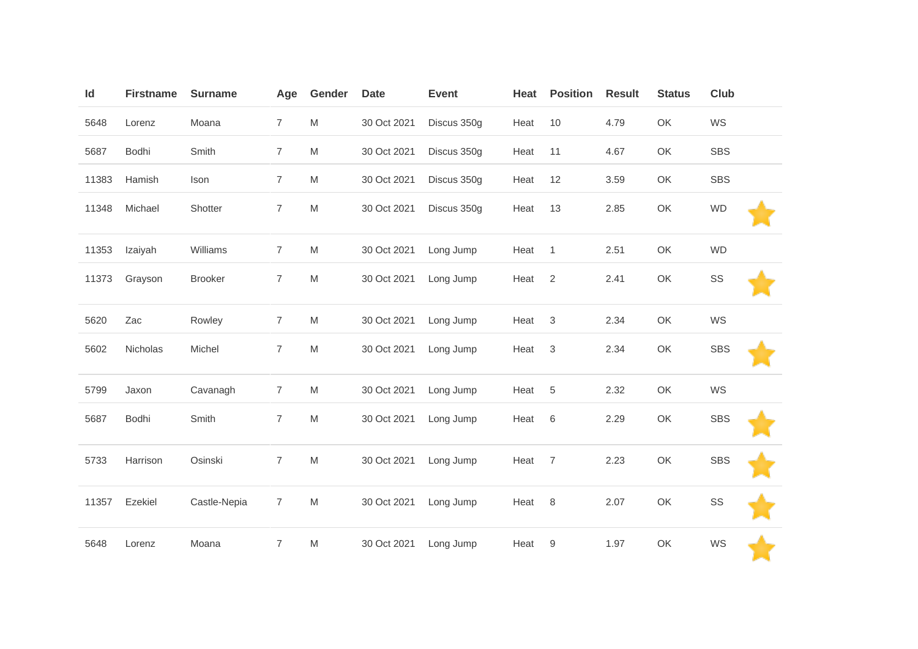| Id    | <b>Firstname</b> | <b>Surname</b> | Age            | Gender                                                                                                     | <b>Date</b> | <b>Event</b> | Heat | <b>Position</b> | <b>Result</b> | <b>Status</b> | <b>Club</b> |  |
|-------|------------------|----------------|----------------|------------------------------------------------------------------------------------------------------------|-------------|--------------|------|-----------------|---------------|---------------|-------------|--|
| 5648  | Lorenz           | Moana          | $\overline{7}$ | $\mathsf{M}% _{T}=\mathsf{M}_{T}\!\left( a,b\right) ,\ \mathsf{M}_{T}=\mathsf{M}_{T}\!\left( a,b\right) ,$ | 30 Oct 2021 | Discus 350g  | Heat | 10              | 4.79          | OK            | WS          |  |
| 5687  | Bodhi            | Smith          | $\overline{7}$ | M                                                                                                          | 30 Oct 2021 | Discus 350g  | Heat | 11              | 4.67          | OK            | <b>SBS</b>  |  |
| 11383 | Hamish           | Ison           | $\overline{7}$ | $\mathsf{M}% _{T}=\mathsf{M}_{T}\!\left( a,b\right) ,\ \mathsf{M}_{T}=\mathsf{M}_{T}\!\left( a,b\right) ,$ | 30 Oct 2021 | Discus 350g  | Heat | 12              | 3.59          | OK            | <b>SBS</b>  |  |
| 11348 | Michael          | Shotter        | $\overline{7}$ | $\mathsf{M}% _{T}=\mathsf{M}_{T}\!\left( a,b\right) ,\ \mathsf{M}_{T}=\mathsf{M}_{T}\!\left( a,b\right) ,$ | 30 Oct 2021 | Discus 350g  | Heat | 13              | 2.85          | OK            | <b>WD</b>   |  |
| 11353 | Izaiyah          | Williams       | $\overline{7}$ | M                                                                                                          | 30 Oct 2021 | Long Jump    | Heat | $\mathbf{1}$    | 2.51          | OK            | <b>WD</b>   |  |
| 11373 | Grayson          | <b>Brooker</b> | $\overline{7}$ | ${\sf M}$                                                                                                  | 30 Oct 2021 | Long Jump    | Heat | $\overline{2}$  | 2.41          | OK            | SS          |  |
| 5620  | Zac              | Rowley         | $\overline{7}$ | ${\sf M}$                                                                                                  | 30 Oct 2021 | Long Jump    | Heat | 3               | 2.34          | OK            | WS          |  |
| 5602  | Nicholas         | Michel         | $\overline{7}$ | $\mathsf{M}% _{T}=\mathsf{M}_{T}\!\left( a,b\right) ,\ \mathsf{M}_{T}=\mathsf{M}_{T}\!\left( a,b\right) ,$ | 30 Oct 2021 | Long Jump    | Heat | 3               | 2.34          | OK            | <b>SBS</b>  |  |
| 5799  | Jaxon            | Cavanagh       | $\overline{7}$ | ${\sf M}$                                                                                                  | 30 Oct 2021 | Long Jump    | Heat | $\,$ 5 $\,$     | 2.32          | OK            | WS          |  |
| 5687  | Bodhi            | Smith          | $\overline{7}$ | M                                                                                                          | 30 Oct 2021 | Long Jump    | Heat | 6               | 2.29          | OK            | <b>SBS</b>  |  |
| 5733  | Harrison         | Osinski        | $\overline{7}$ | $\mathsf{M}% _{T}=\mathsf{M}_{T}\!\left( a,b\right) ,\ \mathsf{M}_{T}=\mathsf{M}_{T}\!\left( a,b\right) ,$ | 30 Oct 2021 | Long Jump    | Heat | $\overline{7}$  | 2.23          | OK            | <b>SBS</b>  |  |
| 11357 | Ezekiel          | Castle-Nepia   | $\overline{7}$ | ${\sf M}$                                                                                                  | 30 Oct 2021 | Long Jump    | Heat | 8               | 2.07          | OK            | SS          |  |
| 5648  | Lorenz           | Moana          | $\overline{7}$ | M                                                                                                          | 30 Oct 2021 | Long Jump    | Heat | 9               | 1.97          | OK            | WS          |  |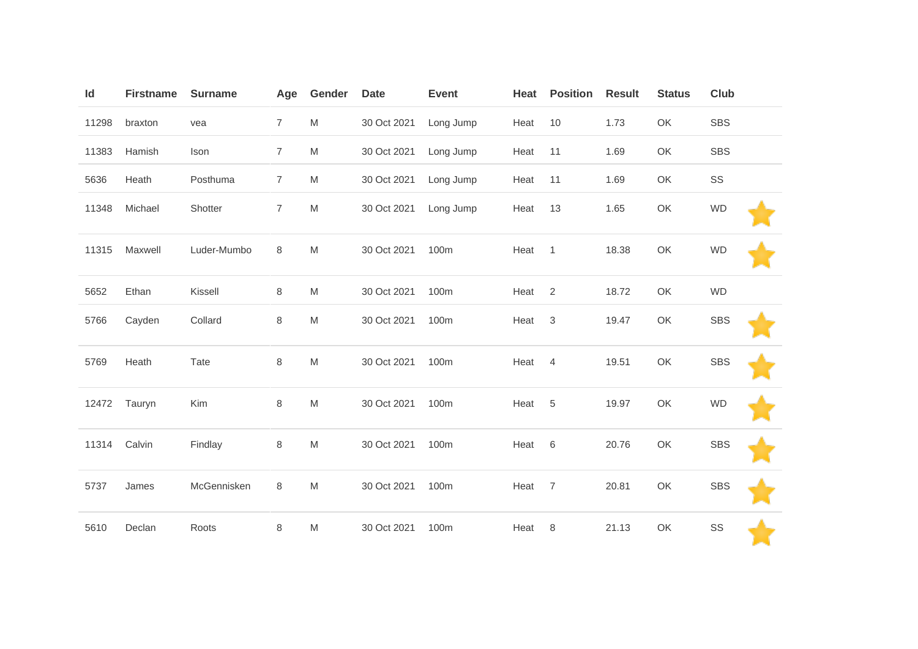| Id    | <b>Firstname</b> | <b>Surname</b> | Age            | Gender                                                                                                     | <b>Date</b> | <b>Event</b> | Heat | <b>Position</b> | <b>Result</b> | <b>Status</b> | Club       |
|-------|------------------|----------------|----------------|------------------------------------------------------------------------------------------------------------|-------------|--------------|------|-----------------|---------------|---------------|------------|
| 11298 | braxton          | vea            | $\overline{7}$ | M                                                                                                          | 30 Oct 2021 | Long Jump    | Heat | 10              | 1.73          | OK            | <b>SBS</b> |
| 11383 | Hamish           | Ison           | $\overline{7}$ | $\mathsf{M}% _{T}=\mathsf{M}_{T}\!\left( a,b\right) ,\ \mathsf{M}_{T}=\mathsf{M}_{T}\!\left( a,b\right) ,$ | 30 Oct 2021 | Long Jump    | Heat | 11              | 1.69          | OK            | <b>SBS</b> |
| 5636  | Heath            | Posthuma       | $\overline{7}$ | $\mathsf{M}% _{T}=\mathsf{M}_{T}\!\left( a,b\right) ,\ \mathsf{M}_{T}=\mathsf{M}_{T}\!\left( a,b\right) ,$ | 30 Oct 2021 | Long Jump    | Heat | 11              | 1.69          | OK            | SS         |
| 11348 | Michael          | Shotter        | 7              | M                                                                                                          | 30 Oct 2021 | Long Jump    | Heat | 13              | 1.65          | OK            | <b>WD</b>  |
| 11315 | Maxwell          | Luder-Mumbo    | 8              | M                                                                                                          | 30 Oct 2021 | 100m         | Heat | $\mathbf{1}$    | 18.38         | OK            | <b>WD</b>  |
| 5652  | Ethan            | Kissell        | 8              | $\mathsf{M}% _{T}=\mathsf{M}_{T}\!\left( a,b\right) ,\ \mathsf{M}_{T}=\mathsf{M}_{T}\!\left( a,b\right) ,$ | 30 Oct 2021 | 100m         | Heat | 2               | 18.72         | OK            | <b>WD</b>  |
| 5766  | Cayden           | Collard        | 8              | $\mathsf{M}% _{T}=\mathsf{M}_{T}\!\left( a,b\right) ,\ \mathsf{M}_{T}=\mathsf{M}_{T}\!\left( a,b\right) ,$ | 30 Oct 2021 | 100m         | Heat | 3               | 19.47         | OK            | <b>SBS</b> |
| 5769  | Heath            | Tate           | 8              | $\mathsf{M}% _{T}=\mathsf{M}_{T}\!\left( a,b\right) ,\ \mathsf{M}_{T}=\mathsf{M}_{T}\!\left( a,b\right) ,$ | 30 Oct 2021 | 100m         | Heat | $\overline{4}$  | 19.51         | OK            | <b>SBS</b> |
| 12472 | Tauryn           | Kim            | 8              | $\mathsf{M}% _{T}=\mathsf{M}_{T}\!\left( a,b\right) ,\ \mathsf{M}_{T}=\mathsf{M}_{T}\!\left( a,b\right) ,$ | 30 Oct 2021 | 100m         | Heat | 5               | 19.97         | OK            | <b>WD</b>  |
| 11314 | Calvin           | Findlay        | 8              | $\mathsf{M}% _{T}=\mathsf{M}_{T}\!\left( a,b\right) ,\ \mathsf{M}_{T}=\mathsf{M}_{T}\!\left( a,b\right) ,$ | 30 Oct 2021 | 100m         | Heat | 6               | 20.76         | OK            | <b>SBS</b> |
| 5737  | James            | McGennisken    | 8              | $\mathsf{M}% _{T}=\mathsf{M}_{T}\!\left( a,b\right) ,\ \mathsf{M}_{T}=\mathsf{M}_{T}\!\left( a,b\right) ,$ | 30 Oct 2021 | 100m         | Heat | $\overline{7}$  | 20.81         | OK            | <b>SBS</b> |
| 5610  | Declan           | Roots          | 8              | ${\sf M}$                                                                                                  | 30 Oct 2021 | 100m         | Heat | 8               | 21.13         | OK            | SS         |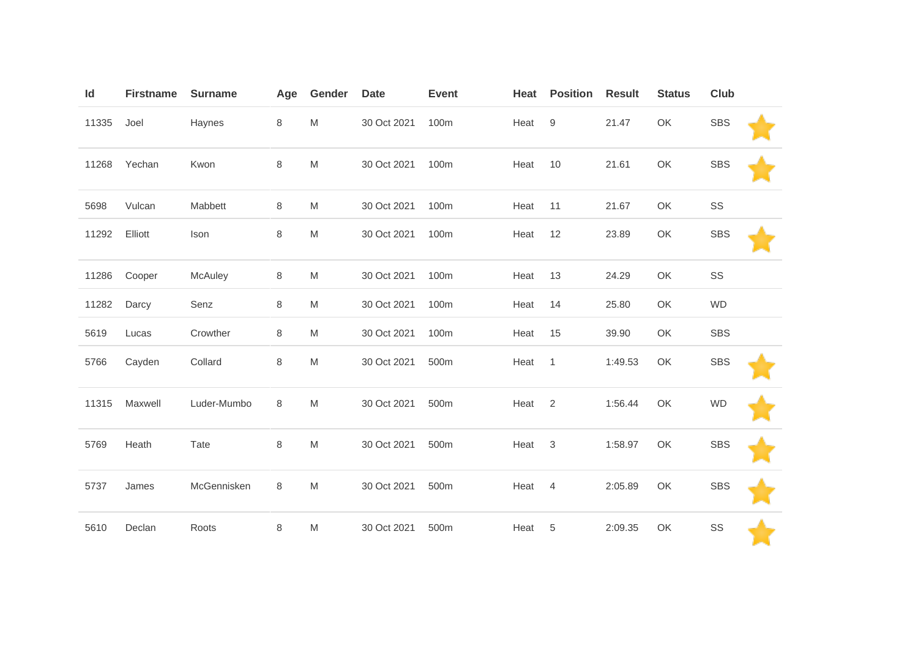| Id    | <b>Firstname</b> | <b>Surname</b> | Age | Gender                                                                                                     | <b>Date</b> | <b>Event</b> | Heat | <b>Position</b> | <b>Result</b> | <b>Status</b> | Club       |  |
|-------|------------------|----------------|-----|------------------------------------------------------------------------------------------------------------|-------------|--------------|------|-----------------|---------------|---------------|------------|--|
| 11335 | Joel             | Haynes         | 8   | M                                                                                                          | 30 Oct 2021 | 100m         | Heat | 9               | 21.47         | OK            | <b>SBS</b> |  |
| 11268 | Yechan           | Kwon           | 8   | M                                                                                                          | 30 Oct 2021 | 100m         | Heat | 10              | 21.61         | OK            | <b>SBS</b> |  |
| 5698  | Vulcan           | Mabbett        | 8   | M                                                                                                          | 30 Oct 2021 | 100m         | Heat | 11              | 21.67         | OK            | SS         |  |
| 11292 | Elliott          | Ison           | 8   | M                                                                                                          | 30 Oct 2021 | 100m         | Heat | 12              | 23.89         | OK            | <b>SBS</b> |  |
| 11286 | Cooper           | McAuley        | 8   | M                                                                                                          | 30 Oct 2021 | 100m         | Heat | 13              | 24.29         | OK            | SS         |  |
| 11282 | Darcy            | Senz           | 8   | M                                                                                                          | 30 Oct 2021 | 100m         | Heat | 14              | 25.80         | OK            | <b>WD</b>  |  |
| 5619  | Lucas            | Crowther       | 8   | M                                                                                                          | 30 Oct 2021 | 100m         | Heat | 15              | 39.90         | OK            | <b>SBS</b> |  |
| 5766  | Cayden           | Collard        | 8   | $\mathsf{M}% _{T}=\mathsf{M}_{T}\!\left( a,b\right) ,\ \mathsf{M}_{T}=\mathsf{M}_{T}\!\left( a,b\right) ,$ | 30 Oct 2021 | 500m         | Heat | $\mathbf{1}$    | 1:49.53       | OK            | <b>SBS</b> |  |
| 11315 | Maxwell          | Luder-Mumbo    | 8   | M                                                                                                          | 30 Oct 2021 | 500m         | Heat | $\overline{2}$  | 1:56.44       | OK            | <b>WD</b>  |  |
| 5769  | Heath            | Tate           | 8   | ${\sf M}$                                                                                                  | 30 Oct 2021 | 500m         | Heat | 3               | 1:58.97       | OK            | <b>SBS</b> |  |
| 5737  | James            | McGennisken    | 8   | ${\sf M}$                                                                                                  | 30 Oct 2021 | 500m         | Heat | $\overline{4}$  | 2:05.89       | OK            | <b>SBS</b> |  |
| 5610  | Declan           | Roots          | 8   | M                                                                                                          | 30 Oct 2021 | 500m         | Heat | 5               | 2:09.35       | OK            | SS         |  |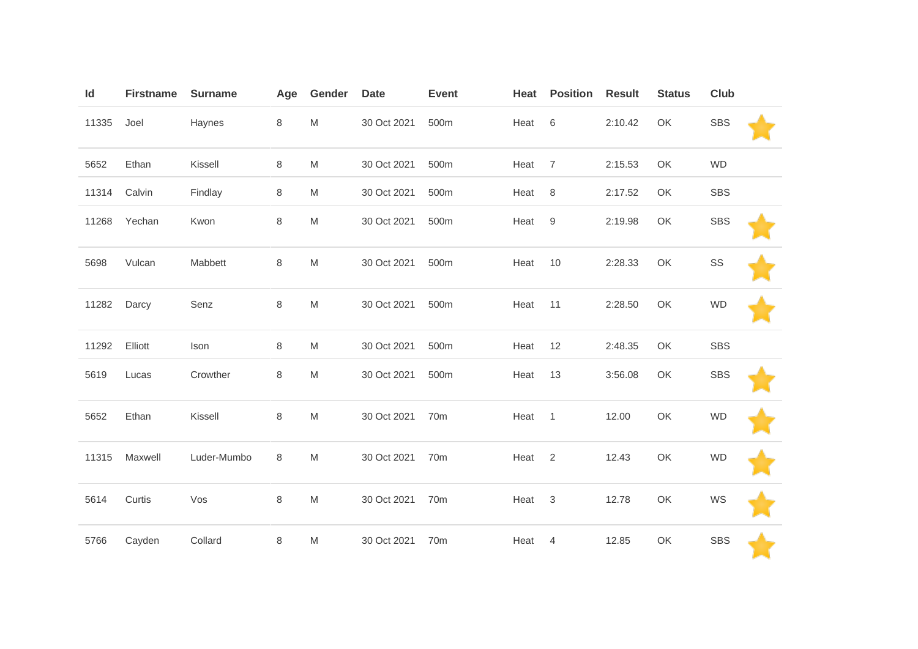| Id    | <b>Firstname</b> | <b>Surname</b> | Age | Gender                                                                                                     | <b>Date</b> | <b>Event</b> | Heat | <b>Position</b>  | <b>Result</b> | <b>Status</b> | <b>Club</b> |  |
|-------|------------------|----------------|-----|------------------------------------------------------------------------------------------------------------|-------------|--------------|------|------------------|---------------|---------------|-------------|--|
| 11335 | Joel             | Haynes         | 8   | ${\sf M}$                                                                                                  | 30 Oct 2021 | 500m         | Heat | $6\,$            | 2:10.42       | OK            | <b>SBS</b>  |  |
| 5652  | Ethan            | Kissell        | 8   | M                                                                                                          | 30 Oct 2021 | 500m         | Heat | $\overline{7}$   | 2:15.53       | OK            | <b>WD</b>   |  |
| 11314 | Calvin           | Findlay        | 8   | M                                                                                                          | 30 Oct 2021 | 500m         | Heat | 8                | 2:17.52       | OK            | <b>SBS</b>  |  |
| 11268 | Yechan           | Kwon           | 8   | ${\sf M}$                                                                                                  | 30 Oct 2021 | 500m         | Heat | $\boldsymbol{9}$ | 2:19.98       | OK            | <b>SBS</b>  |  |
| 5698  | Vulcan           | Mabbett        | 8   | M                                                                                                          | 30 Oct 2021 | 500m         | Heat | 10               | 2:28.33       | OK            | SS          |  |
| 11282 | Darcy            | Senz           | 8   | M                                                                                                          | 30 Oct 2021 | 500m         | Heat | 11               | 2:28.50       | OK            | <b>WD</b>   |  |
| 11292 | Elliott          | Ison           | 8   | ${\sf M}$                                                                                                  | 30 Oct 2021 | 500m         | Heat | 12               | 2:48.35       | OK            | <b>SBS</b>  |  |
| 5619  | Lucas            | Crowther       | 8   | M                                                                                                          | 30 Oct 2021 | 500m         | Heat | 13               | 3:56.08       | OK            | <b>SBS</b>  |  |
| 5652  | Ethan            | Kissell        | 8   | M                                                                                                          | 30 Oct 2021 | 70m          | Heat | $\overline{1}$   | 12.00         | OK            | <b>WD</b>   |  |
| 11315 | Maxwell          | Luder-Mumbo    | 8   | $\mathsf{M}% _{T}=\mathsf{M}_{T}\!\left( a,b\right) ,\ \mathsf{M}_{T}=\mathsf{M}_{T}\!\left( a,b\right) ,$ | 30 Oct 2021 | 70m          | Heat | $\overline{2}$   | 12.43         | OK            | <b>WD</b>   |  |
| 5614  | Curtis           | Vos            | 8   | M                                                                                                          | 30 Oct 2021 | 70m          | Heat | $\mathbf{3}$     | 12.78         | OK            | WS          |  |
| 5766  | Cayden           | Collard        | 8   | M                                                                                                          | 30 Oct 2021 | 70m          | Heat | $\overline{4}$   | 12.85         | OK            | <b>SBS</b>  |  |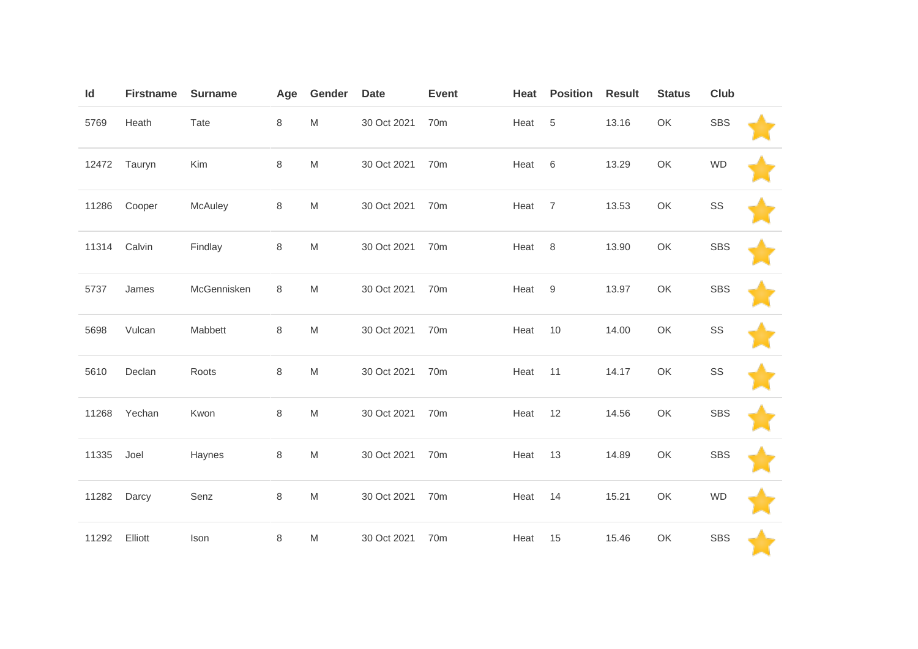| Id    | <b>Firstname</b> | <b>Surname</b> | Age     | Gender                                                                                                     | <b>Date</b> | <b>Event</b>    | Heat | <b>Position</b> | <b>Result</b> | <b>Status</b> | <b>Club</b> |  |
|-------|------------------|----------------|---------|------------------------------------------------------------------------------------------------------------|-------------|-----------------|------|-----------------|---------------|---------------|-------------|--|
| 5769  | Heath            | Tate           | 8       | M                                                                                                          | 30 Oct 2021 | 70m             | Heat | $\,$ 5 $\,$     | 13.16         | OK            | <b>SBS</b>  |  |
|       | 12472 Tauryn     | Kim            | 8       | ${\sf M}$                                                                                                  | 30 Oct 2021 | 70 <sub>m</sub> | Heat | 6               | 13.29         | OK            | <b>WD</b>   |  |
| 11286 | Cooper           | McAuley        | $\,8\,$ | ${\sf M}$                                                                                                  | 30 Oct 2021 | 70m             | Heat | $\overline{7}$  | 13.53         | OK            | SS          |  |
| 11314 | Calvin           | Findlay        | 8       | M                                                                                                          | 30 Oct 2021 | 70m             | Heat | 8               | 13.90         | OK            | <b>SBS</b>  |  |
| 5737  | James            | McGennisken    | 8       | $\mathsf{M}% _{T}=\mathsf{M}_{T}\!\left( a,b\right) ,\ \mathsf{M}_{T}=\mathsf{M}_{T}\!\left( a,b\right) ,$ | 30 Oct 2021 | 70m             | Heat | 9               | 13.97         | OK            | <b>SBS</b>  |  |
| 5698  | Vulcan           | Mabbett        | 8       | M                                                                                                          | 30 Oct 2021 | 70 <sub>m</sub> | Heat | 10              | 14.00         | OK            | SS          |  |
| 5610  | Declan           | Roots          | 8       | M                                                                                                          | 30 Oct 2021 | 70m             | Heat | 11              | 14.17         | OK            | SS          |  |
| 11268 | Yechan           | Kwon           | 8       | $\mathsf{M}% _{T}=\mathsf{M}_{T}\!\left( a,b\right) ,\ \mathsf{M}_{T}=\mathsf{M}_{T}\!\left( a,b\right) ,$ | 30 Oct 2021 | 70m             | Heat | 12              | 14.56         | OK            | <b>SBS</b>  |  |
| 11335 | Joel             | Haynes         | 8       | M                                                                                                          | 30 Oct 2021 | 70 <sub>m</sub> | Heat | 13              | 14.89         | OK            | <b>SBS</b>  |  |
| 11282 | Darcy            | Senz           | 8       | M                                                                                                          | 30 Oct 2021 | 70m             | Heat | 14              | 15.21         | OK            | <b>WD</b>   |  |
| 11292 | Elliott          | Ison           | 8       | M                                                                                                          | 30 Oct 2021 | 70 <sub>m</sub> | Heat | 15              | 15.46         | OK            | <b>SBS</b>  |  |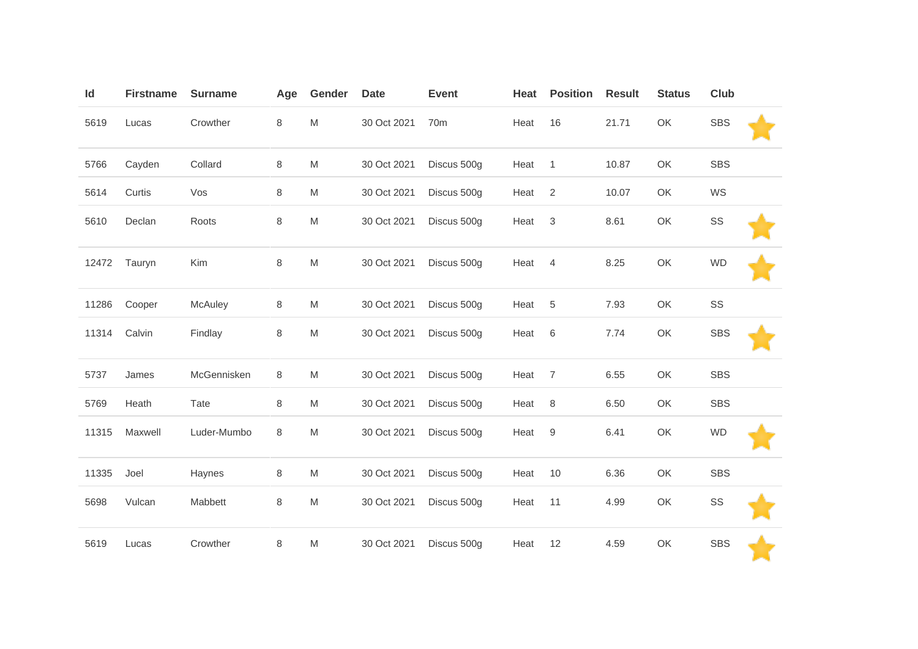| Id    | <b>Firstname</b> | <b>Surname</b> | Age | Gender                                                                                                     | <b>Date</b> | <b>Event</b>    | Heat | <b>Position</b>           | <b>Result</b> | <b>Status</b> | <b>Club</b> |  |
|-------|------------------|----------------|-----|------------------------------------------------------------------------------------------------------------|-------------|-----------------|------|---------------------------|---------------|---------------|-------------|--|
| 5619  | Lucas            | Crowther       | 8   | $\mathsf{M}% _{T}=\mathsf{M}_{T}\!\left( a,b\right) ,\ \mathsf{M}_{T}=\mathsf{M}_{T}\!\left( a,b\right) ,$ | 30 Oct 2021 | 70 <sub>m</sub> | Heat | 16                        | 21.71         | OK            | <b>SBS</b>  |  |
| 5766  | Cayden           | Collard        | 8   | M                                                                                                          | 30 Oct 2021 | Discus 500g     | Heat | $\mathbf{1}$              | 10.87         | OK            | <b>SBS</b>  |  |
| 5614  | Curtis           | Vos            | 8   | M                                                                                                          | 30 Oct 2021 | Discus 500g     | Heat | $\overline{2}$            | 10.07         | OK            | WS          |  |
| 5610  | Declan           | Roots          | 8   | $\mathsf{M}% _{T}=\mathsf{M}_{T}\!\left( a,b\right) ,\ \mathsf{M}_{T}=\mathsf{M}_{T}\!\left( a,b\right) ,$ | 30 Oct 2021 | Discus 500g     | Heat | $\ensuremath{\mathsf{3}}$ | 8.61          | OK            | SS          |  |
| 12472 | Tauryn           | Kim            | 8   | ${\sf M}$                                                                                                  | 30 Oct 2021 | Discus 500g     | Heat | $\overline{4}$            | 8.25          | OK            | <b>WD</b>   |  |
| 11286 | Cooper           | McAuley        | 8   | M                                                                                                          | 30 Oct 2021 | Discus 500g     | Heat | 5                         | 7.93          | OK            | SS          |  |
| 11314 | Calvin           | Findlay        | 8   | $\mathsf{M}% _{T}=\mathsf{M}_{T}\!\left( a,b\right) ,\ \mathsf{M}_{T}=\mathsf{M}_{T}\!\left( a,b\right) ,$ | 30 Oct 2021 | Discus 500g     | Heat | $\,6$                     | 7.74          | OK            | <b>SBS</b>  |  |
| 5737  | James            | McGennisken    | 8   | M                                                                                                          | 30 Oct 2021 | Discus 500g     | Heat | $\overline{7}$            | 6.55          | OK            | <b>SBS</b>  |  |
| 5769  | Heath            | Tate           | 8   | M                                                                                                          | 30 Oct 2021 | Discus 500g     | Heat | $\,8\,$                   | 6.50          | OK            | <b>SBS</b>  |  |
| 11315 | Maxwell          | Luder-Mumbo    | 8   | M                                                                                                          | 30 Oct 2021 | Discus 500g     | Heat | 9                         | 6.41          | OK            | <b>WD</b>   |  |
| 11335 | Joel             | Haynes         | 8   | M                                                                                                          | 30 Oct 2021 | Discus 500g     | Heat | 10                        | 6.36          | OK            | <b>SBS</b>  |  |
| 5698  | Vulcan           | Mabbett        | 8   | ${\sf M}$                                                                                                  | 30 Oct 2021 | Discus 500g     | Heat | 11                        | 4.99          | OK            | SS          |  |
| 5619  | Lucas            | Crowther       | 8   | M                                                                                                          | 30 Oct 2021 | Discus 500g     | Heat | 12                        | 4.59          | OK            | <b>SBS</b>  |  |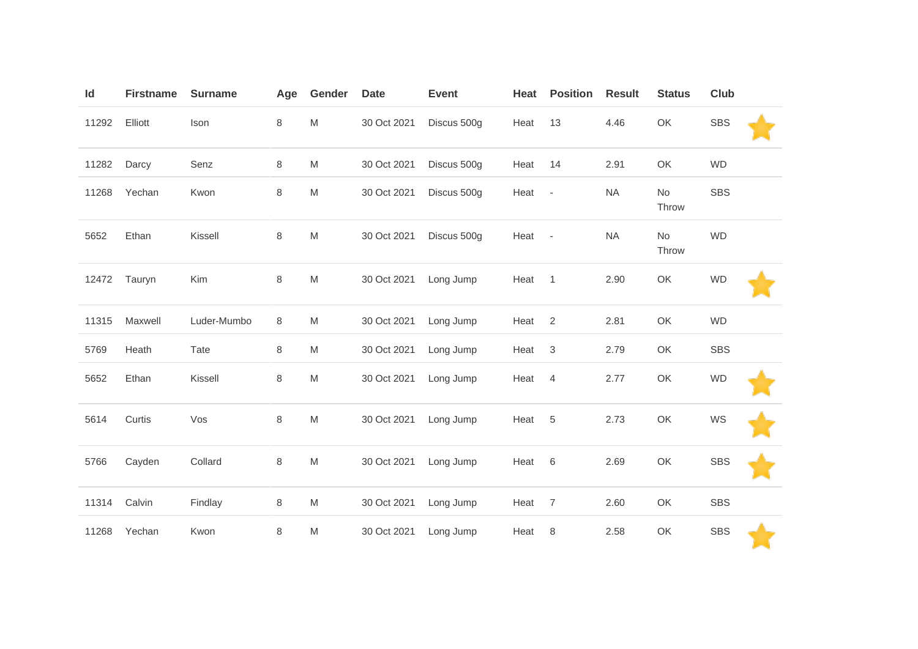| Id    | <b>Firstname</b> | <b>Surname</b> | Age     | Gender    | <b>Date</b> | <b>Event</b> | Heat | <b>Position</b>          | <b>Result</b> | <b>Status</b> | Club       |  |
|-------|------------------|----------------|---------|-----------|-------------|--------------|------|--------------------------|---------------|---------------|------------|--|
| 11292 | Elliott          | Ison           | 8       | M         | 30 Oct 2021 | Discus 500g  | Heat | 13                       | 4.46          | OK            | <b>SBS</b> |  |
| 11282 | Darcy            | Senz           | 8       | M         | 30 Oct 2021 | Discus 500g  | Heat | 14                       | 2.91          | OK            | <b>WD</b>  |  |
| 11268 | Yechan           | Kwon           | 8       | M         | 30 Oct 2021 | Discus 500g  | Heat | $\overline{\phantom{a}}$ | <b>NA</b>     | No<br>Throw   | <b>SBS</b> |  |
| 5652  | Ethan            | Kissell        | 8       | M         | 30 Oct 2021 | Discus 500g  | Heat | $\overline{\phantom{a}}$ | <b>NA</b>     | No<br>Throw   | <b>WD</b>  |  |
| 12472 | Tauryn           | Kim            | 8       | M         | 30 Oct 2021 | Long Jump    | Heat | $\mathbf{1}$             | 2.90          | OK            | <b>WD</b>  |  |
| 11315 | Maxwell          | Luder-Mumbo    | 8       | M         | 30 Oct 2021 | Long Jump    | Heat | 2                        | 2.81          | OK            | <b>WD</b>  |  |
| 5769  | Heath            | Tate           | $\,8\,$ | M         | 30 Oct 2021 | Long Jump    | Heat | $\sqrt{3}$               | 2.79          | OK            | <b>SBS</b> |  |
| 5652  | Ethan            | Kissell        | 8       | M         | 30 Oct 2021 | Long Jump    | Heat | $\overline{4}$           | 2.77          | OK            | <b>WD</b>  |  |
| 5614  | Curtis           | Vos            | $\,8\,$ | M         | 30 Oct 2021 | Long Jump    | Heat | $\sqrt{5}$               | 2.73          | OK            | WS         |  |
| 5766  | Cayden           | Collard        | 8       | M         | 30 Oct 2021 | Long Jump    | Heat | 6                        | 2.69          | OK            | <b>SBS</b> |  |
| 11314 | Calvin           | Findlay        | 8       | ${\sf M}$ | 30 Oct 2021 | Long Jump    | Heat | $\overline{7}$           | 2.60          | OK            | <b>SBS</b> |  |
| 11268 | Yechan           | Kwon           | 8       | M         | 30 Oct 2021 | Long Jump    | Heat | 8                        | 2.58          | OK            | <b>SBS</b> |  |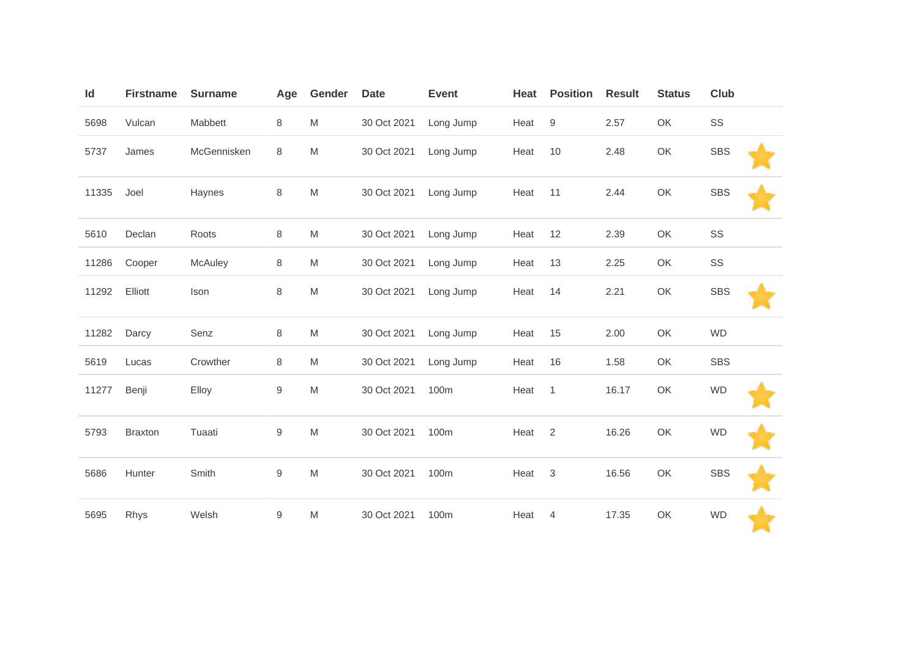| Id    | <b>Firstname</b> | <b>Surname</b> | Age        | Gender                                                                                                     | <b>Date</b> | <b>Event</b> | Heat | <b>Position</b> | <b>Result</b> | <b>Status</b> | <b>Club</b> |  |
|-------|------------------|----------------|------------|------------------------------------------------------------------------------------------------------------|-------------|--------------|------|-----------------|---------------|---------------|-------------|--|
| 5698  | Vulcan           | Mabbett        | 8          | $\mathsf{M}% _{T}=\mathsf{M}_{T}\!\left( a,b\right) ,\ \mathsf{M}_{T}=\mathsf{M}_{T}\!\left( a,b\right) ,$ | 30 Oct 2021 | Long Jump    | Heat | 9               | 2.57          | OK            | SS          |  |
| 5737  | James            | McGennisken    | 8          | M                                                                                                          | 30 Oct 2021 | Long Jump    | Heat | 10              | 2.48          | OK            | <b>SBS</b>  |  |
| 11335 | Joel             | Haynes         | 8          | M                                                                                                          | 30 Oct 2021 | Long Jump    | Heat | 11              | 2.44          | OK            | <b>SBS</b>  |  |
| 5610  | Declan           | Roots          | 8          | $\mathsf{M}% _{T}=\mathsf{M}_{T}\!\left( a,b\right) ,\ \mathsf{M}_{T}=\mathsf{M}_{T}\!\left( a,b\right) ,$ | 30 Oct 2021 | Long Jump    | Heat | 12              | 2.39          | OK            | SS          |  |
| 11286 | Cooper           | McAuley        | 8          | M                                                                                                          | 30 Oct 2021 | Long Jump    | Heat | 13              | 2.25          | OK            | SS          |  |
| 11292 | Elliott          | Ison           | 8          | M                                                                                                          | 30 Oct 2021 | Long Jump    | Heat | 14              | 2.21          | OK            | <b>SBS</b>  |  |
| 11282 | Darcy            | Senz           | 8          | $\mathsf{M}% _{T}=\mathsf{M}_{T}\!\left( a,b\right) ,\ \mathsf{M}_{T}=\mathsf{M}_{T}\!\left( a,b\right) ,$ | 30 Oct 2021 | Long Jump    | Heat | 15              | 2.00          | OK            | <b>WD</b>   |  |
| 5619  | Lucas            | Crowther       | 8          | M                                                                                                          | 30 Oct 2021 | Long Jump    | Heat | 16              | 1.58          | OK            | <b>SBS</b>  |  |
| 11277 | Benji            | Elloy          | 9          | M                                                                                                          | 30 Oct 2021 | 100m         | Heat | $\overline{1}$  | 16.17         | OK            | <b>WD</b>   |  |
| 5793  | <b>Braxton</b>   | Tuaati         | $\hbox{9}$ | ${\sf M}$                                                                                                  | 30 Oct 2021 | 100m         | Heat | 2               | 16.26         | OK            | <b>WD</b>   |  |
| 5686  | Hunter           | Smith          | 9          | $\mathsf{M}% _{T}=\mathsf{M}_{T}\!\left( a,b\right) ,\ \mathsf{M}_{T}=\mathsf{M}_{T}\!\left( a,b\right) ,$ | 30 Oct 2021 | 100m         | Heat | 3               | 16.56         | OK            | <b>SBS</b>  |  |
| 5695  | Rhys             | Welsh          | 9          | M                                                                                                          | 30 Oct 2021 | 100m         | Heat | $\overline{4}$  | 17.35         | OK            | <b>WD</b>   |  |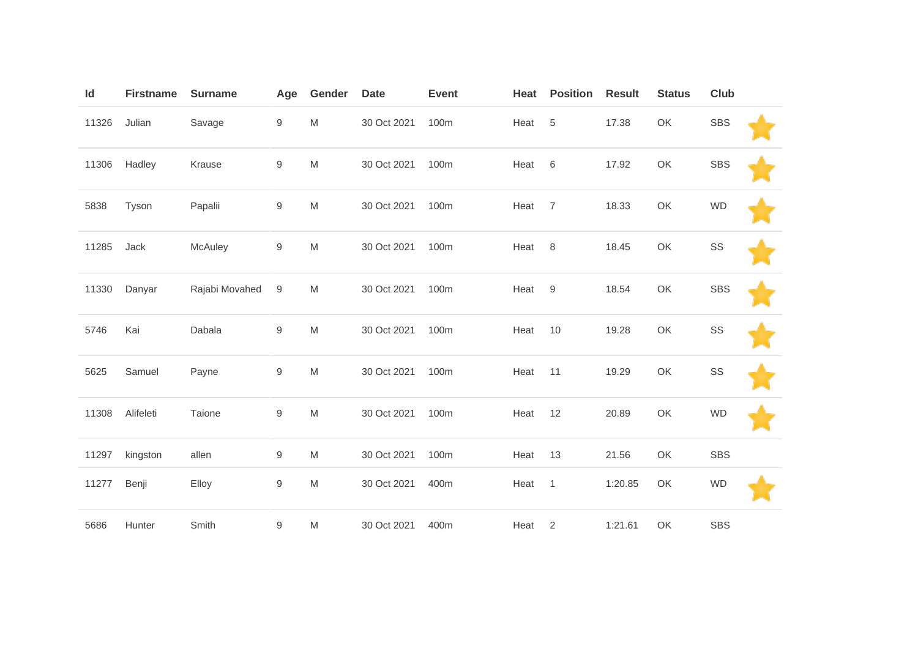| Id    | <b>Firstname</b> | <b>Surname</b> | Age              | Gender                                                                                                     | <b>Date</b> | <b>Event</b> | Heat | <b>Position</b> | <b>Result</b> | <b>Status</b> | Club       |  |
|-------|------------------|----------------|------------------|------------------------------------------------------------------------------------------------------------|-------------|--------------|------|-----------------|---------------|---------------|------------|--|
| 11326 | Julian           | Savage         | $\boldsymbol{9}$ | M                                                                                                          | 30 Oct 2021 | 100m         | Heat | 5               | 17.38         | OK            | <b>SBS</b> |  |
| 11306 | Hadley           | Krause         | 9                | $\mathsf{M}% _{T}=\mathsf{M}_{T}\!\left( a,b\right) ,\ \mathsf{M}_{T}=\mathsf{M}_{T}\!\left( a,b\right) ,$ | 30 Oct 2021 | 100m         | Heat | $6\,$           | 17.92         | OK            | <b>SBS</b> |  |
| 5838  | Tyson            | Papalii        | $\boldsymbol{9}$ | $\mathsf{M}% _{T}=\mathsf{M}_{T}\!\left( a,b\right) ,\ \mathsf{M}_{T}=\mathsf{M}_{T}\!\left( a,b\right) ,$ | 30 Oct 2021 | 100m         | Heat | $\overline{7}$  | 18.33         | OK            | <b>WD</b>  |  |
| 11285 | Jack             | McAuley        | $\boldsymbol{9}$ | $\mathsf{M}% _{T}=\mathsf{M}_{T}\!\left( a,b\right) ,\ \mathsf{M}_{T}=\mathsf{M}_{T}\!\left( a,b\right) ,$ | 30 Oct 2021 | 100m         | Heat | 8               | 18.45         | OK            | SS         |  |
| 11330 | Danyar           | Rajabi Movahed | 9                | $\mathsf{M}% _{T}=\mathsf{M}_{T}\!\left( a,b\right) ,\ \mathsf{M}_{T}=\mathsf{M}_{T}\!\left( a,b\right) ,$ | 30 Oct 2021 | 100m         | Heat | 9               | 18.54         | OK            | <b>SBS</b> |  |
| 5746  | Kai              | Dabala         | $\boldsymbol{9}$ | $\mathsf{M}% _{T}=\mathsf{M}_{T}\!\left( a,b\right) ,\ \mathsf{M}_{T}=\mathsf{M}_{T}\!\left( a,b\right) ,$ | 30 Oct 2021 | 100m         | Heat | 10              | 19.28         | OK            | SS         |  |
| 5625  | Samuel           | Payne          | 9                | $\mathsf{M}% _{T}=\mathsf{M}_{T}\!\left( a,b\right) ,\ \mathsf{M}_{T}=\mathsf{M}_{T}\!\left( a,b\right) ,$ | 30 Oct 2021 | 100m         | Heat | 11              | 19.29         | OK            | SS         |  |
| 11308 | Alifeleti        | Taione         | $\boldsymbol{9}$ | $\mathsf{M}% _{T}=\mathsf{M}_{T}\!\left( a,b\right) ,\ \mathsf{M}_{T}=\mathsf{M}_{T}\!\left( a,b\right) ,$ | 30 Oct 2021 | 100m         | Heat | 12              | 20.89         | OK            | <b>WD</b>  |  |
| 11297 | kingston         | allen          | 9                | M                                                                                                          | 30 Oct 2021 | 100m         | Heat | 13              | 21.56         | OK            | <b>SBS</b> |  |
| 11277 | Benji            | Elloy          | 9                | $\mathsf{M}% _{T}=\mathsf{M}_{T}\!\left( a,b\right) ,\ \mathsf{M}_{T}=\mathsf{M}_{T}\!\left( a,b\right) ,$ | 30 Oct 2021 | 400m         | Heat | $\overline{1}$  | 1:20.85       | OK            | <b>WD</b>  |  |
| 5686  | Hunter           | Smith          | 9                | M                                                                                                          | 30 Oct 2021 | 400m         | Heat | $\overline{2}$  | 1:21.61       | OK            | <b>SBS</b> |  |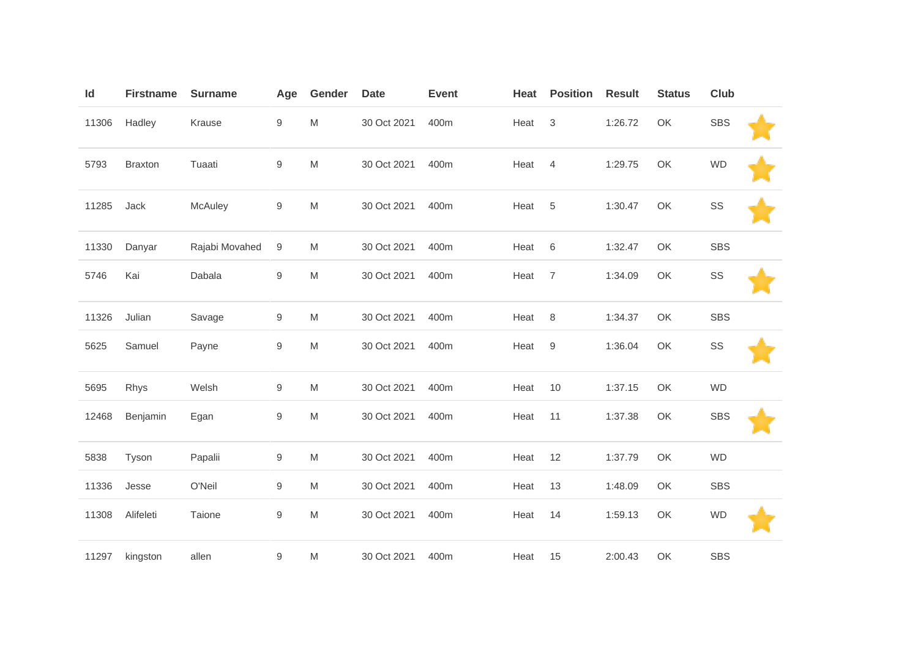| Id    | <b>Firstname</b> | <b>Surname</b> | Age              | Gender                                                                                                     | <b>Date</b> | <b>Event</b> | Heat | <b>Position</b> | <b>Result</b> | <b>Status</b> | Club          |  |
|-------|------------------|----------------|------------------|------------------------------------------------------------------------------------------------------------|-------------|--------------|------|-----------------|---------------|---------------|---------------|--|
| 11306 | Hadley           | Krause         | $\boldsymbol{9}$ | $\mathsf{M}% _{T}=\mathsf{M}_{T}\!\left( a,b\right) ,\ \mathsf{M}_{T}=\mathsf{M}_{T}\!\left( a,b\right) ,$ | 30 Oct 2021 | 400m         | Heat | $\mathsf 3$     | 1:26.72       | OK            | <b>SBS</b>    |  |
| 5793  | <b>Braxton</b>   | Tuaati         | $\hbox{9}$       | $\mathsf{M}% _{T}=\mathsf{M}_{T}\!\left( a,b\right) ,\ \mathsf{M}_{T}=\mathsf{M}_{T}\!\left( a,b\right) ,$ | 30 Oct 2021 | 400m         | Heat | $\overline{4}$  | 1:29.75       | OK            | <b>WD</b>     |  |
| 11285 | Jack             | McAuley        | 9                | M                                                                                                          | 30 Oct 2021 | 400m         | Heat | $\,$ 5 $\,$     | 1:30.47       | OK            | SS            |  |
| 11330 | Danyar           | Rajabi Movahed | 9                | M                                                                                                          | 30 Oct 2021 | 400m         | Heat | $\,6$           | 1:32.47       | OK            | <b>SBS</b>    |  |
| 5746  | Kai              | Dabala         | $\boldsymbol{9}$ | $\mathsf{M}% _{T}=\mathsf{M}_{T}\!\left( a,b\right) ,\ \mathsf{M}_{T}=\mathsf{M}_{T}\!\left( a,b\right) ,$ | 30 Oct 2021 | 400m         | Heat | $\overline{7}$  | 1:34.09       | OK            | $\texttt{SS}$ |  |
| 11326 | Julian           | Savage         | $\boldsymbol{9}$ | M                                                                                                          | 30 Oct 2021 | 400m         | Heat | 8               | 1:34.37       | OK            | SBS           |  |
| 5625  | Samuel           | Payne          | $\hbox{9}$       | M                                                                                                          | 30 Oct 2021 | 400m         | Heat | $9$             | 1:36.04       | OK            | SS            |  |
| 5695  | Rhys             | Welsh          | $\boldsymbol{9}$ | $\mathsf{M}% _{T}=\mathsf{M}_{T}\!\left( a,b\right) ,\ \mathsf{M}_{T}=\mathsf{M}_{T}\!\left( a,b\right) ,$ | 30 Oct 2021 | 400m         | Heat | 10              | 1:37.15       | OK            | <b>WD</b>     |  |
| 12468 | Benjamin         | Egan           | $\boldsymbol{9}$ | M                                                                                                          | 30 Oct 2021 | 400m         | Heat | 11              | 1:37.38       | OK            | SBS           |  |
| 5838  | Tyson            | Papalii        | 9                | ${\sf M}$                                                                                                  | 30 Oct 2021 | 400m         | Heat | 12              | 1:37.79       | OK            | <b>WD</b>     |  |
| 11336 | Jesse            | O'Neil         | 9                | M                                                                                                          | 30 Oct 2021 | 400m         | Heat | 13              | 1:48.09       | OK            | <b>SBS</b>    |  |
| 11308 | Alifeleti        | Taione         | $\boldsymbol{9}$ | M                                                                                                          | 30 Oct 2021 | 400m         | Heat | 14              | 1:59.13       | OK            | <b>WD</b>     |  |
| 11297 | kingston         | allen          | 9                | M                                                                                                          | 30 Oct 2021 | 400m         | Heat | 15              | 2:00.43       | OK            | <b>SBS</b>    |  |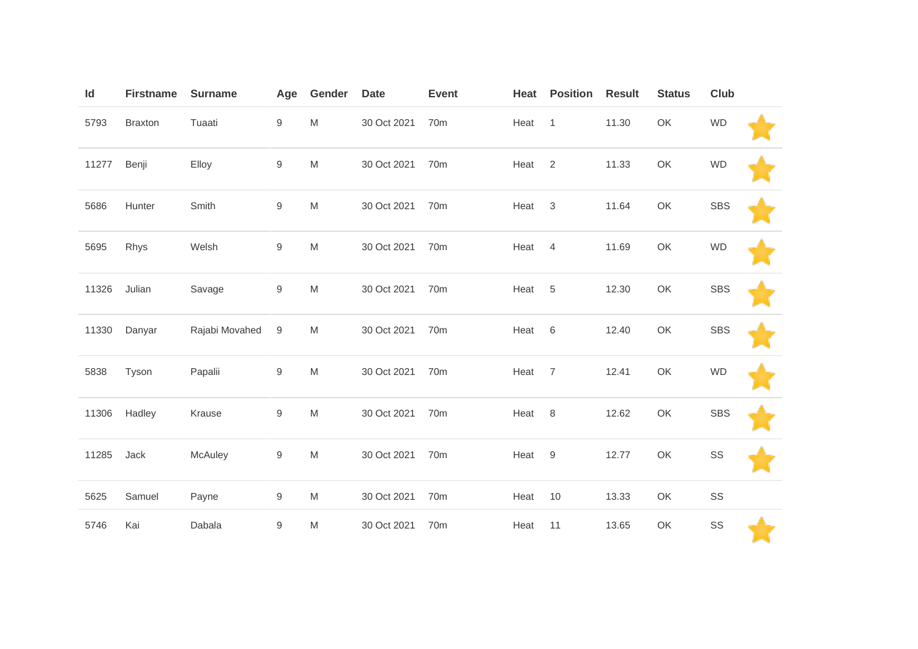| Id    | <b>Firstname</b> | <b>Surname</b> | Age              | Gender                                                                                                     | <b>Date</b> | <b>Event</b>    | Heat | <b>Position</b> | <b>Result</b> | <b>Status</b> | Club       |  |
|-------|------------------|----------------|------------------|------------------------------------------------------------------------------------------------------------|-------------|-----------------|------|-----------------|---------------|---------------|------------|--|
| 5793  | <b>Braxton</b>   | Tuaati         | 9                | $\mathsf{M}% _{T}=\mathsf{M}_{T}\!\left( a,b\right) ,\ \mathsf{M}_{T}=\mathsf{M}_{T}\!\left( a,b\right) ,$ | 30 Oct 2021 | 70 <sub>m</sub> | Heat | $\overline{1}$  | 11.30         | OK            | <b>WD</b>  |  |
| 11277 | Benji            | Elloy          | $\boldsymbol{9}$ | $\mathsf{M}% _{T}=\mathsf{M}_{T}\!\left( a,b\right) ,\ \mathsf{M}_{T}=\mathsf{M}_{T}\!\left( a,b\right) ,$ | 30 Oct 2021 | 70 <sub>m</sub> | Heat | 2               | 11.33         | OK            | <b>WD</b>  |  |
| 5686  | Hunter           | Smith          | $\boldsymbol{9}$ | $\mathsf{M}% _{T}=\mathsf{M}_{T}\!\left( a,b\right) ,\ \mathsf{M}_{T}=\mathsf{M}_{T}\!\left( a,b\right) ,$ | 30 Oct 2021 | 70m             | Heat | $\mathbf{3}$    | 11.64         | OK            | <b>SBS</b> |  |
| 5695  | Rhys             | Welsh          | $\hbox{9}$       | $\mathsf{M}% _{T}=\mathsf{M}_{T}\!\left( a,b\right) ,\ \mathsf{M}_{T}=\mathsf{M}_{T}\!\left( a,b\right) ,$ | 30 Oct 2021 | 70m             | Heat | $\overline{4}$  | 11.69         | OK            | <b>WD</b>  |  |
| 11326 | Julian           | Savage         | 9                | $\mathsf{M}% _{T}=\mathsf{M}_{T}\!\left( a,b\right) ,\ \mathsf{M}_{T}=\mathsf{M}_{T}\!\left( a,b\right) ,$ | 30 Oct 2021 | 70 <sub>m</sub> | Heat | 5               | 12.30         | OK            | <b>SBS</b> |  |
| 11330 | Danyar           | Rajabi Movahed | 9                | $\mathsf{M}% _{T}=\mathsf{M}_{T}\!\left( a,b\right) ,\ \mathsf{M}_{T}=\mathsf{M}_{T}\!\left( a,b\right) ,$ | 30 Oct 2021 | 70 <sub>m</sub> | Heat | $6\,$           | 12.40         | OK            | <b>SBS</b> |  |
| 5838  | Tyson            | Papalii        | 9                | $\mathsf{M}% _{T}=\mathsf{M}_{T}\!\left( a,b\right) ,\ \mathsf{M}_{T}=\mathsf{M}_{T}\!\left( a,b\right) ,$ | 30 Oct 2021 | 70 <sub>m</sub> | Heat | $\overline{7}$  | 12.41         | OK            | <b>WD</b>  |  |
| 11306 | Hadley           | Krause         | 9                | $\mathsf{M}% _{T}=\mathsf{M}_{T}\!\left( a,b\right) ,\ \mathsf{M}_{T}=\mathsf{M}_{T}\!\left( a,b\right) ,$ | 30 Oct 2021 | 70 <sub>m</sub> | Heat | 8               | 12.62         | OK            | <b>SBS</b> |  |
| 11285 | Jack             | McAuley        | $\boldsymbol{9}$ | $\mathsf{M}% _{T}=\mathsf{M}_{T}\!\left( a,b\right) ,\ \mathsf{M}_{T}=\mathsf{M}_{T}\!\left( a,b\right) ,$ | 30 Oct 2021 | 70 <sub>m</sub> | Heat | 9               | 12.77         | OK            | SS         |  |
| 5625  | Samuel           | Payne          | $\boldsymbol{9}$ | $\mathsf{M}% _{T}=\mathsf{M}_{T}\!\left( a,b\right) ,\ \mathsf{M}_{T}=\mathsf{M}_{T}\!\left( a,b\right) ,$ | 30 Oct 2021 | 70 <sub>m</sub> | Heat | 10              | 13.33         | OK            | SS         |  |
| 5746  | Kai              | Dabala         | 9                | $\mathsf{M}% _{T}=\mathsf{M}_{T}\!\left( a,b\right) ,\ \mathsf{M}_{T}=\mathsf{M}_{T}\!\left( a,b\right) ,$ | 30 Oct 2021 | 70m             | Heat | 11              | 13.65         | OK            | SS         |  |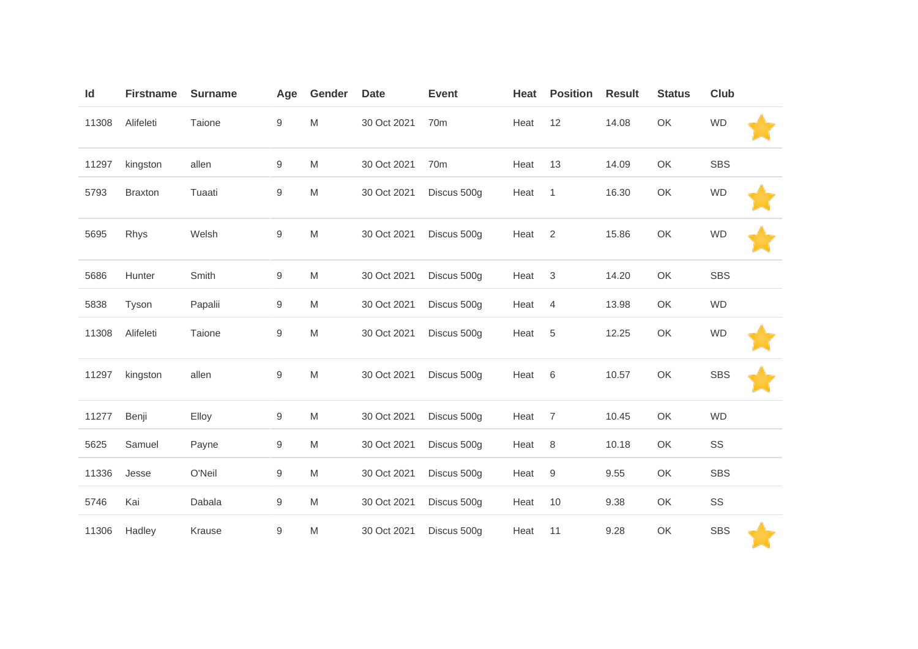| Id    | <b>Firstname</b> | <b>Surname</b> | Age        | Gender                                                                                                     | <b>Date</b> | <b>Event</b>    | Heat | <b>Position</b>  | <b>Result</b> | <b>Status</b> | <b>Club</b> |  |
|-------|------------------|----------------|------------|------------------------------------------------------------------------------------------------------------|-------------|-----------------|------|------------------|---------------|---------------|-------------|--|
| 11308 | Alifeleti        | Taione         | 9          | $\mathsf{M}% _{T}=\mathsf{M}_{T}\!\left( a,b\right) ,\ \mathsf{M}_{T}=\mathsf{M}_{T}\!\left( a,b\right) ,$ | 30 Oct 2021 | 70 <sub>m</sub> | Heat | 12               | 14.08         | OK            | <b>WD</b>   |  |
| 11297 | kingston         | allen          | 9          | M                                                                                                          | 30 Oct 2021 | 70 <sub>m</sub> | Heat | 13               | 14.09         | OK            | <b>SBS</b>  |  |
| 5793  | <b>Braxton</b>   | Tuaati         | 9          | M                                                                                                          | 30 Oct 2021 | Discus 500g     | Heat | $\mathbf{1}$     | 16.30         | OK            | WD          |  |
| 5695  | Rhys             | Welsh          | 9          | $\mathsf{M}% _{T}=\mathsf{M}_{T}\!\left( a,b\right) ,\ \mathsf{M}_{T}=\mathsf{M}_{T}\!\left( a,b\right) ,$ | 30 Oct 2021 | Discus 500g     | Heat | 2                | 15.86         | OK            | <b>WD</b>   |  |
| 5686  | Hunter           | Smith          | 9          | $\mathsf{M}% _{T}=\mathsf{M}_{T}\!\left( a,b\right) ,\ \mathsf{M}_{T}=\mathsf{M}_{T}\!\left( a,b\right) ,$ | 30 Oct 2021 | Discus 500g     | Heat | $\sqrt{3}$       | 14.20         | OK            | <b>SBS</b>  |  |
| 5838  | Tyson            | Papalii        | 9          | M                                                                                                          | 30 Oct 2021 | Discus 500g     | Heat | $\overline{4}$   | 13.98         | OK            | <b>WD</b>   |  |
| 11308 | Alifeleti        | Taione         | $\hbox{9}$ | M                                                                                                          | 30 Oct 2021 | Discus 500g     | Heat | 5                | 12.25         | OK            | <b>WD</b>   |  |
| 11297 | kingston         | allen          | 9          | $\mathsf{M}% _{T}=\mathsf{M}_{T}\!\left( a,b\right) ,\ \mathsf{M}_{T}=\mathsf{M}_{T}\!\left( a,b\right) ,$ | 30 Oct 2021 | Discus 500g     | Heat | $\,6$            | 10.57         | OK            | <b>SBS</b>  |  |
| 11277 | Benji            | Elloy          | 9          | M                                                                                                          | 30 Oct 2021 | Discus 500g     | Heat | $\overline{7}$   | 10.45         | OK            | <b>WD</b>   |  |
| 5625  | Samuel           | Payne          | 9          | M                                                                                                          | 30 Oct 2021 | Discus 500g     | Heat | 8                | 10.18         | OK            | SS          |  |
| 11336 | Jesse            | O'Neil         | 9          | M                                                                                                          | 30 Oct 2021 | Discus 500g     | Heat | $\boldsymbol{9}$ | 9.55          | OK            | <b>SBS</b>  |  |
| 5746  | Kai              | Dabala         | 9          | M                                                                                                          | 30 Oct 2021 | Discus 500g     | Heat | 10               | 9.38          | OK            | SS          |  |
| 11306 | Hadley           | Krause         | 9          | M                                                                                                          | 30 Oct 2021 | Discus 500g     | Heat | 11               | 9.28          | OK            | <b>SBS</b>  |  |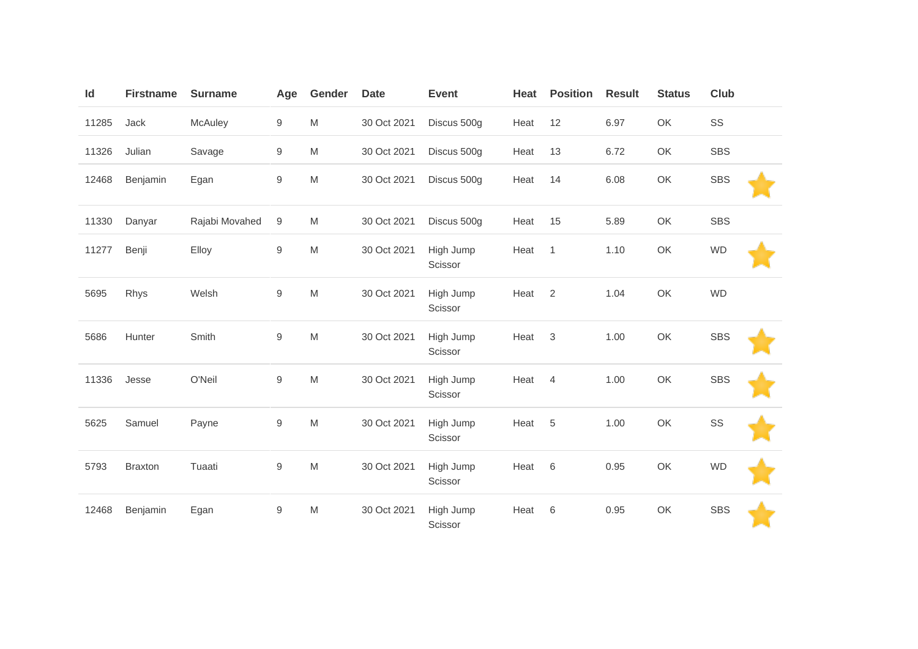| Id    | <b>Firstname</b> | <b>Surname</b> | Age              | Gender                                                                                                     | <b>Date</b> | <b>Event</b>         | Heat | <b>Position</b> | <b>Result</b> | <b>Status</b> | Club       |
|-------|------------------|----------------|------------------|------------------------------------------------------------------------------------------------------------|-------------|----------------------|------|-----------------|---------------|---------------|------------|
| 11285 | Jack             | McAuley        | 9                | M                                                                                                          | 30 Oct 2021 | Discus 500g          | Heat | 12              | 6.97          | OK            | SS         |
| 11326 | Julian           | Savage         | $\boldsymbol{9}$ | $\mathsf{M}% _{T}=\mathsf{M}_{T}\!\left( a,b\right) ,\ \mathsf{M}_{T}=\mathsf{M}_{T}\!\left( a,b\right) ,$ | 30 Oct 2021 | Discus 500g          | Heat | 13              | 6.72          | OK            | <b>SBS</b> |
| 12468 | Benjamin         | Egan           | 9                | $\mathsf{M}% _{T}=\mathsf{M}_{T}\!\left( a,b\right) ,\ \mathsf{M}_{T}=\mathsf{M}_{T}\!\left( a,b\right) ,$ | 30 Oct 2021 | Discus 500g          | Heat | 14              | 6.08          | OK            | <b>SBS</b> |
| 11330 | Danyar           | Rajabi Movahed | 9                | M                                                                                                          | 30 Oct 2021 | Discus 500g          | Heat | 15              | 5.89          | OK            | <b>SBS</b> |
| 11277 | Benji            | Elloy          | 9                | $\mathsf{M}% _{T}=\mathsf{M}_{T}\!\left( a,b\right) ,\ \mathsf{M}_{T}=\mathsf{M}_{T}\!\left( a,b\right) ,$ | 30 Oct 2021 | High Jump<br>Scissor | Heat | $\mathbf{1}$    | 1.10          | OK            | <b>WD</b>  |
| 5695  | Rhys             | Welsh          | $\mathsf g$      | $\mathsf{M}% _{T}=\mathsf{M}_{T}\!\left( a,b\right) ,\ \mathsf{M}_{T}=\mathsf{M}_{T}\!\left( a,b\right) ,$ | 30 Oct 2021 | High Jump<br>Scissor | Heat | $\overline{2}$  | 1.04          | OK            | <b>WD</b>  |
| 5686  | Hunter           | Smith          | $\mathsf g$      | $\mathsf{M}% _{T}=\mathsf{M}_{T}\!\left( a,b\right) ,\ \mathsf{M}_{T}=\mathsf{M}_{T}\!\left( a,b\right) ,$ | 30 Oct 2021 | High Jump<br>Scissor | Heat | $\mathbf 3$     | 1.00          | OK            | <b>SBS</b> |
| 11336 | Jesse            | O'Neil         | 9                | $\mathsf{M}% _{T}=\mathsf{M}_{T}\!\left( a,b\right) ,\ \mathsf{M}_{T}=\mathsf{M}_{T}\!\left( a,b\right) ,$ | 30 Oct 2021 | High Jump<br>Scissor | Heat | $\overline{4}$  | 1.00          | OK            | <b>SBS</b> |
| 5625  | Samuel           | Payne          | $\hbox{9}$       | $\mathsf{M}% _{T}=\mathsf{M}_{T}\!\left( a,b\right) ,\ \mathsf{M}_{T}=\mathsf{M}_{T}\!\left( a,b\right) ,$ | 30 Oct 2021 | High Jump<br>Scissor | Heat | 5               | 1.00          | OK            | SS         |
| 5793  | <b>Braxton</b>   | Tuaati         | 9                | $\mathsf{M}% _{T}=\mathsf{M}_{T}\!\left( a,b\right) ,\ \mathsf{M}_{T}=\mathsf{M}_{T}\!\left( a,b\right) ,$ | 30 Oct 2021 | High Jump<br>Scissor | Heat | 6               | 0.95          | OK            | <b>WD</b>  |
| 12468 | Benjamin         | Egan           | 9                | M                                                                                                          | 30 Oct 2021 | High Jump<br>Scissor | Heat | 6               | 0.95          | OK            | <b>SBS</b> |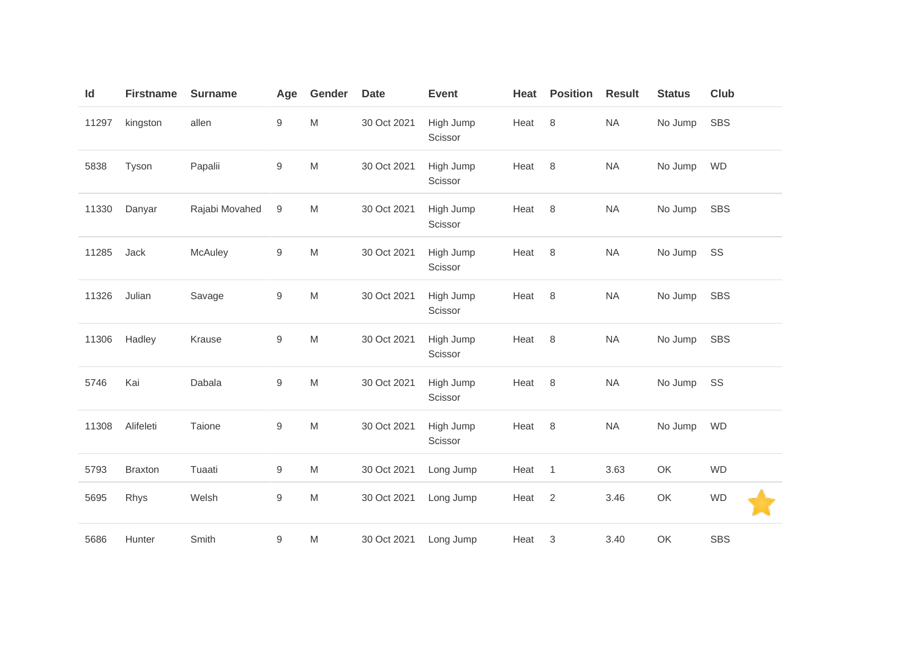| Id    | <b>Firstname</b> | <b>Surname</b> | Age              | Gender                                                                                                     | <b>Date</b> | <b>Event</b>         | Heat   | <b>Position</b> | <b>Result</b> | <b>Status</b> | Club       |
|-------|------------------|----------------|------------------|------------------------------------------------------------------------------------------------------------|-------------|----------------------|--------|-----------------|---------------|---------------|------------|
| 11297 | kingston         | allen          | 9                | ${\sf M}$                                                                                                  | 30 Oct 2021 | High Jump<br>Scissor | Heat   | 8               | <b>NA</b>     | No Jump       | <b>SBS</b> |
| 5838  | Tyson            | Papalii        | 9                | ${\sf M}$                                                                                                  | 30 Oct 2021 | High Jump<br>Scissor | Heat   | 8               | <b>NA</b>     | No Jump       | <b>WD</b>  |
| 11330 | Danyar           | Rajabi Movahed | $\boldsymbol{9}$ | ${\sf M}$                                                                                                  | 30 Oct 2021 | High Jump<br>Scissor | Heat   | 8               | <b>NA</b>     | No Jump       | <b>SBS</b> |
| 11285 | Jack             | McAuley        | 9                | $\mathsf{M}% _{T}=\mathsf{M}_{T}\!\left( a,b\right) ,\ \mathsf{M}_{T}=\mathsf{M}_{T}\!\left( a,b\right) ,$ | 30 Oct 2021 | High Jump<br>Scissor | Heat   | 8               | <b>NA</b>     | No Jump       | SS         |
| 11326 | Julian           | Savage         | 9                | $\mathsf{M}% _{T}=\mathsf{M}_{T}\!\left( a,b\right) ,\ \mathsf{M}_{T}=\mathsf{M}_{T}\!\left( a,b\right) ,$ | 30 Oct 2021 | High Jump<br>Scissor | Heat   | 8               | <b>NA</b>     | No Jump       | <b>SBS</b> |
| 11306 | Hadley           | Krause         | 9                | $\mathsf{M}% _{T}=\mathsf{M}_{T}\!\left( a,b\right) ,\ \mathsf{M}_{T}=\mathsf{M}_{T}$                      | 30 Oct 2021 | High Jump<br>Scissor | Heat   | 8               | <b>NA</b>     | No Jump       | <b>SBS</b> |
| 5746  | Kai              | Dabala         | 9                | $\mathsf{M}% _{T}=\mathsf{M}_{T}\!\left( a,b\right) ,\ \mathsf{M}_{T}=\mathsf{M}_{T}\!\left( a,b\right) ,$ | 30 Oct 2021 | High Jump<br>Scissor | Heat   | 8               | <b>NA</b>     | No Jump       | SS         |
| 11308 | Alifeleti        | Taione         | 9                | $\mathsf{M}% _{T}=\mathsf{M}_{T}\!\left( a,b\right) ,\ \mathsf{M}_{T}=\mathsf{M}_{T}$                      | 30 Oct 2021 | High Jump<br>Scissor | Heat 8 |                 | <b>NA</b>     | No Jump       | <b>WD</b>  |
| 5793  | <b>Braxton</b>   | Tuaati         | 9                | M                                                                                                          | 30 Oct 2021 | Long Jump            | Heat   | $\mathbf{1}$    | 3.63          | OK            | <b>WD</b>  |
| 5695  | Rhys             | Welsh          | 9                | $\mathsf{M}% _{T}=\mathsf{M}_{T}\!\left( a,b\right) ,\ \mathsf{M}_{T}=\mathsf{M}_{T}$                      | 30 Oct 2021 | Long Jump            | Heat   | $\overline{2}$  | 3.46          | OK            | <b>WD</b>  |
| 5686  | Hunter           | Smith          | 9                | M                                                                                                          | 30 Oct 2021 | Long Jump            | Heat   | 3               | 3.40          | OK            | <b>SBS</b> |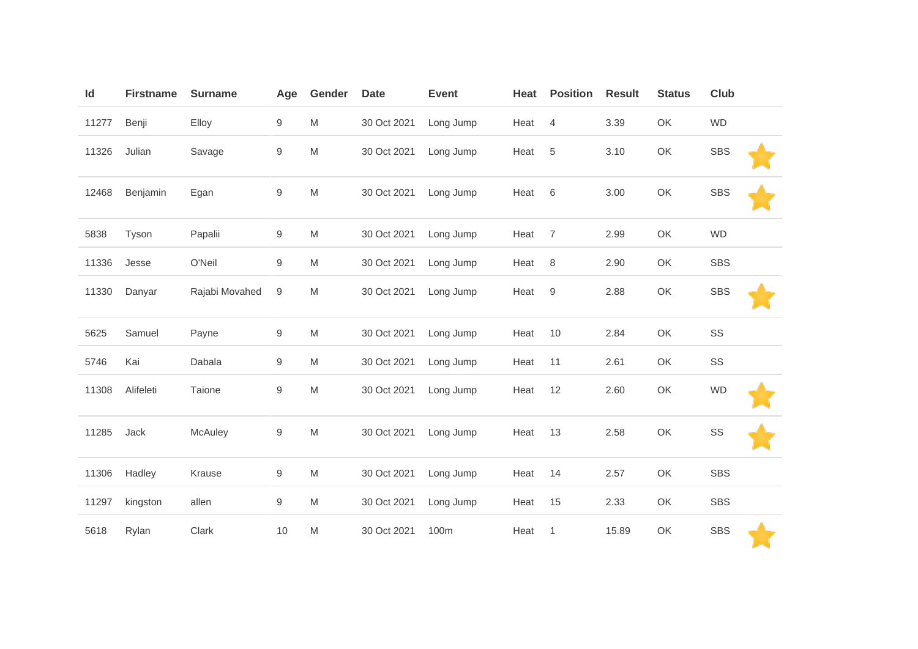| Id    | <b>Firstname</b> | <b>Surname</b> | Age              | Gender                                                                                                     | <b>Date</b> | <b>Event</b> | Heat | <b>Position</b> | <b>Result</b> | <b>Status</b> | Club        |
|-------|------------------|----------------|------------------|------------------------------------------------------------------------------------------------------------|-------------|--------------|------|-----------------|---------------|---------------|-------------|
| 11277 | Benji            | Elloy          | 9                | ${\sf M}$                                                                                                  | 30 Oct 2021 | Long Jump    | Heat | 4               | 3.39          | OK            | <b>WD</b>   |
| 11326 | Julian           | Savage         | 9                | $\mathsf{M}% _{T}=\mathsf{M}_{T}\!\left( a,b\right) ,\ \mathsf{M}_{T}=\mathsf{M}_{T}\!\left( a,b\right) ,$ | 30 Oct 2021 | Long Jump    | Heat | 5               | 3.10          | OK            | <b>SBS</b>  |
| 12468 | Benjamin         | Egan           | 9                | ${\sf M}$                                                                                                  | 30 Oct 2021 | Long Jump    | Heat | 6               | 3.00          | OK            | <b>SBS</b>  |
| 5838  | Tyson            | Papalii        | $\boldsymbol{9}$ | ${\sf M}$                                                                                                  | 30 Oct 2021 | Long Jump    | Heat | $\overline{7}$  | 2.99          | OK            | <b>WD</b>   |
| 11336 | Jesse            | O'Neil         | 9                | M                                                                                                          | 30 Oct 2021 | Long Jump    | Heat | $\,8\,$         | 2.90          | OK            | <b>SBS</b>  |
| 11330 | Danyar           | Rajabi Movahed | 9                | M                                                                                                          | 30 Oct 2021 | Long Jump    | Heat | 9               | 2.88          | OK            | <b>SBS</b>  |
| 5625  | Samuel           | Payne          | 9                | $\mathsf{M}% _{T}=\mathsf{M}_{T}\!\left( a,b\right) ,\ \mathsf{M}_{T}=\mathsf{M}_{T}\!\left( a,b\right) ,$ | 30 Oct 2021 | Long Jump    | Heat | 10              | 2.84          | OK            | SS          |
| 5746  | Kai              | Dabala         | 9                | M                                                                                                          | 30 Oct 2021 | Long Jump    | Heat | 11              | 2.61          | OK            | SS          |
| 11308 | Alifeleti        | Taione         | 9                | $\mathsf{M}% _{T}=\mathsf{M}_{T}\!\left( a,b\right) ,\ \mathsf{M}_{T}=\mathsf{M}_{T}\!\left( a,b\right) ,$ | 30 Oct 2021 | Long Jump    | Heat | 12              | 2.60          | OK            | <b>WD</b>   |
| 11285 | Jack             | McAuley        | 9                | $\mathsf{M}% _{T}=\mathsf{M}_{T}\!\left( a,b\right) ,\ \mathsf{M}_{T}=\mathsf{M}_{T}\!\left( a,b\right) ,$ | 30 Oct 2021 | Long Jump    | Heat | 13              | 2.58          | OK            | $\text{SS}$ |
| 11306 | Hadley           | Krause         | 9                | ${\sf M}$                                                                                                  | 30 Oct 2021 | Long Jump    | Heat | 14              | 2.57          | OK            | <b>SBS</b>  |
| 11297 | kingston         | allen          | 9                | M                                                                                                          | 30 Oct 2021 | Long Jump    | Heat | 15              | 2.33          | OK            | <b>SBS</b>  |
| 5618  | Rylan            | Clark          | 10               | M                                                                                                          | 30 Oct 2021 | 100m         | Heat | 1               | 15.89         | OK            | <b>SBS</b>  |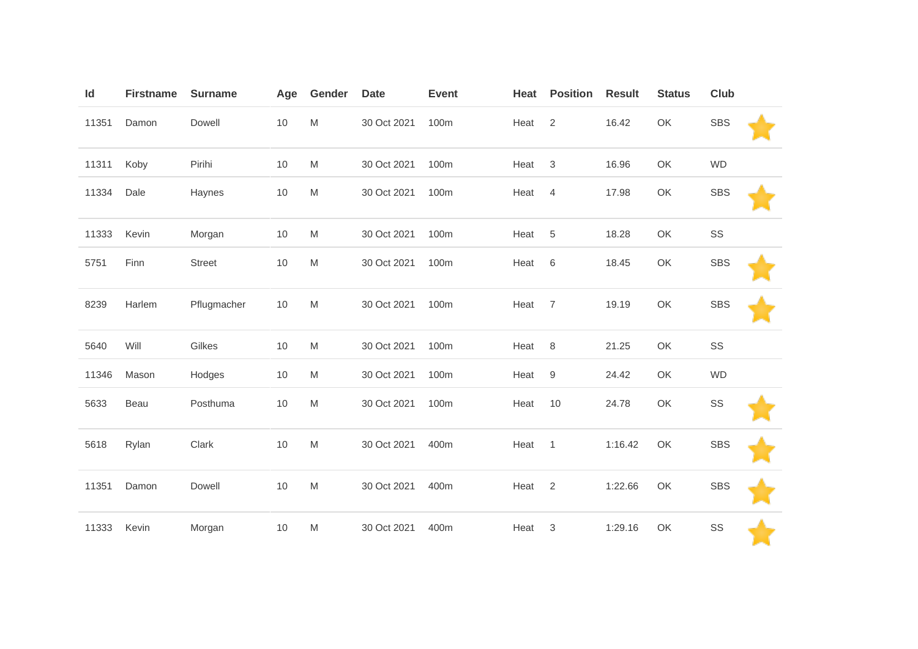| Id    | <b>Firstname</b> | <b>Surname</b> | Age  | <b>Gender</b>                                                                                              | <b>Date</b> | <b>Event</b> | Heat | <b>Position</b>  | <b>Result</b> | <b>Status</b> | Club       |  |
|-------|------------------|----------------|------|------------------------------------------------------------------------------------------------------------|-------------|--------------|------|------------------|---------------|---------------|------------|--|
| 11351 | Damon            | Dowell         | 10   | $\mathsf{M}% _{T}=\mathsf{M}_{T}\!\left( a,b\right) ,\ \mathsf{M}_{T}=\mathsf{M}_{T}$                      | 30 Oct 2021 | 100m         | Heat | $\overline{2}$   | 16.42         | OK            | <b>SBS</b> |  |
| 11311 | Koby             | Pirihi         | 10   | $\mathsf{M}% _{T}=\mathsf{M}_{T}\!\left( a,b\right) ,\ \mathsf{M}_{T}=\mathsf{M}_{T}$                      | 30 Oct 2021 | 100m         | Heat | 3                | 16.96         | OK            | <b>WD</b>  |  |
| 11334 | Dale             | Haynes         | 10   | $\mathsf{M}% _{T}=\mathsf{M}_{T}\!\left( a,b\right) ,\ \mathsf{M}_{T}=\mathsf{M}_{T}\!\left( a,b\right) ,$ | 30 Oct 2021 | 100m         | Heat | $\overline{4}$   | 17.98         | OK            | <b>SBS</b> |  |
| 11333 | Kevin            | Morgan         | 10   | $\mathsf{M}% _{T}=\mathsf{M}_{T}\!\left( a,b\right) ,\ \mathsf{M}_{T}=\mathsf{M}_{T}$                      | 30 Oct 2021 | 100m         | Heat | 5                | 18.28         | OK            | SS         |  |
| 5751  | Finn             | <b>Street</b>  | 10   | $\mathsf{M}% _{T}=\mathsf{M}_{T}\!\left( a,b\right) ,\ \mathsf{M}_{T}=\mathsf{M}_{T}$                      | 30 Oct 2021 | 100m         | Heat | $\,6\,$          | 18.45         | OK            | <b>SBS</b> |  |
| 8239  | Harlem           | Pflugmacher    | $10$ | $\mathsf{M}% _{T}=\mathsf{M}_{T}\!\left( a,b\right) ,\ \mathsf{M}_{T}=\mathsf{M}_{T}\!\left( a,b\right) ,$ | 30 Oct 2021 | 100m         | Heat | $\overline{7}$   | 19.19         | OK            | <b>SBS</b> |  |
| 5640  | Will             | Gilkes         | 10   | $\mathsf{M}% _{T}=\mathsf{M}_{T}\!\left( a,b\right) ,\ \mathsf{M}_{T}=\mathsf{M}_{T}$                      | 30 Oct 2021 | 100m         | Heat | 8                | 21.25         | OK            | SS         |  |
| 11346 | Mason            | Hodges         | $10$ | $\mathsf{M}% _{T}=\mathsf{M}_{T}\!\left( a,b\right) ,\ \mathsf{M}_{T}=\mathsf{M}_{T}$                      | 30 Oct 2021 | 100m         | Heat | $\boldsymbol{9}$ | 24.42         | OK            | <b>WD</b>  |  |
| 5633  | Beau             | Posthuma       | $10$ | M                                                                                                          | 30 Oct 2021 | 100m         | Heat | 10               | 24.78         | OK            | SS         |  |
| 5618  | Rylan            | Clark          | 10   | $\mathsf{M}% _{T}=\mathsf{M}_{T}\!\left( a,b\right) ,\ \mathsf{M}_{T}=\mathsf{M}_{T}\!\left( a,b\right) ,$ | 30 Oct 2021 | 400m         | Heat | $\mathbf{1}$     | 1:16.42       | OK            | <b>SBS</b> |  |
| 11351 | Damon            | Dowell         | 10   | ${\sf M}$                                                                                                  | 30 Oct 2021 | 400m         | Heat | $\overline{2}$   | 1:22.66       | OK            | <b>SBS</b> |  |
| 11333 | Kevin            | Morgan         | $10$ | M                                                                                                          | 30 Oct 2021 | 400m         | Heat | 3                | 1:29.16       | OK            | SS         |  |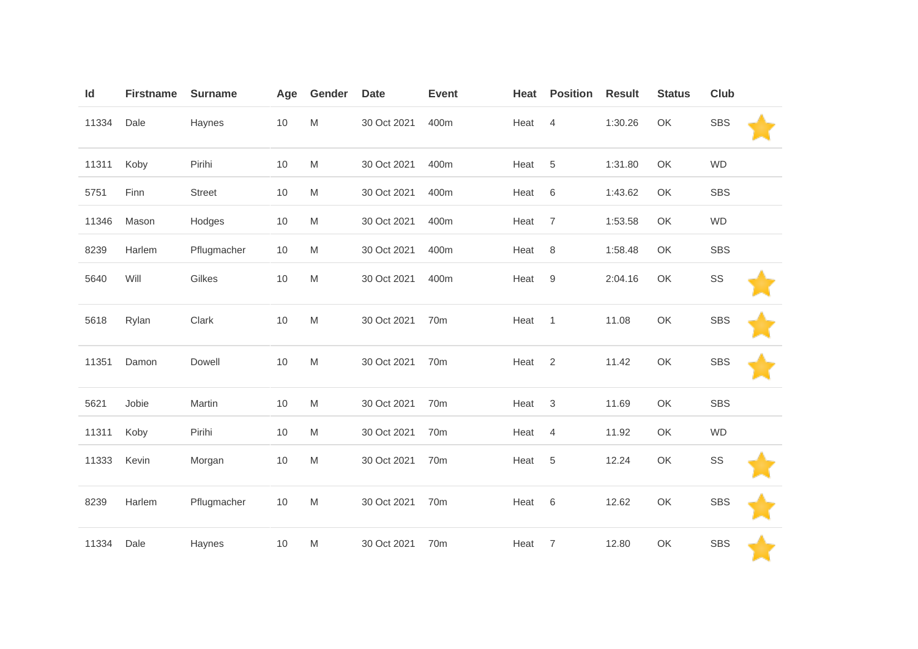| Id    | <b>Firstname</b> | <b>Surname</b> | Age  | Gender                                                                                                     | <b>Date</b> | <b>Event</b> | Heat | <b>Position</b>           | <b>Result</b> | <b>Status</b> | Club       |  |
|-------|------------------|----------------|------|------------------------------------------------------------------------------------------------------------|-------------|--------------|------|---------------------------|---------------|---------------|------------|--|
| 11334 | Dale             | Haynes         | $10$ | $\mathsf{M}% _{T}=\mathsf{M}_{T}\!\left( a,b\right) ,\ \mathsf{M}_{T}=\mathsf{M}_{T}\!\left( a,b\right) ,$ | 30 Oct 2021 | 400m         | Heat | $\overline{4}$            | 1:30.26       | OK            | <b>SBS</b> |  |
| 11311 | Koby             | Pirihi         | 10   | $\mathsf{M}% _{T}=\mathsf{M}_{T}\!\left( a,b\right) ,\ \mathsf{M}_{T}=\mathsf{M}_{T}\!\left( a,b\right) ,$ | 30 Oct 2021 | 400m         | Heat | 5                         | 1:31.80       | OK            | <b>WD</b>  |  |
| 5751  | Finn             | <b>Street</b>  | 10   | $\mathsf{M}% _{T}=\mathsf{M}_{T}\!\left( a,b\right) ,\ \mathsf{M}_{T}=\mathsf{M}_{T}\!\left( a,b\right) ,$ | 30 Oct 2021 | 400m         | Heat | $\,6\,$                   | 1:43.62       | OK            | <b>SBS</b> |  |
| 11346 | Mason            | Hodges         | 10   | $\mathsf{M}% _{T}=\mathsf{M}_{T}\!\left( a,b\right) ,\ \mathsf{M}_{T}=\mathsf{M}_{T}\!\left( a,b\right) ,$ | 30 Oct 2021 | 400m         | Heat | $\overline{7}$            | 1:53.58       | OK            | <b>WD</b>  |  |
| 8239  | Harlem           | Pflugmacher    | $10$ | $\mathsf{M}% _{T}=\mathsf{M}_{T}\!\left( a,b\right) ,\ \mathsf{M}_{T}=\mathsf{M}_{T}\!\left( a,b\right) ,$ | 30 Oct 2021 | 400m         | Heat | $\,8\,$                   | 1:58.48       | OK            | <b>SBS</b> |  |
| 5640  | Will             | Gilkes         | 10   | $\mathsf{M}% _{T}=\mathsf{M}_{T}\!\left( a,b\right) ,\ \mathsf{M}_{T}=\mathsf{M}_{T}\!\left( a,b\right) ,$ | 30 Oct 2021 | 400m         | Heat | 9                         | 2:04.16       | OK            | SS         |  |
| 5618  | Rylan            | Clark          | $10$ | $\mathsf{M}% _{T}=\mathsf{M}_{T}\!\left( a,b\right) ,\ \mathsf{M}_{T}=\mathsf{M}_{T}\!\left( a,b\right) ,$ | 30 Oct 2021 | 70m          | Heat | $\mathbf{1}$              | 11.08         | OK            | <b>SBS</b> |  |
| 11351 | Damon            | Dowell         | $10$ | $\mathsf{M}% _{T}=\mathsf{M}_{T}\!\left( a,b\right) ,\ \mathsf{M}_{T}=\mathsf{M}_{T}\!\left( a,b\right) ,$ | 30 Oct 2021 | 70m          | Heat | $\sqrt{2}$                | 11.42         | OK            | <b>SBS</b> |  |
| 5621  | Jobie            | Martin         | $10$ | $\mathsf{M}% _{T}=\mathsf{M}_{T}\!\left( a,b\right) ,\ \mathsf{M}_{T}=\mathsf{M}_{T}\!\left( a,b\right) ,$ | 30 Oct 2021 | 70m          | Heat | $\ensuremath{\mathsf{3}}$ | 11.69         | OK            | <b>SBS</b> |  |
| 11311 | Koby             | Pirihi         | 10   | M                                                                                                          | 30 Oct 2021 | 70m          | Heat | $\overline{4}$            | 11.92         | OK            | <b>WD</b>  |  |
| 11333 | Kevin            | Morgan         | $10$ | $\mathsf{M}% _{T}=\mathsf{M}_{T}\!\left( a,b\right) ,\ \mathsf{M}_{T}=\mathsf{M}_{T}\!\left( a,b\right) ,$ | 30 Oct 2021 | 70m          | Heat | $\sqrt{5}$                | 12.24         | OK            | SS         |  |
| 8239  | Harlem           | Pflugmacher    | 10   | $\mathsf{M}% _{T}=\mathsf{M}_{T}\!\left( a,b\right) ,\ \mathsf{M}_{T}=\mathsf{M}_{T}\!\left( a,b\right) ,$ | 30 Oct 2021 | 70m          | Heat | $\,6\,$                   | 12.62         | OK            | <b>SBS</b> |  |
| 11334 | Dale             | Haynes         | 10   | M                                                                                                          | 30 Oct 2021 | 70m          | Heat | $\overline{7}$            | 12.80         | OK            | <b>SBS</b> |  |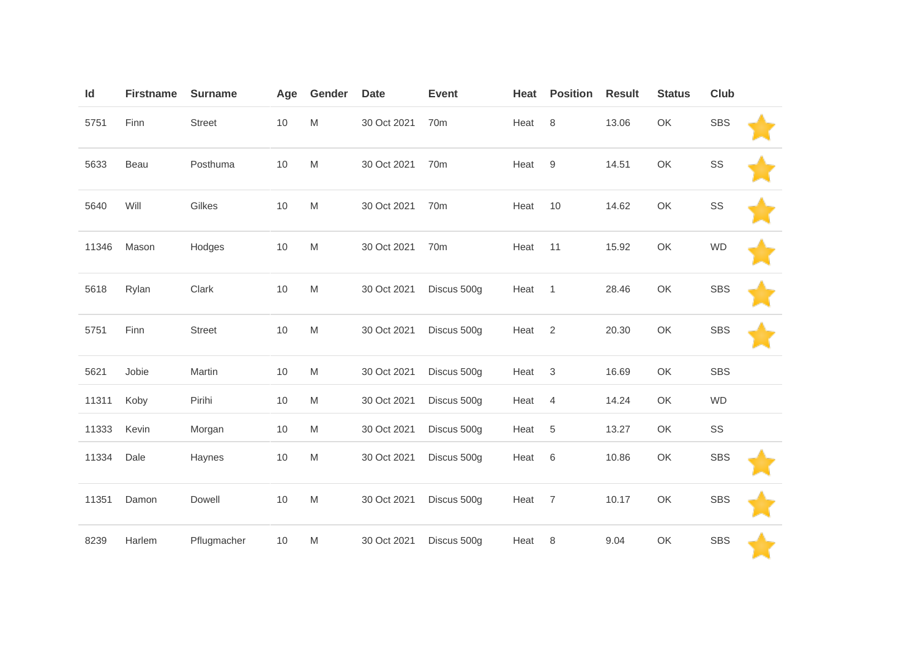| Id    | <b>Firstname</b> | <b>Surname</b> | Age  | Gender                                                                                                     | <b>Date</b> | <b>Event</b>    | Heat | <b>Position</b> | <b>Result</b> | <b>Status</b> | Club       |  |
|-------|------------------|----------------|------|------------------------------------------------------------------------------------------------------------|-------------|-----------------|------|-----------------|---------------|---------------|------------|--|
| 5751  | Finn             | Street         | 10   | $\mathsf{M}% _{T}=\mathsf{M}_{T}\!\left( a,b\right) ,\ \mathsf{M}_{T}=\mathsf{M}_{T}\!\left( a,b\right) ,$ | 30 Oct 2021 | 70 <sub>m</sub> | Heat | 8               | 13.06         | OK            | <b>SBS</b> |  |
| 5633  | Beau             | Posthuma       | 10   | $\mathsf{M}% _{T}=\mathsf{M}_{T}\!\left( a,b\right) ,\ \mathsf{M}_{T}=\mathsf{M}_{T}\!\left( a,b\right) ,$ | 30 Oct 2021 | 70m             | Heat | 9               | 14.51         | OK            | SS         |  |
| 5640  | Will             | Gilkes         | 10   | $\mathsf{M}% _{T}=\mathsf{M}_{T}\!\left( a,b\right) ,\ \mathsf{M}_{T}=\mathsf{M}_{T}\!\left( a,b\right) ,$ | 30 Oct 2021 | 70m             | Heat | 10              | 14.62         | OK            | SS         |  |
| 11346 | Mason            | Hodges         | 10   | $\mathsf{M}% _{T}=\mathsf{M}_{T}\!\left( a,b\right) ,\ \mathsf{M}_{T}=\mathsf{M}_{T}\!\left( a,b\right) ,$ | 30 Oct 2021 | 70m             | Heat | 11              | 15.92         | OK            | <b>WD</b>  |  |
| 5618  | Rylan            | Clark          | 10   | $\mathsf{M}% _{T}=\mathsf{M}_{T}\!\left( a,b\right) ,\ \mathsf{M}_{T}=\mathsf{M}_{T}\!\left( a,b\right) ,$ | 30 Oct 2021 | Discus 500g     | Heat | $\mathbf{1}$    | 28.46         | OK            | <b>SBS</b> |  |
| 5751  | Finn             | <b>Street</b>  | 10   | $\mathsf{M}% _{T}=\mathsf{M}_{T}\!\left( a,b\right) ,\ \mathsf{M}_{T}=\mathsf{M}_{T}\!\left( a,b\right) ,$ | 30 Oct 2021 | Discus 500g     | Heat | 2               | 20.30         | OK            | <b>SBS</b> |  |
| 5621  | Jobie            | Martin         | 10   | M                                                                                                          | 30 Oct 2021 | Discus 500g     | Heat | $\mathsf 3$     | 16.69         | OK            | <b>SBS</b> |  |
| 11311 | Koby             | Pirihi         | $10$ | $\mathsf{M}% _{T}=\mathsf{M}_{T}\!\left( a,b\right) ,\ \mathsf{M}_{T}=\mathsf{M}_{T}\!\left( a,b\right) ,$ | 30 Oct 2021 | Discus 500g     | Heat | $\overline{4}$  | 14.24         | OK            | <b>WD</b>  |  |
| 11333 | Kevin            | Morgan         | 10   | M                                                                                                          | 30 Oct 2021 | Discus 500g     | Heat | 5               | 13.27         | OK            | SS         |  |
| 11334 | Dale             | Haynes         | 10   | $\mathsf{M}% _{T}=\mathsf{M}_{T}\!\left( a,b\right) ,\ \mathsf{M}_{T}=\mathsf{M}_{T}\!\left( a,b\right) ,$ | 30 Oct 2021 | Discus 500g     | Heat | 6               | 10.86         | OK            | <b>SBS</b> |  |
| 11351 | Damon            | Dowell         | 10   | $\mathsf{M}% _{T}=\mathsf{M}_{T}\!\left( a,b\right) ,\ \mathsf{M}_{T}=\mathsf{M}_{T}\!\left( a,b\right) ,$ | 30 Oct 2021 | Discus 500g     | Heat | $\overline{7}$  | 10.17         | OK            | <b>SBS</b> |  |
| 8239  | Harlem           | Pflugmacher    | 10   | ${\sf M}$                                                                                                  | 30 Oct 2021 | Discus 500g     | Heat | 8               | 9.04          | OK            | <b>SBS</b> |  |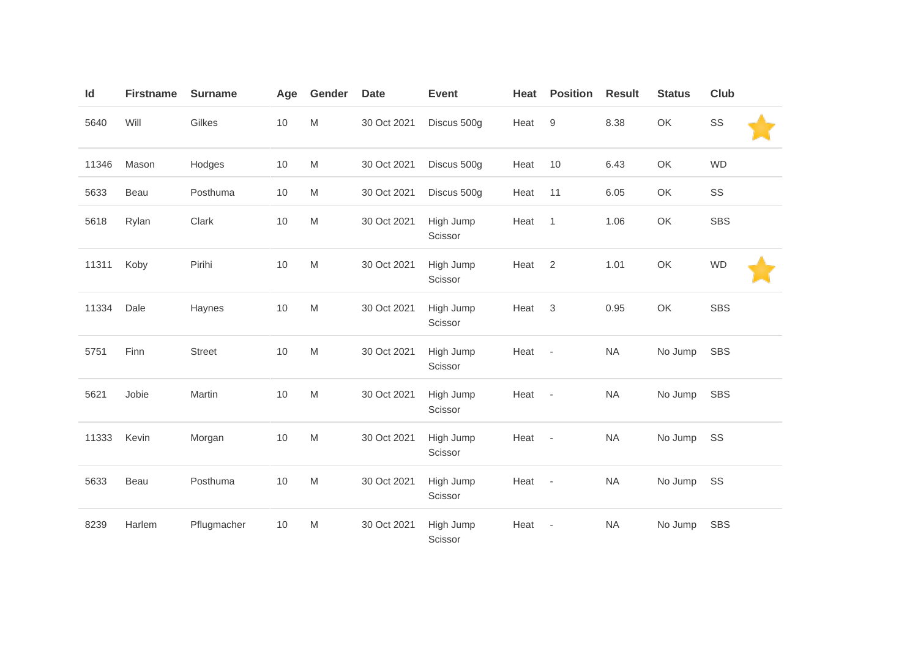| Id    | <b>Firstname</b> | <b>Surname</b> | Age  | Gender                                                                                                     | <b>Date</b> | <b>Event</b>         | Heat | <b>Position</b>          | <b>Result</b> | <b>Status</b> | Club        |
|-------|------------------|----------------|------|------------------------------------------------------------------------------------------------------------|-------------|----------------------|------|--------------------------|---------------|---------------|-------------|
| 5640  | Will             | Gilkes         | $10$ | $\mathsf{M}% _{T}=\mathsf{M}_{T}\!\left( a,b\right) ,\ \mathsf{M}_{T}=\mathsf{M}_{T}\!\left( a,b\right) ,$ | 30 Oct 2021 | Discus 500g          | Heat | $\boldsymbol{9}$         | 8.38          | OK            | $\text{SS}$ |
| 11346 | Mason            | Hodges         | 10   | M                                                                                                          | 30 Oct 2021 | Discus 500g          | Heat | 10                       | 6.43          | OK            | <b>WD</b>   |
| 5633  | Beau             | Posthuma       | $10$ | ${\sf M}$                                                                                                  | 30 Oct 2021 | Discus 500g          | Heat | 11                       | 6.05          | OK            | SS          |
| 5618  | Rylan            | Clark          | $10$ | ${\sf M}$                                                                                                  | 30 Oct 2021 | High Jump<br>Scissor | Heat | $\mathbf{1}$             | 1.06          | OK            | <b>SBS</b>  |
| 11311 | Koby             | Pirihi         | 10   | $\mathsf{M}% _{T}=\mathsf{M}_{T}\!\left( a,b\right) ,\ \mathsf{M}_{T}=\mathsf{M}_{T}\!\left( a,b\right) ,$ | 30 Oct 2021 | High Jump<br>Scissor | Heat | $\overline{2}$           | 1.01          | OK            | <b>WD</b>   |
| 11334 | Dale             | Haynes         | 10   | $\mathsf{M}% _{T}=\mathsf{M}_{T}\!\left( a,b\right) ,\ \mathsf{M}_{T}=\mathsf{M}_{T}\!\left( a,b\right) ,$ | 30 Oct 2021 | High Jump<br>Scissor | Heat | $\mathbf 3$              | 0.95          | OK            | <b>SBS</b>  |
| 5751  | Finn             | Street         | 10   | $\mathsf{M}% _{T}=\mathsf{M}_{T}\!\left( a,b\right) ,\ \mathsf{M}_{T}=\mathsf{M}_{T}\!\left( a,b\right) ,$ | 30 Oct 2021 | High Jump<br>Scissor | Heat | $\overline{\phantom{a}}$ | <b>NA</b>     | No Jump       | <b>SBS</b>  |
| 5621  | Jobie            | Martin         | 10   | $\mathsf{M}% _{T}=\mathsf{M}_{T}\!\left( a,b\right) ,\ \mathsf{M}_{T}=\mathsf{M}_{T}\!\left( a,b\right) ,$ | 30 Oct 2021 | High Jump<br>Scissor | Heat | $\overline{\phantom{a}}$ | <b>NA</b>     | No Jump       | <b>SBS</b>  |
| 11333 | Kevin            | Morgan         | 10   | $\mathsf{M}% _{T}=\mathsf{M}_{T}\!\left( a,b\right) ,\ \mathsf{M}_{T}=\mathsf{M}_{T}\!\left( a,b\right) ,$ | 30 Oct 2021 | High Jump<br>Scissor | Heat | $\overline{\phantom{a}}$ | <b>NA</b>     | No Jump       | SS          |
| 5633  | Beau             | Posthuma       | 10   | $\mathsf{M}% _{T}=\mathsf{M}_{T}\!\left( a,b\right) ,\ \mathsf{M}_{T}=\mathsf{M}_{T}$                      | 30 Oct 2021 | High Jump<br>Scissor | Heat | $\overline{\phantom{a}}$ | <b>NA</b>     | No Jump       | SS          |
| 8239  | Harlem           | Pflugmacher    | 10   | M                                                                                                          | 30 Oct 2021 | High Jump<br>Scissor | Heat | ÷,                       | <b>NA</b>     | No Jump       | <b>SBS</b>  |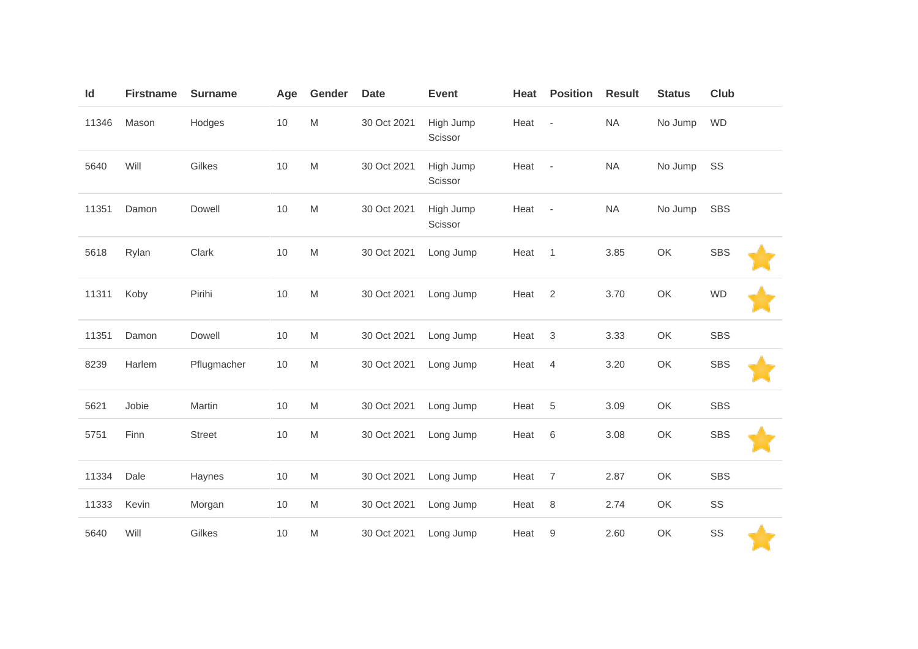| Id    | <b>Firstname</b> | <b>Surname</b> | Age  | Gender                                                                                                     | <b>Date</b> | <b>Event</b>         | Heat   | <b>Position</b>          | <b>Result</b> | <b>Status</b> | Club       |  |
|-------|------------------|----------------|------|------------------------------------------------------------------------------------------------------------|-------------|----------------------|--------|--------------------------|---------------|---------------|------------|--|
| 11346 | Mason            | Hodges         | 10   | $\mathsf{M}% _{T}=\mathsf{M}_{T}\!\left( a,b\right) ,\ \mathsf{M}_{T}=\mathsf{M}_{T}\!\left( a,b\right) ,$ | 30 Oct 2021 | High Jump<br>Scissor | Heat   | $\overline{\phantom{a}}$ | <b>NA</b>     | No Jump       | <b>WD</b>  |  |
| 5640  | Will             | Gilkes         | 10   | $\mathsf{M}% _{T}=\mathsf{M}_{T}\!\left( a,b\right) ,\ \mathsf{M}_{T}=\mathsf{M}_{T}$                      | 30 Oct 2021 | High Jump<br>Scissor | Heat - |                          | <b>NA</b>     | No Jump       | SS         |  |
| 11351 | Damon            | Dowell         | $10$ | $\mathsf{M}% _{T}=\mathsf{M}_{T}\!\left( a,b\right) ,\ \mathsf{M}_{T}=\mathsf{M}_{T}\!\left( a,b\right) ,$ | 30 Oct 2021 | High Jump<br>Scissor | Heat - |                          | NA            | No Jump       | <b>SBS</b> |  |
| 5618  | Rylan            | Clark          | 10   | $\mathsf{M}% _{T}=\mathsf{M}_{T}\!\left( a,b\right) ,\ \mathsf{M}_{T}=\mathsf{M}_{T}\!\left( a,b\right) ,$ | 30 Oct 2021 | Long Jump            | Heat   | $\overline{1}$           | 3.85          | OK            | <b>SBS</b> |  |
| 11311 | Koby             | Pirihi         | $10$ | $\mathsf{M}% _{T}=\mathsf{M}_{T}\!\left( a,b\right) ,\ \mathsf{M}_{T}=\mathsf{M}_{T}\!\left( a,b\right) ,$ | 30 Oct 2021 | Long Jump            | Heat   | $\overline{2}$           | 3.70          | OK            | <b>WD</b>  |  |
| 11351 | Damon            | Dowell         | 10   | ${\sf M}$                                                                                                  | 30 Oct 2021 | Long Jump            | Heat   | $\sqrt{3}$               | 3.33          | OK            | <b>SBS</b> |  |
| 8239  | Harlem           | Pflugmacher    | $10$ | $\mathsf{M}% _{T}=\mathsf{M}_{T}\!\left( a,b\right) ,\ \mathsf{M}_{T}=\mathsf{M}_{T}\!\left( a,b\right) ,$ | 30 Oct 2021 | Long Jump            | Heat   | $\overline{4}$           | 3.20          | OK            | <b>SBS</b> |  |
| 5621  | Jobie            | Martin         | $10$ | $\mathsf{M}% _{T}=\mathsf{M}_{T}\!\left( a,b\right) ,\ \mathsf{M}_{T}=\mathsf{M}_{T}\!\left( a,b\right) ,$ | 30 Oct 2021 | Long Jump            | Heat   | $\,$ 5 $\,$              | 3.09          | OK            | <b>SBS</b> |  |
| 5751  | Finn             | <b>Street</b>  | $10$ | $\mathsf{M}% _{T}=\mathsf{M}_{T}\!\left( a,b\right) ,\ \mathsf{M}_{T}=\mathsf{M}_{T}\!\left( a,b\right) ,$ | 30 Oct 2021 | Long Jump            | Heat   | $\,6$                    | 3.08          | OK            | <b>SBS</b> |  |
| 11334 | Dale             | Haynes         | 10   | $\mathsf{M}% _{T}=\mathsf{M}_{T}\!\left( a,b\right) ,\ \mathsf{M}_{T}=\mathsf{M}_{T}$                      | 30 Oct 2021 | Long Jump            | Heat   | $\overline{7}$           | 2.87          | OK            | <b>SBS</b> |  |
| 11333 | Kevin            | Morgan         | $10$ | M                                                                                                          | 30 Oct 2021 | Long Jump            | Heat   | $\,8\,$                  | 2.74          | OK            | SS         |  |
| 5640  | Will             | Gilkes         | 10   | $\mathsf{M}% _{T}=\mathsf{M}_{T}\!\left( a,b\right) ,\ \mathsf{M}_{T}=\mathsf{M}_{T}\!\left( a,b\right) ,$ | 30 Oct 2021 | Long Jump            | Heat   | 9                        | 2.60          | OK            | SS         |  |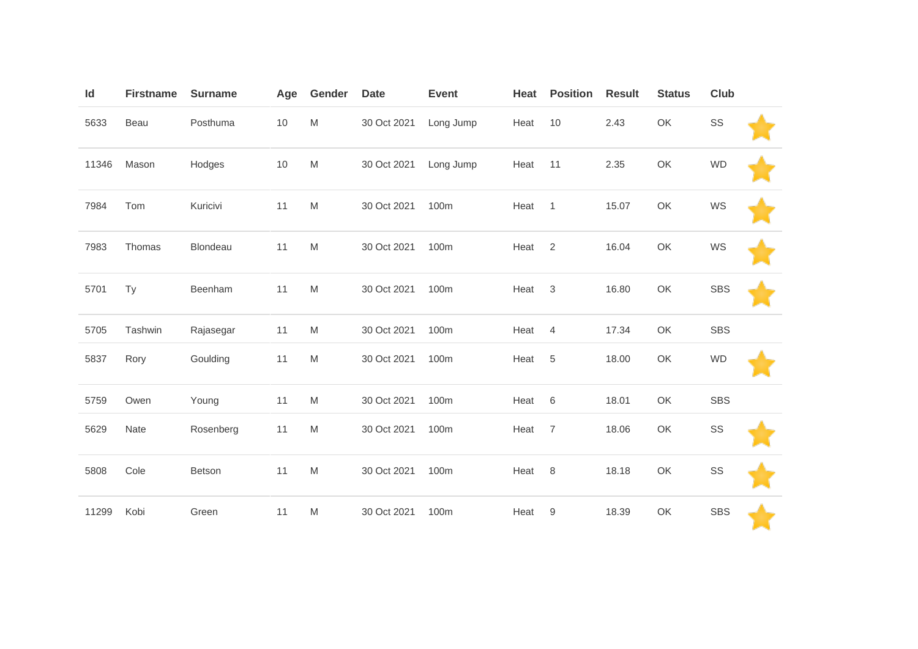| Id    | <b>Firstname</b> | <b>Surname</b> | Age  | Gender                                                                                                     | <b>Date</b> | <b>Event</b> | Heat | <b>Position</b> | <b>Result</b> | <b>Status</b> | <b>Club</b> |  |
|-------|------------------|----------------|------|------------------------------------------------------------------------------------------------------------|-------------|--------------|------|-----------------|---------------|---------------|-------------|--|
| 5633  | Beau             | Posthuma       | $10$ | M                                                                                                          | 30 Oct 2021 | Long Jump    | Heat | 10              | 2.43          | OK            | SS          |  |
| 11346 | Mason            | Hodges         | 10   | M                                                                                                          | 30 Oct 2021 | Long Jump    | Heat | 11              | 2.35          | OK            | <b>WD</b>   |  |
| 7984  | Tom              | Kuricivi       | 11   | M                                                                                                          | 30 Oct 2021 | 100m         | Heat | $\overline{1}$  | 15.07         | OK            | WS          |  |
| 7983  | Thomas           | Blondeau       | 11   | M                                                                                                          | 30 Oct 2021 | 100m         | Heat | 2               | 16.04         | OK            | WS          |  |
| 5701  | Ty               | Beenham        | 11   | ${\sf M}$                                                                                                  | 30 Oct 2021 | 100m         | Heat | 3               | 16.80         | OK            | <b>SBS</b>  |  |
| 5705  | Tashwin          | Rajasegar      | 11   | M                                                                                                          | 30 Oct 2021 | 100m         | Heat | 4               | 17.34         | OK            | <b>SBS</b>  |  |
| 5837  | Rory             | Goulding       | 11   | M                                                                                                          | 30 Oct 2021 | 100m         | Heat | 5               | 18.00         | OK            | <b>WD</b>   |  |
| 5759  | Owen             | Young          | 11   | M                                                                                                          | 30 Oct 2021 | 100m         | Heat | 6               | 18.01         | OK            | <b>SBS</b>  |  |
| 5629  | Nate             | Rosenberg      | 11   | $\mathsf{M}% _{T}=\mathsf{M}_{T}\!\left( a,b\right) ,\ \mathsf{M}_{T}=\mathsf{M}_{T}\!\left( a,b\right) ,$ | 30 Oct 2021 | 100m         | Heat | $\overline{7}$  | 18.06         | OK            | SS          |  |
| 5808  | Cole             | Betson         | 11   | $\mathsf{M}% _{T}=\mathsf{M}_{T}\!\left( a,b\right) ,\ \mathsf{M}_{T}=\mathsf{M}_{T}\!\left( a,b\right) ,$ | 30 Oct 2021 | 100m         | Heat | 8               | 18.18         | OK            | SS          |  |
| 11299 | Kobi             | Green          | 11   | $\mathsf{M}% _{T}=\mathsf{M}_{T}\!\left( a,b\right) ,\ \mathsf{M}_{T}=\mathsf{M}_{T}\!\left( a,b\right) ,$ | 30 Oct 2021 | 100m         | Heat | 9               | 18.39         | OK            | <b>SBS</b>  |  |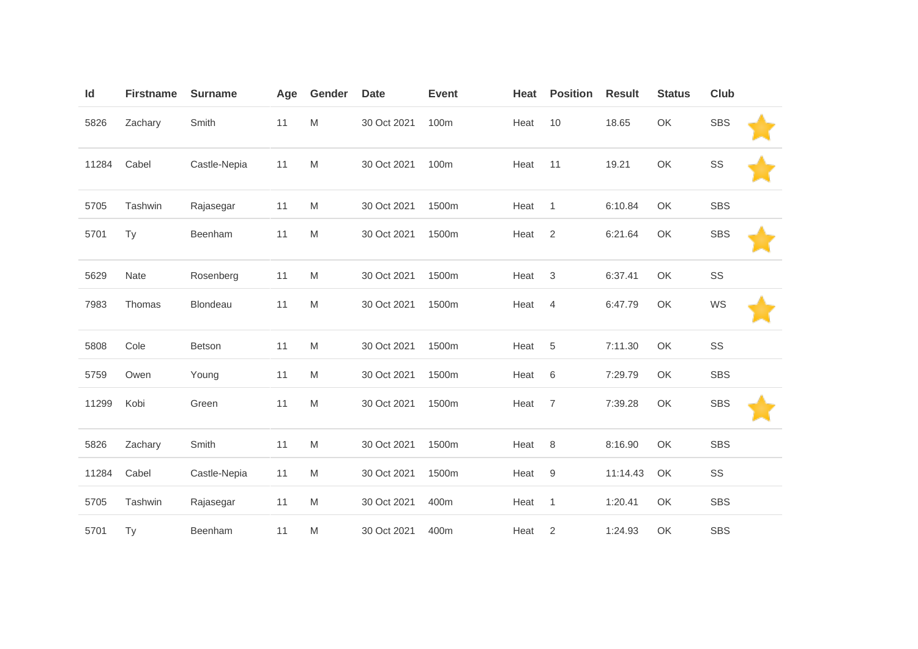| ld    | <b>Firstname</b> | <b>Surname</b> | Age | Gender                                                                                                     | <b>Date</b> | <b>Event</b> | Heat | <b>Position</b>           | <b>Result</b> | <b>Status</b> | <b>Club</b> |  |
|-------|------------------|----------------|-----|------------------------------------------------------------------------------------------------------------|-------------|--------------|------|---------------------------|---------------|---------------|-------------|--|
| 5826  | Zachary          | Smith          | 11  | $\mathsf{M}% _{T}=\mathsf{M}_{T}\!\left( a,b\right) ,\ \mathsf{M}_{T}=\mathsf{M}_{T}\!\left( a,b\right) ,$ | 30 Oct 2021 | 100m         | Heat | 10                        | 18.65         | OK            | <b>SBS</b>  |  |
| 11284 | Cabel            | Castle-Nepia   | 11  | $\mathsf{M}% _{T}=\mathsf{M}_{T}\!\left( a,b\right) ,\ \mathsf{M}_{T}=\mathsf{M}_{T}\!\left( a,b\right) ,$ | 30 Oct 2021 | 100m         | Heat | 11                        | 19.21         | OK            | SS          |  |
| 5705  | Tashwin          | Rajasegar      | 11  | M                                                                                                          | 30 Oct 2021 | 1500m        | Heat | $\overline{1}$            | 6:10.84       | OK            | <b>SBS</b>  |  |
| 5701  | Ty               | Beenham        | 11  | $\mathsf{M}% _{T}=\mathsf{M}_{T}\!\left( a,b\right) ,\ \mathsf{M}_{T}=\mathsf{M}_{T}\!\left( a,b\right) ,$ | 30 Oct 2021 | 1500m        | Heat | $\overline{2}$            | 6:21.64       | OK            | <b>SBS</b>  |  |
| 5629  | Nate             | Rosenberg      | 11  | $\mathsf{M}% _{T}=\mathsf{M}_{T}\!\left( a,b\right) ,\ \mathsf{M}_{T}=\mathsf{M}_{T}\!\left( a,b\right) ,$ | 30 Oct 2021 | 1500m        | Heat | $\ensuremath{\mathsf{3}}$ | 6:37.41       | OK            | SS          |  |
| 7983  | Thomas           | Blondeau       | 11  | M                                                                                                          | 30 Oct 2021 | 1500m        | Heat | $\overline{4}$            | 6:47.79       | OK            | WS          |  |
| 5808  | Cole             | <b>Betson</b>  | 11  | M                                                                                                          | 30 Oct 2021 | 1500m        | Heat | 5                         | 7:11.30       | OK            | SS          |  |
| 5759  | Owen             | Young          | 11  | M                                                                                                          | 30 Oct 2021 | 1500m        | Heat | 6                         | 7:29.79       | OK            | <b>SBS</b>  |  |
| 11299 | Kobi             | Green          | 11  | $\mathsf{M}% _{T}=\mathsf{M}_{T}\!\left( a,b\right) ,\ \mathsf{M}_{T}=\mathsf{M}_{T}\!\left( a,b\right) ,$ | 30 Oct 2021 | 1500m        | Heat | $\overline{7}$            | 7:39.28       | OK            | <b>SBS</b>  |  |
| 5826  | Zachary          | Smith          | 11  | $\mathsf{M}% _{T}=\mathsf{M}_{T}\!\left( a,b\right) ,\ \mathsf{M}_{T}=\mathsf{M}_{T}\!\left( a,b\right) ,$ | 30 Oct 2021 | 1500m        | Heat | 8                         | 8:16.90       | OK            | <b>SBS</b>  |  |
| 11284 | Cabel            | Castle-Nepia   | 11  | M                                                                                                          | 30 Oct 2021 | 1500m        | Heat | $9\,$                     | 11:14.43      | OK            | SS          |  |
| 5705  | Tashwin          | Rajasegar      | 11  | $\mathsf{M}% _{T}=\mathsf{M}_{T}\!\left( a,b\right) ,\ \mathsf{M}_{T}=\mathsf{M}_{T}\!\left( a,b\right) ,$ | 30 Oct 2021 | 400m         | Heat | $\mathbf{1}$              | 1:20.41       | OK            | <b>SBS</b>  |  |
| 5701  | Ty               | Beenham        | 11  | M                                                                                                          | 30 Oct 2021 | 400m         | Heat | $\overline{2}$            | 1:24.93       | OK            | <b>SBS</b>  |  |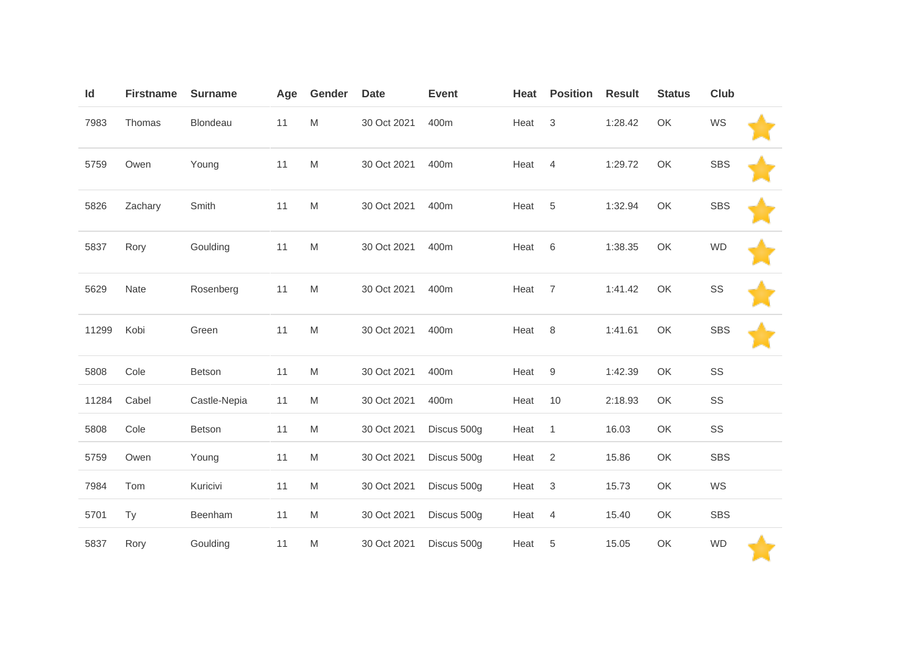| Id    | <b>Firstname</b> | <b>Surname</b> | Age | Gender                                                                                                     | <b>Date</b> | <b>Event</b> | Heat | <b>Position</b>           | <b>Result</b> | <b>Status</b> | <b>Club</b> |  |
|-------|------------------|----------------|-----|------------------------------------------------------------------------------------------------------------|-------------|--------------|------|---------------------------|---------------|---------------|-------------|--|
| 7983  | Thomas           | Blondeau       | 11  | $\mathsf{M}% _{T}=\mathsf{M}_{T}\!\left( a,b\right) ,\ \mathsf{M}_{T}=\mathsf{M}_{T}\!\left( a,b\right) ,$ | 30 Oct 2021 | 400m         | Heat | 3                         | 1:28.42       | OK            | WS          |  |
| 5759  | Owen             | Young          | 11  | $\mathsf{M}% _{T}=\mathsf{M}_{T}\!\left( a,b\right) ,\ \mathsf{M}_{T}=\mathsf{M}_{T}\!\left( a,b\right) ,$ | 30 Oct 2021 | 400m         | Heat | $\overline{4}$            | 1:29.72       | OK            | <b>SBS</b>  |  |
| 5826  | Zachary          | Smith          | 11  | $\mathsf{M}% _{T}=\mathsf{M}_{T}\!\left( a,b\right) ,\ \mathsf{M}_{T}=\mathsf{M}_{T}\!\left( a,b\right) ,$ | 30 Oct 2021 | 400m         | Heat | $\sqrt{5}$                | 1:32.94       | OK            | <b>SBS</b>  |  |
| 5837  | Rory             | Goulding       | 11  | $\mathsf{M}% _{T}=\mathsf{M}_{T}\!\left( a,b\right) ,\ \mathsf{M}_{T}=\mathsf{M}_{T}\!\left( a,b\right) ,$ | 30 Oct 2021 | 400m         | Heat | 6                         | 1:38.35       | OK            | <b>WD</b>   |  |
| 5629  | Nate             | Rosenberg      | 11  | $\mathsf{M}% _{T}=\mathsf{M}_{T}\!\left( a,b\right) ,\ \mathsf{M}_{T}=\mathsf{M}_{T}\!\left( a,b\right) ,$ | 30 Oct 2021 | 400m         | Heat | $\overline{7}$            | 1:41.42       | OK            | SS          |  |
| 11299 | Kobi             | Green          | 11  | $\mathsf{M}% _{T}=\mathsf{M}_{T}\!\left( a,b\right) ,\ \mathsf{M}_{T}=\mathsf{M}_{T}\!\left( a,b\right) ,$ | 30 Oct 2021 | 400m         | Heat | 8                         | 1:41.61       | OK            | <b>SBS</b>  |  |
| 5808  | Cole             | Betson         | 11  | $\mathsf{M}% _{T}=\mathsf{M}_{T}\!\left( a,b\right) ,\ \mathsf{M}_{T}=\mathsf{M}_{T}\!\left( a,b\right) ,$ | 30 Oct 2021 | 400m         | Heat | $\boldsymbol{9}$          | 1:42.39       | OK            | SS          |  |
| 11284 | Cabel            | Castle-Nepia   | 11  | M                                                                                                          | 30 Oct 2021 | 400m         | Heat | 10                        | 2:18.93       | OK            | SS          |  |
| 5808  | Cole             | Betson         | 11  | M                                                                                                          | 30 Oct 2021 | Discus 500g  | Heat | $\mathbf{1}$              | 16.03         | OK            | SS          |  |
| 5759  | Owen             | Young          | 11  | $\mathsf{M}% _{T}=\mathsf{M}_{T}\!\left( a,b\right) ,\ \mathsf{M}_{T}=\mathsf{M}_{T}\!\left( a,b\right) ,$ | 30 Oct 2021 | Discus 500g  | Heat | $\sqrt{2}$                | 15.86         | OK            | <b>SBS</b>  |  |
| 7984  | Tom              | Kuricivi       | 11  | $\mathsf{M}% _{T}=\mathsf{M}_{T}\!\left( a,b\right) ,\ \mathsf{M}_{T}=\mathsf{M}_{T}\!\left( a,b\right) ,$ | 30 Oct 2021 | Discus 500g  | Heat | $\ensuremath{\mathsf{3}}$ | 15.73         | OK            | WS          |  |
| 5701  | Ty               | Beenham        | 11  | M                                                                                                          | 30 Oct 2021 | Discus 500g  | Heat | $\overline{4}$            | 15.40         | OK            | <b>SBS</b>  |  |
| 5837  | Rory             | Goulding       | 11  | $\mathsf{M}% _{T}=\mathsf{M}_{T}\!\left( a,b\right) ,\ \mathsf{M}_{T}=\mathsf{M}_{T}\!\left( a,b\right) ,$ | 30 Oct 2021 | Discus 500g  | Heat | 5                         | 15.05         | OK            | <b>WD</b>   |  |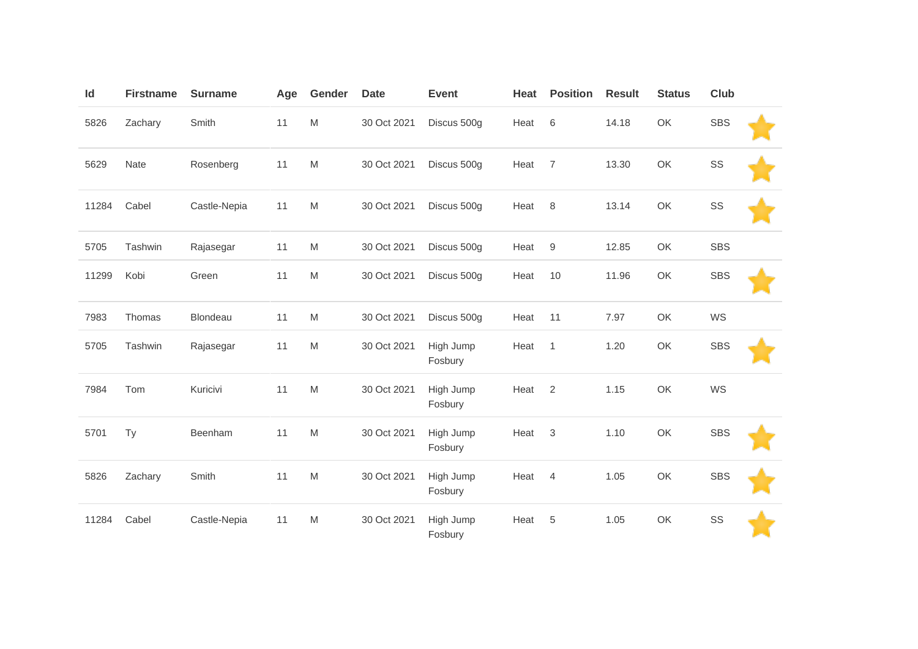| Id    | <b>Firstname</b> | <b>Surname</b> | Age | Gender                                                                                                     | <b>Date</b> | <b>Event</b>         | Heat | <b>Position</b> | <b>Result</b> | <b>Status</b> | Club       |  |
|-------|------------------|----------------|-----|------------------------------------------------------------------------------------------------------------|-------------|----------------------|------|-----------------|---------------|---------------|------------|--|
| 5826  | Zachary          | Smith          | 11  | $\mathsf{M}% _{T}=\mathsf{M}_{T}\!\left( a,b\right) ,\ \mathsf{M}_{T}=\mathsf{M}_{T}\!\left( a,b\right) ,$ | 30 Oct 2021 | Discus 500g          | Heat | 6               | 14.18         | OK            | <b>SBS</b> |  |
| 5629  | Nate             | Rosenberg      | 11  | M                                                                                                          | 30 Oct 2021 | Discus 500g          | Heat | $\overline{7}$  | 13.30         | OK            | SS         |  |
| 11284 | Cabel            | Castle-Nepia   | 11  | M                                                                                                          | 30 Oct 2021 | Discus 500g          | Heat | 8               | 13.14         | OK            | SS         |  |
| 5705  | Tashwin          | Rajasegar      | 11  | $\mathsf{M}% _{T}=\mathsf{M}_{T}\!\left( a,b\right) ,\ \mathsf{M}_{T}=\mathsf{M}_{T}\!\left( a,b\right) ,$ | 30 Oct 2021 | Discus 500g          | Heat | $9\,$           | 12.85         | OK            | <b>SBS</b> |  |
| 11299 | Kobi             | Green          | 11  | $\mathsf{M}% _{T}=\mathsf{M}_{T}\!\left( a,b\right) ,\ \mathsf{M}_{T}=\mathsf{M}_{T}$                      | 30 Oct 2021 | Discus 500g          | Heat | 10              | 11.96         | OK            | <b>SBS</b> |  |
| 7983  | Thomas           | Blondeau       | 11  | M                                                                                                          | 30 Oct 2021 | Discus 500g          | Heat | 11              | 7.97          | OK            | WS         |  |
| 5705  | Tashwin          | Rajasegar      | 11  | M                                                                                                          | 30 Oct 2021 | High Jump<br>Fosbury | Heat | $\mathbf{1}$    | 1.20          | OK            | <b>SBS</b> |  |
| 7984  | Tom              | Kuricivi       | 11  | M                                                                                                          | 30 Oct 2021 | High Jump<br>Fosbury | Heat | 2               | 1.15          | OK            | WS         |  |
| 5701  | Ty               | Beenham        | 11  | M                                                                                                          | 30 Oct 2021 | High Jump<br>Fosbury | Heat | 3               | 1.10          | OK            | <b>SBS</b> |  |
| 5826  | Zachary          | Smith          | 11  | M                                                                                                          | 30 Oct 2021 | High Jump<br>Fosbury | Heat | $\overline{4}$  | 1.05          | OK            | <b>SBS</b> |  |
| 11284 | Cabel            | Castle-Nepia   | 11  | M                                                                                                          | 30 Oct 2021 | High Jump<br>Fosbury | Heat | 5               | 1.05          | OK            | SS         |  |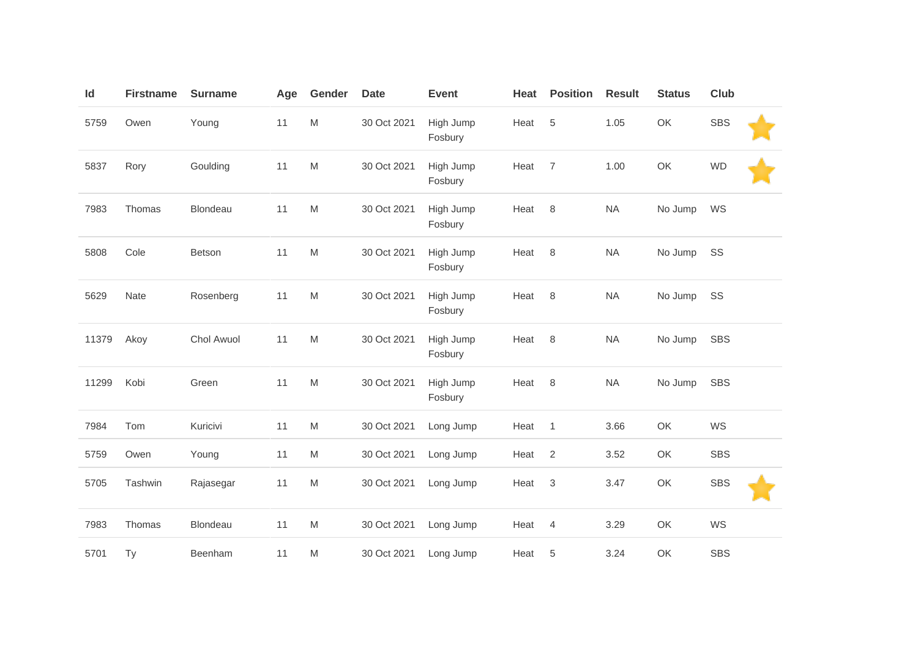| Id    | <b>Firstname</b> | <b>Surname</b> | Age | Gender                                                                                                     | <b>Date</b> | <b>Event</b>         | Heat | <b>Position</b> | <b>Result</b> | <b>Status</b> | Club       |  |
|-------|------------------|----------------|-----|------------------------------------------------------------------------------------------------------------|-------------|----------------------|------|-----------------|---------------|---------------|------------|--|
| 5759  | Owen             | Young          | 11  | $\mathsf{M}% _{T}=\mathsf{M}_{T}\!\left( a,b\right) ,\ \mathsf{M}_{T}=\mathsf{M}_{T}\!\left( a,b\right) ,$ | 30 Oct 2021 | High Jump<br>Fosbury | Heat | 5               | 1.05          | OK            | <b>SBS</b> |  |
| 5837  | Rory             | Goulding       | 11  | M                                                                                                          | 30 Oct 2021 | High Jump<br>Fosbury | Heat | $\overline{7}$  | 1.00          | OK            | <b>WD</b>  |  |
| 7983  | Thomas           | Blondeau       | 11  | M                                                                                                          | 30 Oct 2021 | High Jump<br>Fosbury | Heat | $\,8\,$         | NA            | No Jump       | WS         |  |
| 5808  | Cole             | Betson         | 11  | $\mathsf{M}% _{T}=\mathsf{M}_{T}\!\left( a,b\right) ,\ \mathsf{M}_{T}=\mathsf{M}_{T}\!\left( a,b\right) ,$ | 30 Oct 2021 | High Jump<br>Fosbury | Heat | 8               | <b>NA</b>     | No Jump       | SS         |  |
| 5629  | Nate             | Rosenberg      | 11  | $\mathsf{M}% _{T}=\mathsf{M}_{T}\!\left( a,b\right) ,\ \mathsf{M}_{T}=\mathsf{M}_{T}\!\left( a,b\right) ,$ | 30 Oct 2021 | High Jump<br>Fosbury | Heat | 8               | <b>NA</b>     | No Jump       | SS         |  |
| 11379 | Akoy             | Chol Awuol     | 11  | $\mathsf{M}% _{T}=\mathsf{M}_{T}\!\left( a,b\right) ,\ \mathsf{M}_{T}=\mathsf{M}_{T}\!\left( a,b\right) ,$ | 30 Oct 2021 | High Jump<br>Fosbury | Heat | 8               | <b>NA</b>     | No Jump       | <b>SBS</b> |  |
| 11299 | Kobi             | Green          | 11  | $\mathsf{M}% _{T}=\mathsf{M}_{T}\!\left( a,b\right) ,\ \mathsf{M}_{T}=\mathsf{M}_{T}\!\left( a,b\right) ,$ | 30 Oct 2021 | High Jump<br>Fosbury | Heat | 8               | <b>NA</b>     | No Jump       | <b>SBS</b> |  |
| 7984  | Tom              | Kuricivi       | 11  | M                                                                                                          | 30 Oct 2021 | Long Jump            | Heat | $\mathbf{1}$    | 3.66          | OK            | WS         |  |
| 5759  | Owen             | Young          | 11  | M                                                                                                          | 30 Oct 2021 | Long Jump            | Heat | $\overline{2}$  | 3.52          | OK            | <b>SBS</b> |  |
| 5705  | Tashwin          | Rajasegar      | 11  | $\mathsf{M}% _{T}=\mathsf{M}_{T}\!\left( a,b\right) ,\ \mathsf{M}_{T}=\mathsf{M}_{T}\!\left( a,b\right) ,$ | 30 Oct 2021 | Long Jump            | Heat | 3               | 3.47          | OK            | <b>SBS</b> |  |
| 7983  | Thomas           | Blondeau       | 11  | M                                                                                                          | 30 Oct 2021 | Long Jump            | Heat | $\overline{4}$  | 3.29          | OK            | WS         |  |
| 5701  | Ty               | Beenham        | 11  | M                                                                                                          | 30 Oct 2021 | Long Jump            | Heat | $\,$ 5 $\,$     | 3.24          | OK            | <b>SBS</b> |  |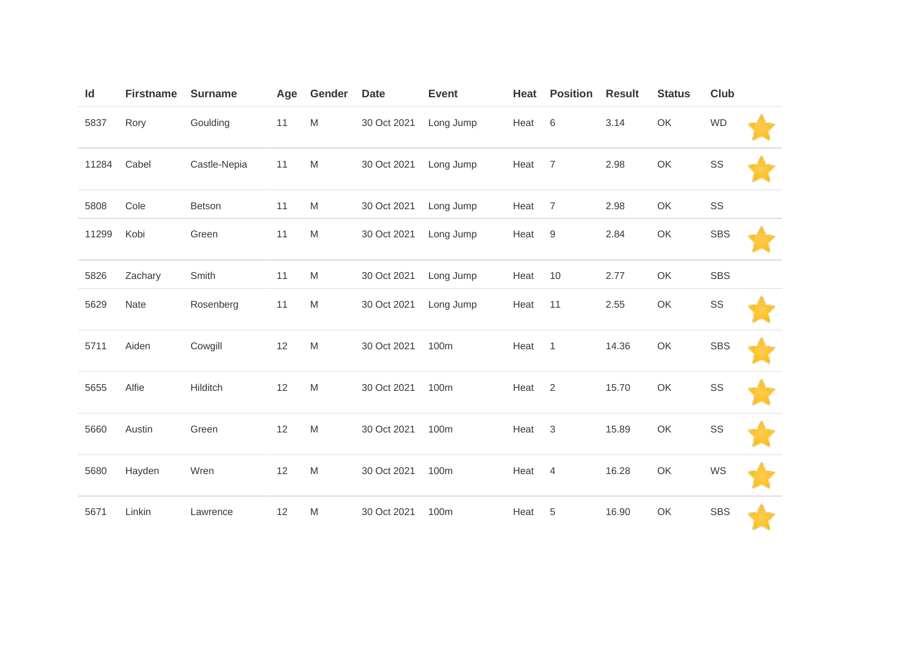| Id    | <b>Firstname</b> | <b>Surname</b> | Age | Gender                                                                                                     | <b>Date</b> | <b>Event</b> | Heat | <b>Position</b> | <b>Result</b> | <b>Status</b> | Club       |  |
|-------|------------------|----------------|-----|------------------------------------------------------------------------------------------------------------|-------------|--------------|------|-----------------|---------------|---------------|------------|--|
| 5837  | Rory             | Goulding       | 11  | M                                                                                                          | 30 Oct 2021 | Long Jump    | Heat | 6               | 3.14          | OK            | <b>WD</b>  |  |
| 11284 | Cabel            | Castle-Nepia   | 11  | M                                                                                                          | 30 Oct 2021 | Long Jump    | Heat | $\overline{7}$  | 2.98          | OK            | SS         |  |
| 5808  | Cole             | Betson         | 11  | M                                                                                                          | 30 Oct 2021 | Long Jump    | Heat | $\overline{7}$  | 2.98          | OK            | SS         |  |
| 11299 | Kobi             | Green          | 11  | M                                                                                                          | 30 Oct 2021 | Long Jump    | Heat | 9               | 2.84          | OK            | <b>SBS</b> |  |
| 5826  | Zachary          | Smith          | 11  | M                                                                                                          | 30 Oct 2021 | Long Jump    | Heat | 10              | 2.77          | OK            | <b>SBS</b> |  |
| 5629  | Nate             | Rosenberg      | 11  | M                                                                                                          | 30 Oct 2021 | Long Jump    | Heat | 11              | 2.55          | OK            | SS         |  |
| 5711  | Aiden            | Cowgill        | 12  | M                                                                                                          | 30 Oct 2021 | 100m         | Heat | $\overline{1}$  | 14.36         | OK            | <b>SBS</b> |  |
| 5655  | Alfie            | Hilditch       | 12  | $\mathsf{M}% _{T}=\mathsf{M}_{T}\!\left( a,b\right) ,\ \mathsf{M}_{T}=\mathsf{M}_{T}\!\left( a,b\right) ,$ | 30 Oct 2021 | 100m         | Heat | 2               | 15.70         | OK            | SS         |  |
| 5660  | Austin           | Green          | 12  | $\mathsf{M}% _{T}=\mathsf{M}_{T}\!\left( a,b\right) ,\ \mathsf{M}_{T}=\mathsf{M}_{T}\!\left( a,b\right) ,$ | 30 Oct 2021 | 100m         | Heat | $\mathsf 3$     | 15.89         | OK            | SS         |  |
| 5680  | Hayden           | Wren           | 12  | $\mathsf{M}% _{T}=\mathsf{M}_{T}\!\left( a,b\right) ,\ \mathsf{M}_{T}=\mathsf{M}_{T}\!\left( a,b\right) ,$ | 30 Oct 2021 | 100m         | Heat | $\overline{4}$  | 16.28         | OK            | WS         |  |
| 5671  | Linkin           | Lawrence       | 12  | $\mathsf{M}% _{T}=\mathsf{M}_{T}\!\left( a,b\right) ,\ \mathsf{M}_{T}=\mathsf{M}_{T}\!\left( a,b\right) ,$ | 30 Oct 2021 | 100m         | Heat | 5               | 16.90         | OK            | <b>SBS</b> |  |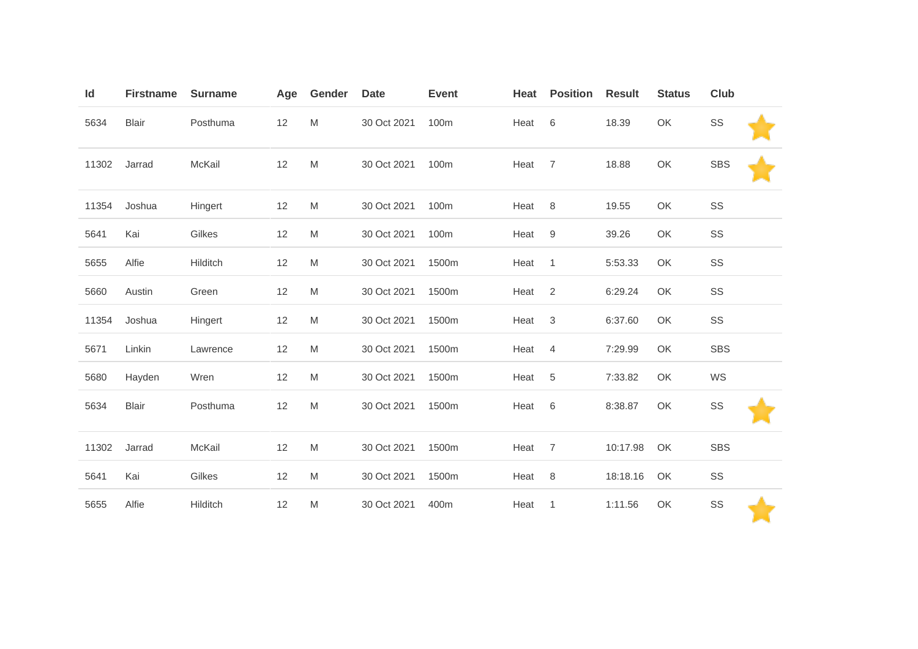| Id    | <b>Firstname</b> | <b>Surname</b> | Age | Gender                                                                                                     | <b>Date</b> | <b>Event</b> | Heat | <b>Position</b> | <b>Result</b> | <b>Status</b> | Club       |  |
|-------|------------------|----------------|-----|------------------------------------------------------------------------------------------------------------|-------------|--------------|------|-----------------|---------------|---------------|------------|--|
| 5634  | Blair            | Posthuma       | 12  | $\mathsf{M}% _{T}=\mathsf{M}_{T}\!\left( a,b\right) ,\ \mathsf{M}_{T}=\mathsf{M}_{T}\!\left( a,b\right) ,$ | 30 Oct 2021 | 100m         | Heat | 6               | 18.39         | OK            | SS         |  |
| 11302 | Jarrad           | McKail         | 12  | $\mathsf{M}% _{T}=\mathsf{M}_{T}\!\left( a,b\right) ,\ \mathsf{M}_{T}=\mathsf{M}_{T}\!\left( a,b\right) ,$ | 30 Oct 2021 | 100m         | Heat | $\overline{7}$  | 18.88         | OK            | <b>SBS</b> |  |
| 11354 | Joshua           | Hingert        | 12  | M                                                                                                          | 30 Oct 2021 | 100m         | Heat | 8               | 19.55         | OK            | SS         |  |
| 5641  | Kai              | Gilkes         | 12  | M                                                                                                          | 30 Oct 2021 | 100m         | Heat | 9               | 39.26         | OK            | SS         |  |
| 5655  | Alfie            | Hilditch       | 12  | M                                                                                                          | 30 Oct 2021 | 1500m        | Heat | $\overline{1}$  | 5:53.33       | OK            | SS         |  |
| 5660  | Austin           | Green          | 12  | M                                                                                                          | 30 Oct 2021 | 1500m        | Heat | $\overline{2}$  | 6:29.24       | OK            | SS         |  |
| 11354 | Joshua           | Hingert        | 12  | M                                                                                                          | 30 Oct 2021 | 1500m        | Heat | $\mathbf{3}$    | 6:37.60       | OK            | SS         |  |
| 5671  | Linkin           | Lawrence       | 12  | M                                                                                                          | 30 Oct 2021 | 1500m        | Heat | $\overline{4}$  | 7:29.99       | OK            | <b>SBS</b> |  |
| 5680  | Hayden           | Wren           | 12  | M                                                                                                          | 30 Oct 2021 | 1500m        | Heat | 5               | 7:33.82       | OK            | WS         |  |
| 5634  | <b>Blair</b>     | Posthuma       | 12  | M                                                                                                          | 30 Oct 2021 | 1500m        | Heat | 6               | 8:38.87       | OK            | SS         |  |
| 11302 | Jarrad           | McKail         | 12  | M                                                                                                          | 30 Oct 2021 | 1500m        | Heat | $\overline{7}$  | 10:17.98      | OK            | <b>SBS</b> |  |
| 5641  | Kai              | Gilkes         | 12  | M                                                                                                          | 30 Oct 2021 | 1500m        | Heat | 8               | 18:18.16      | OK            | SS         |  |
| 5655  | Alfie            | Hilditch       | 12  | M                                                                                                          | 30 Oct 2021 | 400m         | Heat | 1               | 1:11.56       | OK            | SS         |  |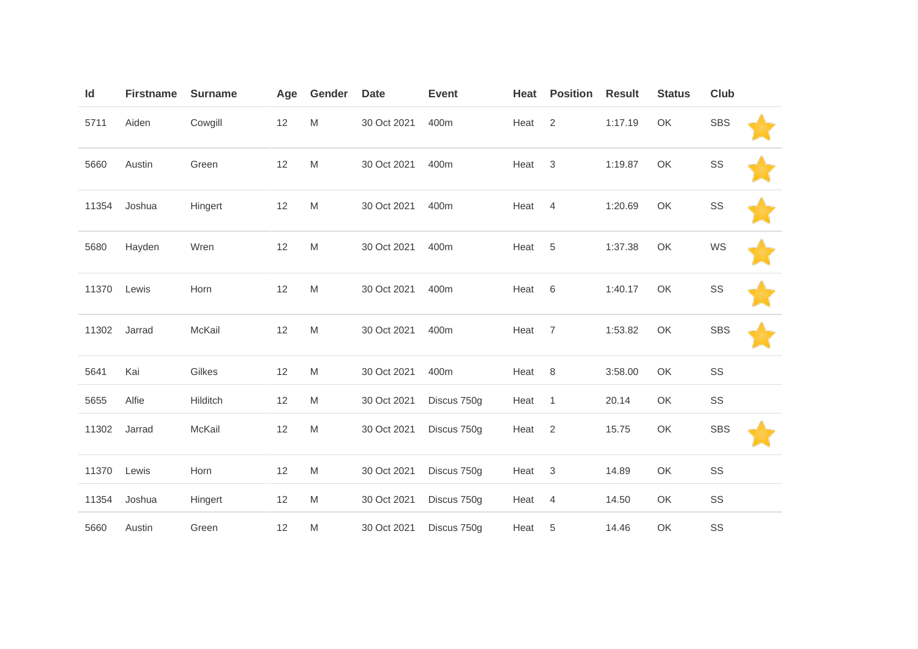| Id    | <b>Firstname</b> | <b>Surname</b> | Age | Gender                                                                                                     | <b>Date</b> | <b>Event</b> | Heat | <b>Position</b> | <b>Result</b> | <b>Status</b> | Club       |  |
|-------|------------------|----------------|-----|------------------------------------------------------------------------------------------------------------|-------------|--------------|------|-----------------|---------------|---------------|------------|--|
| 5711  | Aiden            | Cowgill        | 12  | $\mathsf{M}% _{T}=\mathsf{M}_{T}\!\left( a,b\right) ,\ \mathsf{M}_{T}=\mathsf{M}_{T}\!\left( a,b\right) ,$ | 30 Oct 2021 | 400m         | Heat | 2               | 1:17.19       | OK            | <b>SBS</b> |  |
| 5660  | Austin           | Green          | 12  | $\mathsf{M}% _{T}=\mathsf{M}_{T}\!\left( a,b\right) ,\ \mathsf{M}_{T}=\mathsf{M}_{T}\!\left( a,b\right) ,$ | 30 Oct 2021 | 400m         | Heat | 3               | 1:19.87       | OK            | SS         |  |
| 11354 | Joshua           | Hingert        | 12  | M                                                                                                          | 30 Oct 2021 | 400m         | Heat | 4               | 1:20.69       | OK            | SS         |  |
| 5680  | Hayden           | Wren           | 12  | $\mathsf{M}% _{T}=\mathsf{M}_{T}\!\left( a,b\right) ,\ \mathsf{M}_{T}=\mathsf{M}_{T}\!\left( a,b\right) ,$ | 30 Oct 2021 | 400m         | Heat | $\overline{5}$  | 1:37.38       | OK            | WS         |  |
| 11370 | Lewis            | Horn           | 12  | $\mathsf{M}% _{T}=\mathsf{M}_{T}\!\left( a,b\right) ,\ \mathsf{M}_{T}=\mathsf{M}_{T}\!\left( a,b\right) ,$ | 30 Oct 2021 | 400m         | Heat | $\,6$           | 1:40.17       | OK            | SS         |  |
| 11302 | Jarrad           | McKail         | 12  | $\mathsf{M}% _{T}=\mathsf{M}_{T}\!\left( a,b\right) ,\ \mathsf{M}_{T}=\mathsf{M}_{T}\!\left( a,b\right) ,$ | 30 Oct 2021 | 400m         | Heat | $\overline{7}$  | 1:53.82       | OK            | <b>SBS</b> |  |
| 5641  | Kai              | Gilkes         | 12  | $\mathsf{M}% _{T}=\mathsf{M}_{T}\!\left( a,b\right) ,\ \mathsf{M}_{T}=\mathsf{M}_{T}\!\left( a,b\right) ,$ | 30 Oct 2021 | 400m         | Heat | 8               | 3:58.00       | OK            | SS         |  |
| 5655  | Alfie            | Hilditch       | 12  | M                                                                                                          | 30 Oct 2021 | Discus 750g  | Heat | $\mathbf{1}$    | 20.14         | OK            | SS         |  |
| 11302 | Jarrad           | McKail         | 12  | $\mathsf{M}% _{T}=\mathsf{M}_{T}\!\left( a,b\right) ,\ \mathsf{M}_{T}=\mathsf{M}_{T}\!\left( a,b\right) ,$ | 30 Oct 2021 | Discus 750g  | Heat | $\overline{2}$  | 15.75         | OK            | <b>SBS</b> |  |
| 11370 | Lewis            | Horn           | 12  | M                                                                                                          | 30 Oct 2021 | Discus 750g  | Heat | 3               | 14.89         | OK            | SS         |  |
| 11354 | Joshua           | Hingert        | 12  | M                                                                                                          | 30 Oct 2021 | Discus 750g  | Heat | $\overline{4}$  | 14.50         | OK            | SS         |  |
| 5660  | Austin           | Green          | 12  | $\mathsf{M}% _{T}=\mathsf{M}_{T}\!\left( a,b\right) ,\ \mathsf{M}_{T}=\mathsf{M}_{T}\!\left( a,b\right) ,$ | 30 Oct 2021 | Discus 750g  | Heat | $\,$ 5 $\,$     | 14.46         | OK            | SS         |  |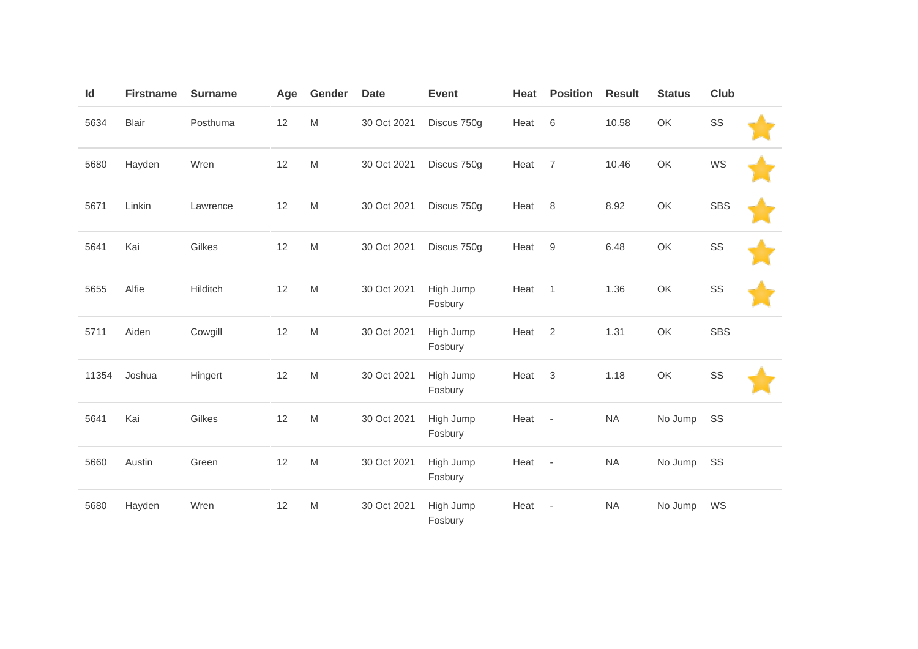| Id    | <b>Firstname</b> | <b>Surname</b> | Age | Gender                                                                                                     | <b>Date</b> | <b>Event</b>         | Heat | <b>Position</b>          | <b>Result</b> | <b>Status</b> | Club       |  |
|-------|------------------|----------------|-----|------------------------------------------------------------------------------------------------------------|-------------|----------------------|------|--------------------------|---------------|---------------|------------|--|
| 5634  | <b>Blair</b>     | Posthuma       | 12  | M                                                                                                          | 30 Oct 2021 | Discus 750g          | Heat | 6                        | 10.58         | OK            | SS         |  |
| 5680  | Hayden           | Wren           | 12  | $\mathsf{M}% _{T}=\mathsf{M}_{T}\!\left( a,b\right) ,\ \mathsf{M}_{T}=\mathsf{M}_{T}\!\left( a,b\right) ,$ | 30 Oct 2021 | Discus 750g          | Heat | $\overline{7}$           | 10.46         | OK            | WS         |  |
| 5671  | Linkin           | Lawrence       | 12  | $\mathsf{M}% _{T}=\mathsf{M}_{T}\!\left( a,b\right) ,\ \mathsf{M}_{T}=\mathsf{M}_{T}\!\left( a,b\right) ,$ | 30 Oct 2021 | Discus 750g          | Heat | 8                        | 8.92          | OK            | <b>SBS</b> |  |
| 5641  | Kai              | Gilkes         | 12  | $\mathsf{M}% _{T}=\mathsf{M}_{T}\!\left( a,b\right) ,\ \mathsf{M}_{T}=\mathsf{M}_{T}\!\left( a,b\right) ,$ | 30 Oct 2021 | Discus 750g          | Heat | $9\,$                    | 6.48          | OK            | SS         |  |
| 5655  | Alfie            | Hilditch       | 12  | $\mathsf{M}% _{T}=\mathsf{M}_{T}\!\left( a,b\right) ,\ \mathsf{M}_{T}=\mathsf{M}_{T}\!\left( a,b\right) ,$ | 30 Oct 2021 | High Jump<br>Fosbury | Heat | $\mathbf{1}$             | 1.36          | OK            | SS         |  |
| 5711  | Aiden            | Cowgill        | 12  | $\mathsf{M}% _{T}=\mathsf{M}_{T}\!\left( a,b\right) ,\ \mathsf{M}_{T}=\mathsf{M}_{T}\!\left( a,b\right) ,$ | 30 Oct 2021 | High Jump<br>Fosbury | Heat | 2                        | 1.31          | OK            | <b>SBS</b> |  |
| 11354 | Joshua           | Hingert        | 12  | M                                                                                                          | 30 Oct 2021 | High Jump<br>Fosbury | Heat | $\sqrt{3}$               | 1.18          | OK            | SS         |  |
| 5641  | Kai              | Gilkes         | 12  | $\mathsf{M}% _{T}=\mathsf{M}_{T}\!\left( a,b\right) ,\ \mathsf{M}_{T}=\mathsf{M}_{T}\!\left( a,b\right) ,$ | 30 Oct 2021 | High Jump<br>Fosbury | Heat | $\overline{\phantom{a}}$ | <b>NA</b>     | No Jump       | SS         |  |
| 5660  | Austin           | Green          | 12  | $\mathsf{M}% _{T}=\mathsf{M}_{T}\!\left( a,b\right) ,\ \mathsf{M}_{T}=\mathsf{M}_{T}\!\left( a,b\right) ,$ | 30 Oct 2021 | High Jump<br>Fosbury | Heat | $\overline{\phantom{a}}$ | <b>NA</b>     | No Jump       | SS         |  |
| 5680  | Hayden           | Wren           | 12  | M                                                                                                          | 30 Oct 2021 | High Jump<br>Fosbury | Heat | ÷,                       | <b>NA</b>     | No Jump       | WS         |  |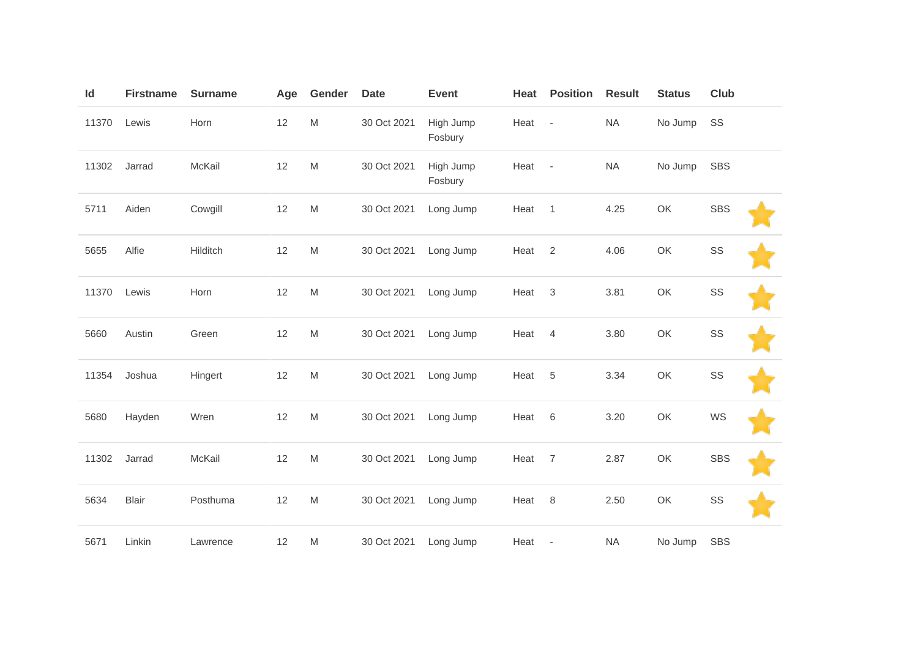| Id    | <b>Firstname</b> | <b>Surname</b> | Age | Gender                                                                                                     | <b>Date</b> | <b>Event</b>         | Heat | <b>Position</b>          | <b>Result</b> | <b>Status</b> | Club       |  |
|-------|------------------|----------------|-----|------------------------------------------------------------------------------------------------------------|-------------|----------------------|------|--------------------------|---------------|---------------|------------|--|
| 11370 | Lewis            | Horn           | 12  | $\mathsf{M}% _{T}=\mathsf{M}_{T}\!\left( a,b\right) ,\ \mathsf{M}_{T}=\mathsf{M}_{T}\!\left( a,b\right) ,$ | 30 Oct 2021 | High Jump<br>Fosbury | Heat | $\overline{\phantom{a}}$ | <b>NA</b>     | No Jump       | SS         |  |
| 11302 | Jarrad           | McKail         | 12  | $\mathsf{M}% _{T}=\mathsf{M}_{T}\!\left( a,b\right) ,\ \mathsf{M}_{T}=\mathsf{M}_{T}\!\left( a,b\right) ,$ | 30 Oct 2021 | High Jump<br>Fosbury | Heat | $\sim$                   | <b>NA</b>     | No Jump       | <b>SBS</b> |  |
| 5711  | Aiden            | Cowgill        | 12  | $\mathsf{M}% _{T}=\mathsf{M}_{T}\!\left( a,b\right) ,\ \mathsf{M}_{T}=\mathsf{M}_{T}\!\left( a,b\right) ,$ | 30 Oct 2021 | Long Jump            | Heat | $\mathbf{1}$             | 4.25          | OK            | <b>SBS</b> |  |
| 5655  | Alfie            | Hilditch       | 12  | $\mathsf{M}% _{T}=\mathsf{M}_{T}\!\left( a,b\right) ,\ \mathsf{M}_{T}=\mathsf{M}_{T}$                      | 30 Oct 2021 | Long Jump            | Heat | $\overline{2}$           | 4.06          | OK            | SS         |  |
| 11370 | Lewis            | Horn           | 12  | $\mathsf{M}% _{T}=\mathsf{M}_{T}\!\left( a,b\right) ,\ \mathsf{M}_{T}=\mathsf{M}_{T}\!\left( a,b\right) ,$ | 30 Oct 2021 | Long Jump            | Heat | $\sqrt{3}$               | 3.81          | OK            | SS         |  |
| 5660  | Austin           | Green          | 12  | $\mathsf{M}% _{T}=\mathsf{M}_{T}\!\left( a,b\right) ,\ \mathsf{M}_{T}=\mathsf{M}_{T}\!\left( a,b\right) ,$ | 30 Oct 2021 | Long Jump            | Heat | $\overline{4}$           | 3.80          | OK            | SS         |  |
| 11354 | Joshua           | Hingert        | 12  | ${\sf M}$                                                                                                  | 30 Oct 2021 | Long Jump            | Heat | $\sqrt{5}$               | 3.34          | OK            | SS         |  |
| 5680  | Hayden           | Wren           | 12  | $\mathsf{M}% _{T}=\mathsf{M}_{T}\!\left( a,b\right) ,\ \mathsf{M}_{T}=\mathsf{M}_{T}\!\left( a,b\right) ,$ | 30 Oct 2021 | Long Jump            | Heat | $\,6$                    | 3.20          | OK            | WS         |  |
| 11302 | Jarrad           | McKail         | 12  | $\mathsf{M}% _{T}=\mathsf{M}_{T}\!\left( a,b\right) ,\ \mathsf{M}_{T}=\mathsf{M}_{T}$                      | 30 Oct 2021 | Long Jump            | Heat | $\overline{7}$           | 2.87          | OK            | <b>SBS</b> |  |
| 5634  | <b>Blair</b>     | Posthuma       | 12  | ${\sf M}$                                                                                                  | 30 Oct 2021 | Long Jump            | Heat | $\,8\,$                  | 2.50          | OK            | SS         |  |
| 5671  | Linkin           | Lawrence       | 12  | M                                                                                                          | 30 Oct 2021 | Long Jump            | Heat | $\overline{\phantom{a}}$ | <b>NA</b>     | No Jump       | <b>SBS</b> |  |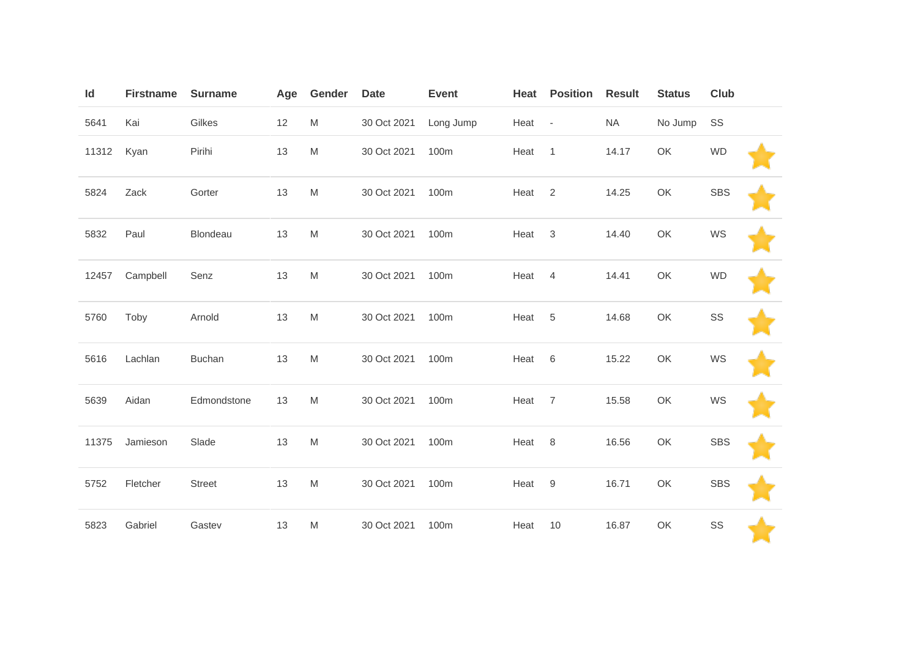| Id    | <b>Firstname</b> | <b>Surname</b> | Age | Gender                                                                                                     | <b>Date</b> | <b>Event</b> | Heat | <b>Position</b> | <b>Result</b> | <b>Status</b> | Club       |  |
|-------|------------------|----------------|-----|------------------------------------------------------------------------------------------------------------|-------------|--------------|------|-----------------|---------------|---------------|------------|--|
| 5641  | Kai              | Gilkes         | 12  | M                                                                                                          | 30 Oct 2021 | Long Jump    | Heat | $\sim$          | <b>NA</b>     | No Jump       | SS         |  |
| 11312 | Kyan             | Pirihi         | 13  | $\mathsf{M}% _{T}=\mathsf{M}_{T}\!\left( a,b\right) ,\ \mathsf{M}_{T}=\mathsf{M}_{T}\!\left( a,b\right) ,$ | 30 Oct 2021 | 100m         | Heat | $\mathbf{1}$    | 14.17         | OK            | <b>WD</b>  |  |
| 5824  | Zack             | Gorter         | 13  | $\mathsf{M}% _{T}=\mathsf{M}_{T}\!\left( a,b\right) ,\ \mathsf{M}_{T}=\mathsf{M}_{T}\!\left( a,b\right) ,$ | 30 Oct 2021 | 100m         | Heat | 2               | 14.25         | OK            | <b>SBS</b> |  |
| 5832  | Paul             | Blondeau       | 13  | $\mathsf{M}% _{T}=\mathsf{M}_{T}\!\left( a,b\right) ,\ \mathsf{M}_{T}=\mathsf{M}_{T}\!\left( a,b\right) ,$ | 30 Oct 2021 | 100m         | Heat | $\mathbf{3}$    | 14.40         | OK            | WS         |  |
| 12457 | Campbell         | Senz           | 13  | $\mathsf{M}% _{T}=\mathsf{M}_{T}\!\left( a,b\right) ,\ \mathsf{M}_{T}=\mathsf{M}_{T}\!\left( a,b\right) ,$ | 30 Oct 2021 | 100m         | Heat | $\overline{4}$  | 14.41         | OK            | <b>WD</b>  |  |
| 5760  | Toby             | Arnold         | 13  | $\mathsf{M}% _{T}=\mathsf{M}_{T}\!\left( a,b\right) ,\ \mathsf{M}_{T}=\mathsf{M}_{T}\!\left( a,b\right) ,$ | 30 Oct 2021 | 100m         | Heat | $\,$ 5 $\,$     | 14.68         | OK            | SS         |  |
| 5616  | Lachlan          | <b>Buchan</b>  | 13  | $\mathsf{M}% _{T}=\mathsf{M}_{T}\!\left( a,b\right) ,\ \mathsf{M}_{T}=\mathsf{M}_{T}\!\left( a,b\right) ,$ | 30 Oct 2021 | 100m         | Heat | 6               | 15.22         | OK            | WS         |  |
| 5639  | Aidan            | Edmondstone    | 13  | $\mathsf{M}% _{T}=\mathsf{M}_{T}\!\left( a,b\right) ,\ \mathsf{M}_{T}=\mathsf{M}_{T}\!\left( a,b\right) ,$ | 30 Oct 2021 | 100m         | Heat | $\overline{7}$  | 15.58         | OK            | WS         |  |
| 11375 | Jamieson         | Slade          | 13  | $\mathsf{M}% _{T}=\mathsf{M}_{T}\!\left( a,b\right) ,\ \mathsf{M}_{T}=\mathsf{M}_{T}\!\left( a,b\right) ,$ | 30 Oct 2021 | 100m         | Heat | 8               | 16.56         | OK            | <b>SBS</b> |  |
| 5752  | Fletcher         | <b>Street</b>  | 13  | $\mathsf{M}% _{T}=\mathsf{M}_{T}\!\left( a,b\right) ,\ \mathsf{M}_{T}=\mathsf{M}_{T}\!\left( a,b\right) ,$ | 30 Oct 2021 | 100m         | Heat | 9               | 16.71         | OK            | <b>SBS</b> |  |
| 5823  | Gabriel          | Gastev         | 13  | $\mathsf{M}% _{T}=\mathsf{M}_{T}\!\left( a,b\right) ,\ \mathsf{M}_{T}=\mathsf{M}_{T}\!\left( a,b\right) ,$ | 30 Oct 2021 | 100m         | Heat | 10              | 16.87         | OK            | SS         |  |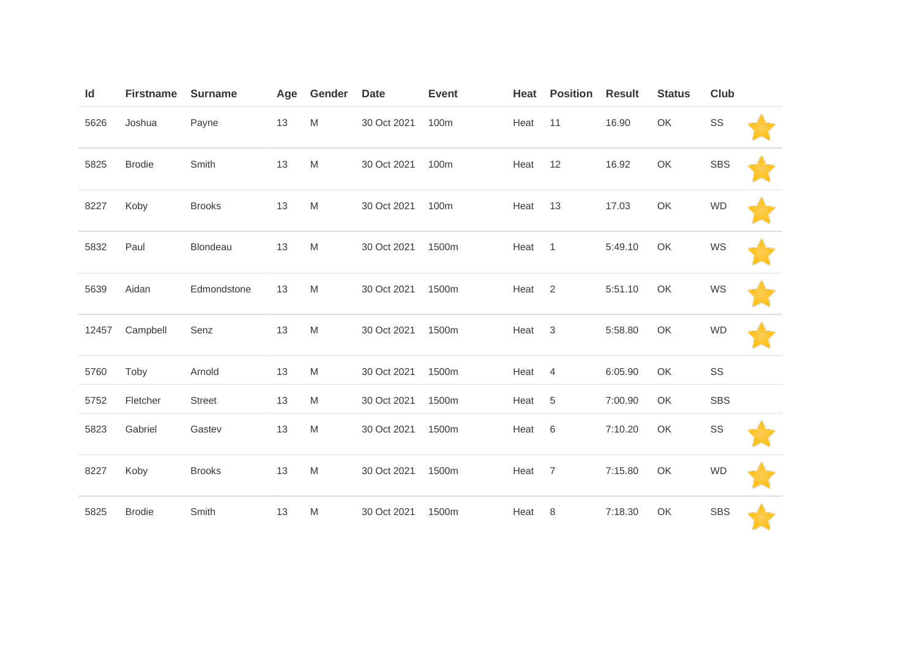| Id    | <b>Firstname</b> | <b>Surname</b> | Age | Gender                                                                                                     | <b>Date</b> | <b>Event</b> | Heat | <b>Position</b> | <b>Result</b> | <b>Status</b> | <b>Club</b> |  |
|-------|------------------|----------------|-----|------------------------------------------------------------------------------------------------------------|-------------|--------------|------|-----------------|---------------|---------------|-------------|--|
| 5626  | Joshua           | Payne          | 13  | $\mathsf{M}% _{T}=\mathsf{M}_{T}\!\left( a,b\right) ,\ \mathsf{M}_{T}=\mathsf{M}_{T}\!\left( a,b\right) ,$ | 30 Oct 2021 | 100m         | Heat | 11              | 16.90         | OK            | SS          |  |
| 5825  | <b>Brodie</b>    | Smith          | 13  | M                                                                                                          | 30 Oct 2021 | 100m         | Heat | 12              | 16.92         | OK            | <b>SBS</b>  |  |
| 8227  | Koby             | <b>Brooks</b>  | 13  | $\mathsf{M}% _{T}=\mathsf{M}_{T}\!\left( a,b\right) ,\ \mathsf{M}_{T}=\mathsf{M}_{T}\!\left( a,b\right) ,$ | 30 Oct 2021 | 100m         | Heat | 13              | 17.03         | OK            | <b>WD</b>   |  |
| 5832  | Paul             | Blondeau       | 13  | $\mathsf{M}% _{T}=\mathsf{M}_{T}\!\left( a,b\right) ,\ \mathsf{M}_{T}=\mathsf{M}_{T}\!\left( a,b\right) ,$ | 30 Oct 2021 | 1500m        | Heat | $\mathbf{1}$    | 5:49.10       | OK            | WS          |  |
| 5639  | Aidan            | Edmondstone    | 13  | M                                                                                                          | 30 Oct 2021 | 1500m        | Heat | 2               | 5:51.10       | OK            | WS          |  |
| 12457 | Campbell         | Senz           | 13  | M                                                                                                          | 30 Oct 2021 | 1500m        | Heat | $\sqrt{3}$      | 5:58.80       | OK            | <b>WD</b>   |  |
| 5760  | Toby             | Arnold         | 13  | $\mathsf{M}% _{T}=\mathsf{M}_{T}\!\left( a,b\right) ,\ \mathsf{M}_{T}=\mathsf{M}_{T}\!\left( a,b\right) ,$ | 30 Oct 2021 | 1500m        | Heat | $\overline{4}$  | 6:05.90       | OK            | SS          |  |
| 5752  | Fletcher         | <b>Street</b>  | 13  | M                                                                                                          | 30 Oct 2021 | 1500m        | Heat | $\sqrt{5}$      | 7:00.90       | OK            | <b>SBS</b>  |  |
| 5823  | Gabriel          | Gastev         | 13  | M                                                                                                          | 30 Oct 2021 | 1500m        | Heat | 6               | 7:10.20       | OK            | SS          |  |
| 8227  | Koby             | <b>Brooks</b>  | 13  | $\mathsf{M}% _{T}=\mathsf{M}_{T}\!\left( a,b\right) ,\ \mathsf{M}_{T}=\mathsf{M}_{T}\!\left( a,b\right) ,$ | 30 Oct 2021 | 1500m        | Heat | $\overline{7}$  | 7:15.80       | OK            | <b>WD</b>   |  |
| 5825  | <b>Brodie</b>    | Smith          | 13  | M                                                                                                          | 30 Oct 2021 | 1500m        | Heat | 8               | 7:18.30       | OK            | <b>SBS</b>  |  |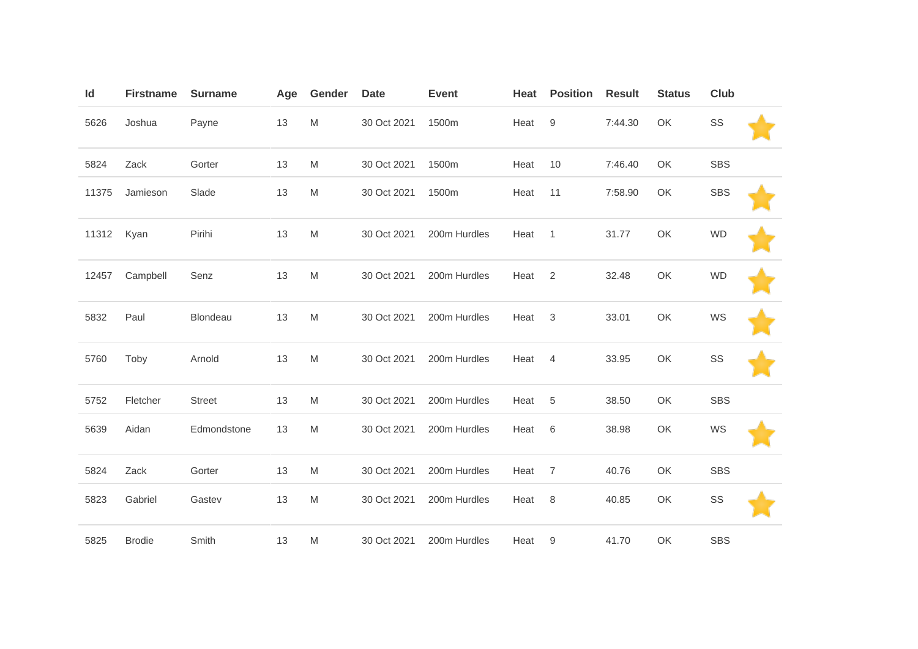| Id    | <b>Firstname</b> | <b>Surname</b> | Age | Gender                                                                                                     | <b>Date</b> | <b>Event</b> | Heat | <b>Position</b>  | <b>Result</b> | <b>Status</b> | Club       |  |
|-------|------------------|----------------|-----|------------------------------------------------------------------------------------------------------------|-------------|--------------|------|------------------|---------------|---------------|------------|--|
| 5626  | Joshua           | Payne          | 13  | $\mathsf{M}% _{T}=\mathsf{M}_{T}\!\left( a,b\right) ,\ \mathsf{M}_{T}=\mathsf{M}_{T}\!\left( a,b\right) ,$ | 30 Oct 2021 | 1500m        | Heat | $\boldsymbol{9}$ | 7:44.30       | OK            | SS         |  |
| 5824  | Zack             | Gorter         | 13  | M                                                                                                          | 30 Oct 2021 | 1500m        | Heat | 10               | 7:46.40       | OK            | <b>SBS</b> |  |
| 11375 | Jamieson         | Slade          | 13  | M                                                                                                          | 30 Oct 2021 | 1500m        | Heat | 11               | 7:58.90       | OK            | <b>SBS</b> |  |
| 11312 | Kyan             | Pirihi         | 13  | $\mathsf{M}% _{T}=\mathsf{M}_{T}\!\left( a,b\right) ,\ \mathsf{M}_{T}=\mathsf{M}_{T}\!\left( a,b\right) ,$ | 30 Oct 2021 | 200m Hurdles | Heat | $\mathbf{1}$     | 31.77         | OK            | <b>WD</b>  |  |
| 12457 | Campbell         | Senz           | 13  | M                                                                                                          | 30 Oct 2021 | 200m Hurdles | Heat | $\overline{2}$   | 32.48         | OK            | <b>WD</b>  |  |
| 5832  | Paul             | Blondeau       | 13  | $\mathsf{M}% _{T}=\mathsf{M}_{T}\!\left( a,b\right) ,\ \mathsf{M}_{T}=\mathsf{M}_{T}\!\left( a,b\right) ,$ | 30 Oct 2021 | 200m Hurdles | Heat | 3                | 33.01         | OK            | WS         |  |
| 5760  | Toby             | Arnold         | 13  | $\mathsf{M}% _{T}=\mathsf{M}_{T}\!\left( a,b\right) ,\ \mathsf{M}_{T}=\mathsf{M}_{T}\!\left( a,b\right) ,$ | 30 Oct 2021 | 200m Hurdles | Heat | $\overline{4}$   | 33.95         | OK            | SS         |  |
| 5752  | Fletcher         | <b>Street</b>  | 13  | M                                                                                                          | 30 Oct 2021 | 200m Hurdles | Heat | 5                | 38.50         | OK            | <b>SBS</b> |  |
| 5639  | Aidan            | Edmondstone    | 13  | M                                                                                                          | 30 Oct 2021 | 200m Hurdles | Heat | 6                | 38.98         | OK            | WS         |  |
| 5824  | Zack             | Gorter         | 13  | $\mathsf{M}% _{T}=\mathsf{M}_{T}\!\left( a,b\right) ,\ \mathsf{M}_{T}=\mathsf{M}_{T}\!\left( a,b\right) ,$ | 30 Oct 2021 | 200m Hurdles | Heat | $\overline{7}$   | 40.76         | OK            | <b>SBS</b> |  |
| 5823  | Gabriel          | Gastev         | 13  | M                                                                                                          | 30 Oct 2021 | 200m Hurdles | Heat | 8                | 40.85         | OK            | SS         |  |
| 5825  | <b>Brodie</b>    | Smith          | 13  | M                                                                                                          | 30 Oct 2021 | 200m Hurdles | Heat | 9                | 41.70         | OK            | <b>SBS</b> |  |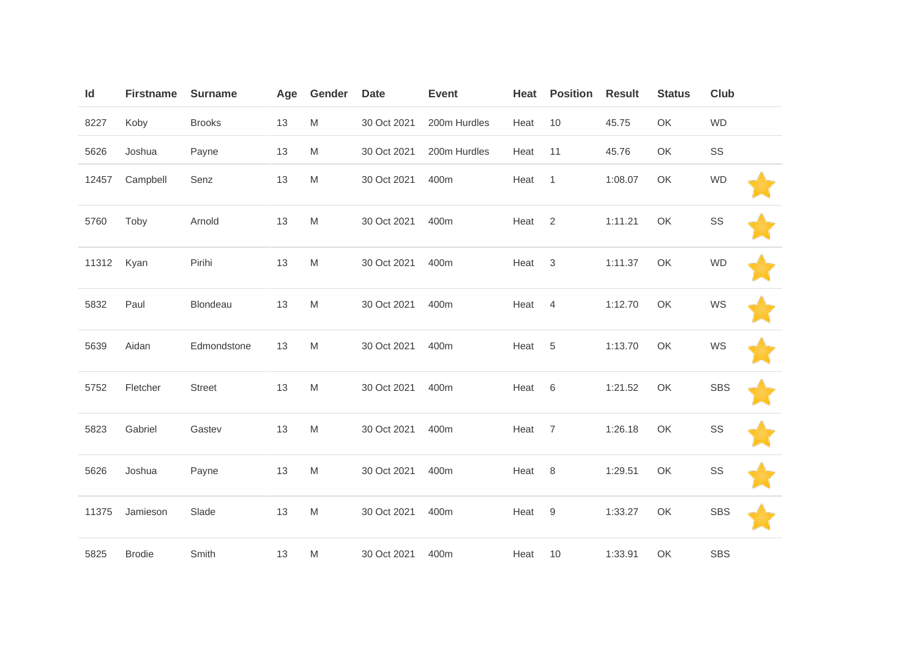| Id    | <b>Firstname</b> | <b>Surname</b> | Age | Gender                                                                                                     | <b>Date</b> | <b>Event</b> | Heat   | <b>Position</b> | <b>Result</b> | <b>Status</b> | <b>Club</b> |  |
|-------|------------------|----------------|-----|------------------------------------------------------------------------------------------------------------|-------------|--------------|--------|-----------------|---------------|---------------|-------------|--|
| 8227  | Koby             | <b>Brooks</b>  | 13  | M                                                                                                          | 30 Oct 2021 | 200m Hurdles | Heat   | 10              | 45.75         | OK            | <b>WD</b>   |  |
| 5626  | Joshua           | Payne          | 13  | M                                                                                                          | 30 Oct 2021 | 200m Hurdles | Heat   | 11              | 45.76         | OK            | SS          |  |
| 12457 | Campbell         | Senz           | 13  | M                                                                                                          | 30 Oct 2021 | 400m         | Heat   | $\mathbf{1}$    | 1:08.07       | OK            | <b>WD</b>   |  |
| 5760  | Toby             | Arnold         | 13  | M                                                                                                          | 30 Oct 2021 | 400m         | Heat   | $\overline{2}$  | 1:11.21       | OK            | SS          |  |
| 11312 | Kyan             | Pirihi         | 13  | $\mathsf{M}% _{T}=\mathsf{M}_{T}\!\left( a,b\right) ,\ \mathsf{M}_{T}=\mathsf{M}_{T}\!\left( a,b\right) ,$ | 30 Oct 2021 | 400m         | Heat   | $\sqrt{3}$      | 1:11.37       | OK            | <b>WD</b>   |  |
| 5832  | Paul             | Blondeau       | 13  | $\mathsf{M}% _{T}=\mathsf{M}_{T}\!\left( a,b\right) ,\ \mathsf{M}_{T}=\mathsf{M}_{T}\!\left( a,b\right) ,$ | 30 Oct 2021 | 400m         | Heat   | $\overline{4}$  | 1:12.70       | OK            | WS          |  |
| 5639  | Aidan            | Edmondstone    | 13  | M                                                                                                          | 30 Oct 2021 | 400m         | Heat   | 5               | 1:13.70       | OK            | WS          |  |
| 5752  | Fletcher         | <b>Street</b>  | 13  | M                                                                                                          | 30 Oct 2021 | 400m         | Heat   | 6               | 1:21.52       | OK            | <b>SBS</b>  |  |
| 5823  | Gabriel          | Gastev         | 13  | $\mathsf{M}% _{T}=\mathsf{M}_{T}\!\left( a,b\right) ,\ \mathsf{M}_{T}=\mathsf{M}_{T}\!\left( a,b\right) ,$ | 30 Oct 2021 | 400m         | Heat   | $\overline{7}$  | 1:26.18       | OK            | SS          |  |
| 5626  | Joshua           | Payne          | 13  | $\mathsf{M}% _{T}=\mathsf{M}_{T}\!\left( a,b\right) ,\ \mathsf{M}_{T}=\mathsf{M}_{T}\!\left( a,b\right) ,$ | 30 Oct 2021 | 400m         | Heat 8 |                 | 1:29.51       | OK            | SS          |  |
| 11375 | Jamieson         | Slade          | 13  | $\mathsf{M}% _{T}=\mathsf{M}_{T}\!\left( a,b\right) ,\ \mathsf{M}_{T}=\mathsf{M}_{T}\!\left( a,b\right) ,$ | 30 Oct 2021 | 400m         | Heat 9 |                 | 1:33.27       | OK            | <b>SBS</b>  |  |
| 5825  | <b>Brodie</b>    | Smith          | 13  | M                                                                                                          | 30 Oct 2021 | 400m         | Heat   | 10              | 1:33.91       | OK            | <b>SBS</b>  |  |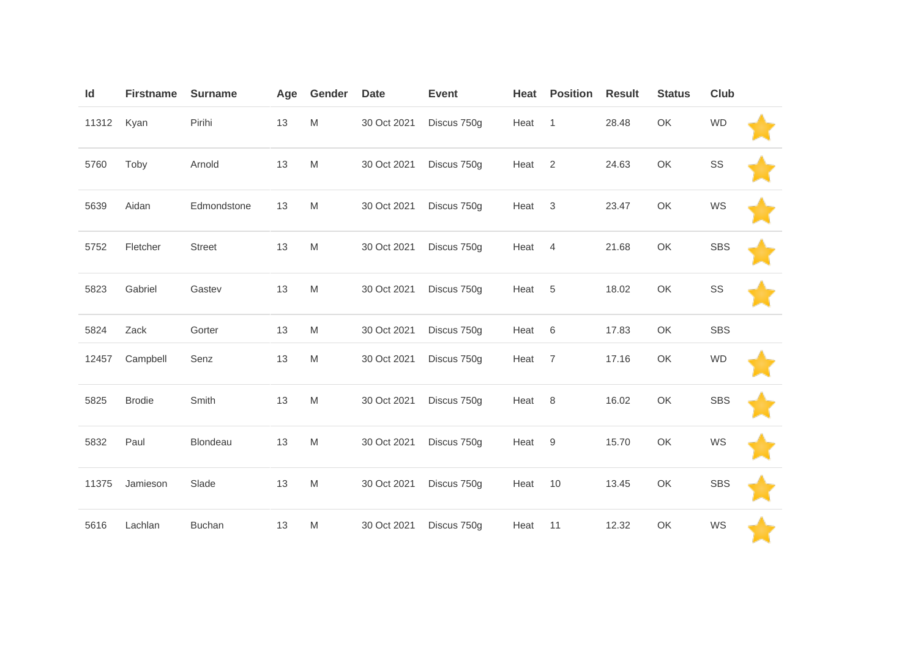| Id    | <b>Firstname</b> | <b>Surname</b> | Age | Gender    | <b>Date</b> | <b>Event</b> | Heat | <b>Position</b> | <b>Result</b> | <b>Status</b> | <b>Club</b> |  |
|-------|------------------|----------------|-----|-----------|-------------|--------------|------|-----------------|---------------|---------------|-------------|--|
| 11312 | Kyan             | Pirihi         | 13  | ${\sf M}$ | 30 Oct 2021 | Discus 750g  | Heat | $\overline{1}$  | 28.48         | OK            | <b>WD</b>   |  |
| 5760  | Toby             | Arnold         | 13  | M         | 30 Oct 2021 | Discus 750g  | Heat | $\overline{2}$  | 24.63         | OK            | SS          |  |
| 5639  | Aidan            | Edmondstone    | 13  | M         | 30 Oct 2021 | Discus 750g  | Heat | 3               | 23.47         | OK            | WS          |  |
| 5752  | Fletcher         | <b>Street</b>  | 13  | M         | 30 Oct 2021 | Discus 750g  | Heat | $\overline{4}$  | 21.68         | OK            | <b>SBS</b>  |  |
| 5823  | Gabriel          | Gastev         | 13  | M         | 30 Oct 2021 | Discus 750g  | Heat | 5               | 18.02         | OK            | SS          |  |
| 5824  | Zack             | Gorter         | 13  | M         | 30 Oct 2021 | Discus 750g  | Heat | $\,6$           | 17.83         | OK            | <b>SBS</b>  |  |
| 12457 | Campbell         | Senz           | 13  | M         | 30 Oct 2021 | Discus 750g  | Heat | $\overline{7}$  | 17.16         | OK            | <b>WD</b>   |  |
| 5825  | <b>Brodie</b>    | Smith          | 13  | M         | 30 Oct 2021 | Discus 750g  | Heat | 8               | 16.02         | OK            | <b>SBS</b>  |  |
| 5832  | Paul             | Blondeau       | 13  | M         | 30 Oct 2021 | Discus 750g  | Heat | $9\,$           | 15.70         | OK            | WS          |  |
| 11375 | Jamieson         | Slade          | 13  | M         | 30 Oct 2021 | Discus 750g  | Heat | 10              | 13.45         | OK            | <b>SBS</b>  |  |
| 5616  | Lachlan          | <b>Buchan</b>  | 13  | M         | 30 Oct 2021 | Discus 750g  | Heat | 11              | 12.32         | OK            | WS          |  |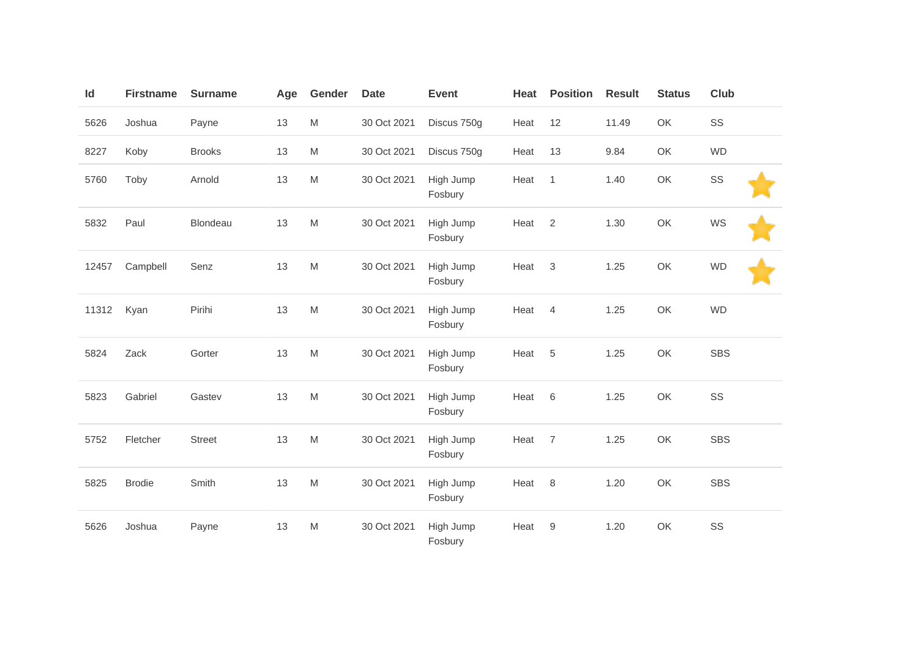| Id    | <b>Firstname</b> | <b>Surname</b> | Age | Gender                                                                                                     | <b>Date</b> | <b>Event</b>         | Heat | <b>Position</b>  | <b>Result</b> | <b>Status</b> | Club       |
|-------|------------------|----------------|-----|------------------------------------------------------------------------------------------------------------|-------------|----------------------|------|------------------|---------------|---------------|------------|
| 5626  | Joshua           | Payne          | 13  | M                                                                                                          | 30 Oct 2021 | Discus 750g          | Heat | 12               | 11.49         | OK            | SS         |
| 8227  | Koby             | <b>Brooks</b>  | 13  | ${\sf M}$                                                                                                  | 30 Oct 2021 | Discus 750g          | Heat | 13               | 9.84          | OK            | <b>WD</b>  |
| 5760  | Toby             | Arnold         | 13  | M                                                                                                          | 30 Oct 2021 | High Jump<br>Fosbury | Heat | $\mathbf{1}$     | 1.40          | OK            | SS         |
| 5832  | Paul             | Blondeau       | 13  | M                                                                                                          | 30 Oct 2021 | High Jump<br>Fosbury | Heat | 2                | 1.30          | OK            | WS         |
| 12457 | Campbell         | Senz           | 13  | M                                                                                                          | 30 Oct 2021 | High Jump<br>Fosbury | Heat | 3                | 1.25          | OK            | <b>WD</b>  |
| 11312 | Kyan             | Pirihi         | 13  | M                                                                                                          | 30 Oct 2021 | High Jump<br>Fosbury | Heat | $\overline{4}$   | 1.25          | OK            | <b>WD</b>  |
| 5824  | Zack             | Gorter         | 13  | M                                                                                                          | 30 Oct 2021 | High Jump<br>Fosbury | Heat | 5                | 1.25          | OK            | <b>SBS</b> |
| 5823  | Gabriel          | Gastev         | 13  | M                                                                                                          | 30 Oct 2021 | High Jump<br>Fosbury | Heat | $6\,$            | 1.25          | OK            | SS         |
| 5752  | Fletcher         | Street         | 13  | $\mathsf{M}% _{T}=\mathsf{M}_{T}\!\left( a,b\right) ,\ \mathsf{M}_{T}=\mathsf{M}_{T}\!\left( a,b\right) ,$ | 30 Oct 2021 | High Jump<br>Fosbury | Heat | $\overline{7}$   | 1.25          | OK            | <b>SBS</b> |
| 5825  | <b>Brodie</b>    | Smith          | 13  | M                                                                                                          | 30 Oct 2021 | High Jump<br>Fosbury | Heat | $\,8\,$          | 1.20          | OK            | <b>SBS</b> |
| 5626  | Joshua           | Payne          | 13  | $\mathsf{M}% _{T}=\mathsf{M}_{T}\!\left( a,b\right) ,\ \mathsf{M}_{T}=\mathsf{M}_{T}\!\left( a,b\right) ,$ | 30 Oct 2021 | High Jump<br>Fosbury | Heat | $\boldsymbol{9}$ | 1.20          | OK            | SS         |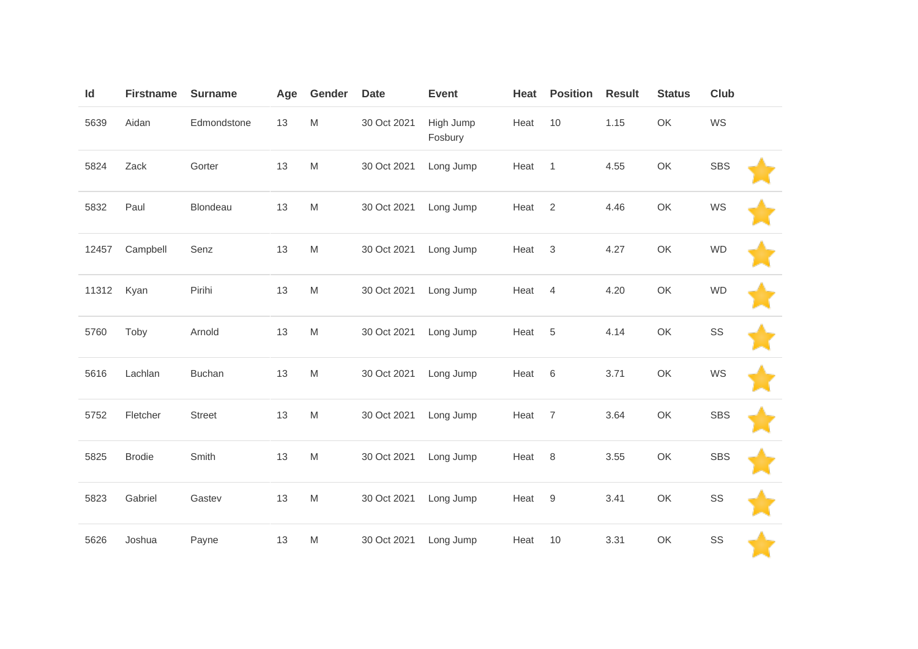| Id    | <b>Firstname</b> | <b>Surname</b> | Age | Gender                                                                                                     | <b>Date</b> | <b>Event</b>         | Heat | <b>Position</b>           | <b>Result</b> | <b>Status</b> | <b>Club</b> |  |
|-------|------------------|----------------|-----|------------------------------------------------------------------------------------------------------------|-------------|----------------------|------|---------------------------|---------------|---------------|-------------|--|
| 5639  | Aidan            | Edmondstone    | 13  | $\mathsf{M}% _{T}=\mathsf{M}_{T}\!\left( a,b\right) ,\ \mathsf{M}_{T}=\mathsf{M}_{T}\!\left( a,b\right) ,$ | 30 Oct 2021 | High Jump<br>Fosbury | Heat | 10                        | 1.15          | OK            | WS          |  |
| 5824  | Zack             | Gorter         | 13  | $\mathsf{M}% _{T}=\mathsf{M}_{T}\!\left( a,b\right) ,\ \mathsf{M}_{T}=\mathsf{M}_{T}\!\left( a,b\right) ,$ | 30 Oct 2021 | Long Jump            | Heat | $\mathbf{1}$              | 4.55          | OK            | <b>SBS</b>  |  |
| 5832  | Paul             | Blondeau       | 13  | $\mathsf{M}% _{T}=\mathsf{M}_{T}\!\left( a,b\right) ,\ \mathsf{M}_{T}=\mathsf{M}_{T}\!\left( a,b\right) ,$ | 30 Oct 2021 | Long Jump            | Heat | 2                         | 4.46          | OK            | WS          |  |
| 12457 | Campbell         | Senz           | 13  | $\mathsf{M}% _{T}=\mathsf{M}_{T}\!\left( a,b\right) ,\ \mathsf{M}_{T}=\mathsf{M}_{T}\!\left( a,b\right) ,$ | 30 Oct 2021 | Long Jump            | Heat | $\ensuremath{\mathsf{3}}$ | 4.27          | OK            | <b>WD</b>   |  |
| 11312 | Kyan             | Pirihi         | 13  | $\mathsf{M}% _{T}=\mathsf{M}_{T}\!\left( a,b\right) ,\ \mathsf{M}_{T}=\mathsf{M}_{T}\!\left( a,b\right) ,$ | 30 Oct 2021 | Long Jump            | Heat | $\overline{4}$            | 4.20          | OK            | <b>WD</b>   |  |
| 5760  | Toby             | Arnold         | 13  | $\mathsf{M}% _{T}=\mathsf{M}_{T}\!\left( a,b\right) ,\ \mathsf{M}_{T}=\mathsf{M}_{T}\!\left( a,b\right) ,$ | 30 Oct 2021 | Long Jump            | Heat | 5                         | 4.14          | OK            | SS          |  |
| 5616  | Lachlan          | <b>Buchan</b>  | 13  | $\mathsf{M}% _{T}=\mathsf{M}_{T}\!\left( a,b\right) ,\ \mathsf{M}_{T}=\mathsf{M}_{T}\!\left( a,b\right) ,$ | 30 Oct 2021 | Long Jump            | Heat | 6                         | 3.71          | OK            | WS          |  |
| 5752  | Fletcher         | <b>Street</b>  | 13  | $\mathsf{M}% _{T}=\mathsf{M}_{T}\!\left( a,b\right) ,\ \mathsf{M}_{T}=\mathsf{M}_{T}\!\left( a,b\right) ,$ | 30 Oct 2021 | Long Jump            | Heat | $\overline{7}$            | 3.64          | OK            | <b>SBS</b>  |  |
| 5825  | <b>Brodie</b>    | Smith          | 13  | $\mathsf{M}% _{T}=\mathsf{M}_{T}\!\left( a,b\right) ,\ \mathsf{M}_{T}=\mathsf{M}_{T}\!\left( a,b\right) ,$ | 30 Oct 2021 | Long Jump            | Heat | $\,8\,$                   | 3.55          | OK            | <b>SBS</b>  |  |
| 5823  | Gabriel          | Gastev         | 13  | $\mathsf{M}% _{T}=\mathsf{M}_{T}\!\left( a,b\right) ,\ \mathsf{M}_{T}=\mathsf{M}_{T}\!\left( a,b\right) ,$ | 30 Oct 2021 | Long Jump            | Heat | 9                         | 3.41          | OK            | SS          |  |
| 5626  | Joshua           | Payne          | 13  | M                                                                                                          | 30 Oct 2021 | Long Jump            | Heat | 10                        | 3.31          | OK            | SS          |  |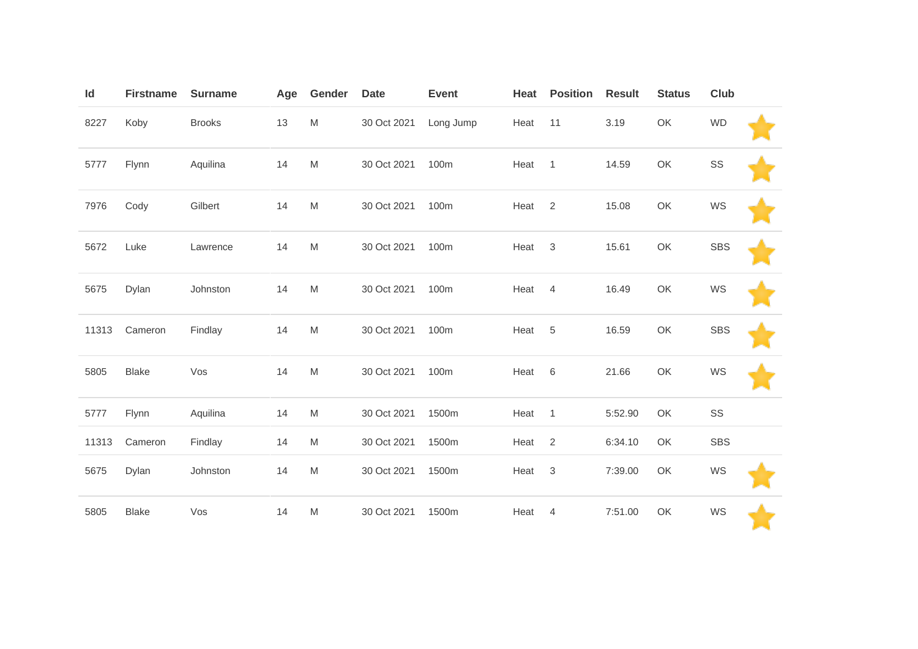| Id    | <b>Firstname</b> | <b>Surname</b> | Age | Gender                                                                                                     | <b>Date</b> | <b>Event</b> | Heat | <b>Position</b>           | <b>Result</b> | <b>Status</b> | Club       |  |
|-------|------------------|----------------|-----|------------------------------------------------------------------------------------------------------------|-------------|--------------|------|---------------------------|---------------|---------------|------------|--|
| 8227  | Koby             | <b>Brooks</b>  | 13  | ${\sf M}$                                                                                                  | 30 Oct 2021 | Long Jump    | Heat | 11                        | 3.19          | OK            | <b>WD</b>  |  |
| 5777  | Flynn            | Aquilina       | 14  | M                                                                                                          | 30 Oct 2021 | 100m         | Heat | $\overline{1}$            | 14.59         | OK            | SS         |  |
| 7976  | Cody             | Gilbert        | 14  | $\mathsf{M}% _{T}=\mathsf{M}_{T}\!\left( a,b\right) ,\ \mathsf{M}_{T}=\mathsf{M}_{T}\!\left( a,b\right) ,$ | 30 Oct 2021 | 100m         | Heat | $\overline{2}$            | 15.08         | OK            | WS         |  |
| 5672  | Luke             | Lawrence       | 14  | $\mathsf{M}% _{T}=\mathsf{M}_{T}\!\left( a,b\right) ,\ \mathsf{M}_{T}=\mathsf{M}_{T}\!\left( a,b\right) ,$ | 30 Oct 2021 | 100m         | Heat | $\mathbf{3}$              | 15.61         | OK            | <b>SBS</b> |  |
| 5675  | Dylan            | Johnston       | 14  | ${\sf M}$                                                                                                  | 30 Oct 2021 | 100m         | Heat | $\overline{4}$            | 16.49         | OK            | WS         |  |
| 11313 | Cameron          | Findlay        | 14  | $\mathsf{M}% _{T}=\mathsf{M}_{T}\!\left( a,b\right) ,\ \mathsf{M}_{T}=\mathsf{M}_{T}\!\left( a,b\right) ,$ | 30 Oct 2021 | 100m         | Heat | 5                         | 16.59         | OK            | <b>SBS</b> |  |
| 5805  | <b>Blake</b>     | Vos            | 14  | ${\sf M}$                                                                                                  | 30 Oct 2021 | 100m         | Heat | 6                         | 21.66         | OK            | WS         |  |
| 5777  | Flynn            | Aquilina       | 14  | $\mathsf{M}% _{T}=\mathsf{M}_{T}\!\left( a,b\right) ,\ \mathsf{M}_{T}=\mathsf{M}_{T}\!\left( a,b\right) ,$ | 30 Oct 2021 | 1500m        | Heat | $\mathbf{1}$              | 5:52.90       | OK            | SS         |  |
| 11313 | Cameron          | Findlay        | 14  | M                                                                                                          | 30 Oct 2021 | 1500m        | Heat | $\overline{2}$            | 6:34.10       | OK            | <b>SBS</b> |  |
| 5675  | Dylan            | Johnston       | 14  | $\mathsf{M}% _{T}=\mathsf{M}_{T}\!\left( a,b\right) ,\ \mathsf{M}_{T}=\mathsf{M}_{T}\!\left( a,b\right) ,$ | 30 Oct 2021 | 1500m        | Heat | $\ensuremath{\mathsf{3}}$ | 7:39.00       | OK            | WS         |  |
| 5805  | <b>Blake</b>     | Vos            | 14  | M                                                                                                          | 30 Oct 2021 | 1500m        | Heat | $\overline{4}$            | 7:51.00       | OK            | WS         |  |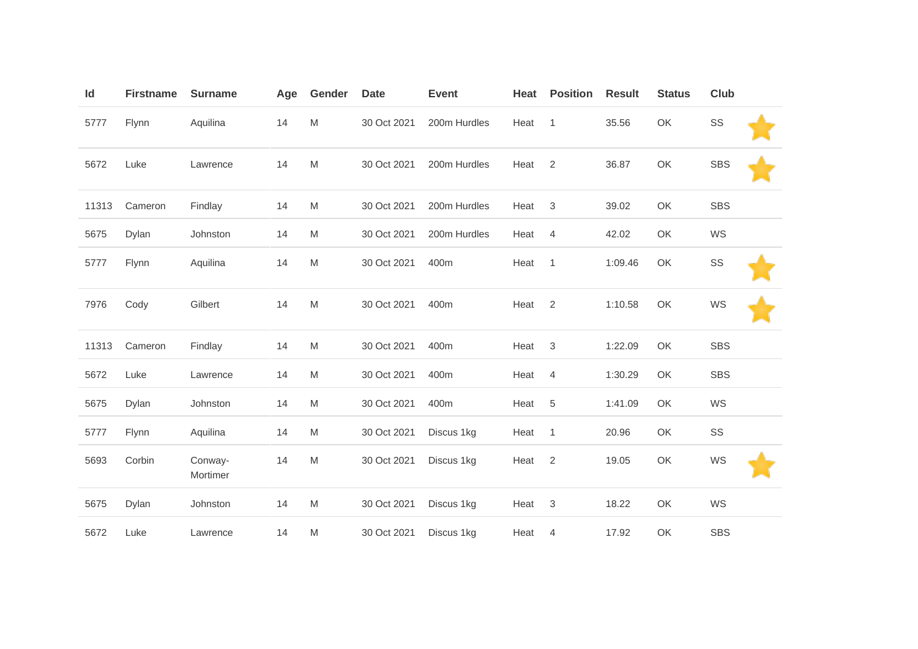| Id    | <b>Firstname</b> | <b>Surname</b>      | Age | Gender                                                                                                     | <b>Date</b> | <b>Event</b> | Heat | <b>Position</b> | <b>Result</b> | <b>Status</b> | <b>Club</b> |  |
|-------|------------------|---------------------|-----|------------------------------------------------------------------------------------------------------------|-------------|--------------|------|-----------------|---------------|---------------|-------------|--|
| 5777  | Flynn            | Aquilina            | 14  | M                                                                                                          | 30 Oct 2021 | 200m Hurdles | Heat | $\mathbf{1}$    | 35.56         | OK            | SS          |  |
| 5672  | Luke             | Lawrence            | 14  | $\mathsf{M}% _{T}=\mathsf{M}_{T}\!\left( a,b\right) ,\ \mathsf{M}_{T}=\mathsf{M}_{T}\!\left( a,b\right) ,$ | 30 Oct 2021 | 200m Hurdles | Heat | $\sqrt{2}$      | 36.87         | OK            | <b>SBS</b>  |  |
| 11313 | Cameron          | Findlay             | 14  | M                                                                                                          | 30 Oct 2021 | 200m Hurdles | Heat | $\mathbf{3}$    | 39.02         | OK            | <b>SBS</b>  |  |
| 5675  | Dylan            | Johnston            | 14  | M                                                                                                          | 30 Oct 2021 | 200m Hurdles | Heat | $\overline{4}$  | 42.02         | OK            | WS          |  |
| 5777  | Flynn            | Aquilina            | 14  | $\mathsf{M}% _{T}=\mathsf{M}_{T}\!\left( a,b\right) ,\ \mathsf{M}_{T}=\mathsf{M}_{T}\!\left( a,b\right) ,$ | 30 Oct 2021 | 400m         | Heat | $\mathbf{1}$    | 1:09.46       | OK            | SS          |  |
| 7976  | Cody             | Gilbert             | 14  | M                                                                                                          | 30 Oct 2021 | 400m         | Heat | $\mathbf{2}$    | 1:10.58       | OK            | WS          |  |
| 11313 | Cameron          | Findlay             | 14  | $\mathsf{M}% _{T}=\mathsf{M}_{T}\!\left( a,b\right) ,\ \mathsf{M}_{T}=\mathsf{M}_{T}\!\left( a,b\right) ,$ | 30 Oct 2021 | 400m         | Heat | $\mathbf{3}$    | 1:22.09       | OK            | <b>SBS</b>  |  |
| 5672  | Luke             | Lawrence            | 14  | M                                                                                                          | 30 Oct 2021 | 400m         | Heat | 4               | 1:30.29       | OK            | <b>SBS</b>  |  |
| 5675  | Dylan            | Johnston            | 14  | M                                                                                                          | 30 Oct 2021 | 400m         | Heat | $\overline{5}$  | 1:41.09       | OK            | WS          |  |
| 5777  | Flynn            | Aquilina            | 14  | M                                                                                                          | 30 Oct 2021 | Discus 1kg   | Heat | $\mathbf{1}$    | 20.96         | OK            | SS          |  |
| 5693  | Corbin           | Conway-<br>Mortimer | 14  | M                                                                                                          | 30 Oct 2021 | Discus 1kg   | Heat | 2               | 19.05         | OK            | WS          |  |
| 5675  | Dylan            | Johnston            | 14  | $\mathsf{M}% _{T}=\mathsf{M}_{T}\!\left( a,b\right) ,\ \mathsf{M}_{T}=\mathsf{M}_{T}\!\left( a,b\right) ,$ | 30 Oct 2021 | Discus 1kg   | Heat | $\mathbf{3}$    | 18.22         | OK            | WS          |  |
| 5672  | Luke             | Lawrence            | 14  | M                                                                                                          | 30 Oct 2021 | Discus 1kg   | Heat | 4               | 17.92         | OK            | <b>SBS</b>  |  |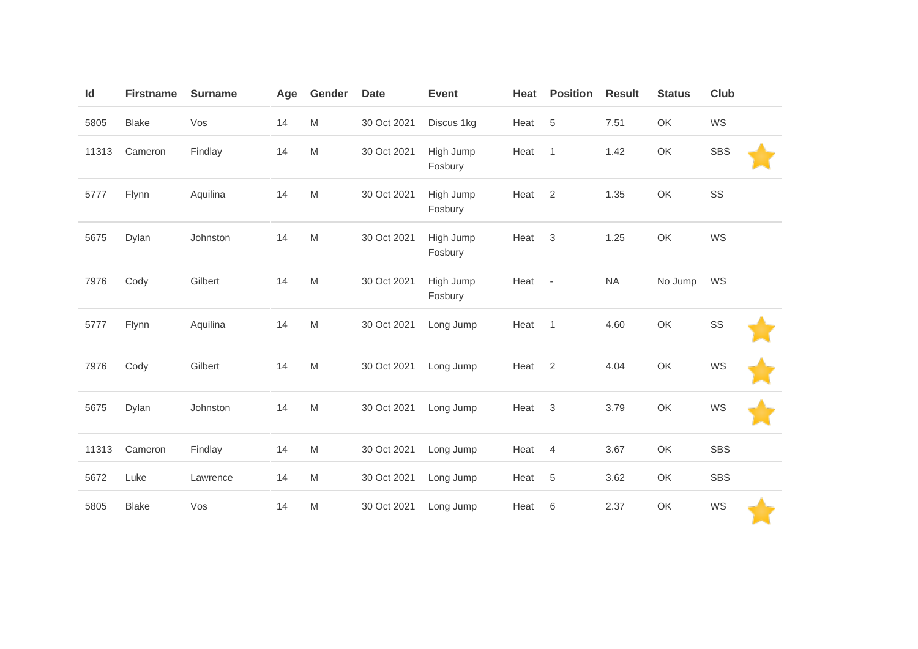| $\mathsf{Id}$ | <b>Firstname</b> | <b>Surname</b> | Age | Gender                                                                                                     | <b>Date</b> | <b>Event</b>         | Heat | <b>Position</b>          | <b>Result</b> | <b>Status</b> | Club       |
|---------------|------------------|----------------|-----|------------------------------------------------------------------------------------------------------------|-------------|----------------------|------|--------------------------|---------------|---------------|------------|
| 5805          | <b>Blake</b>     | Vos            | 14  | $\mathsf{M}% _{T}=\mathsf{M}_{T}\!\left( a,b\right) ,\ \mathsf{M}_{T}=\mathsf{M}_{T}\!\left( a,b\right) ,$ | 30 Oct 2021 | Discus 1kg           | Heat | $\sqrt{5}$               | 7.51          | OK            | WS         |
| 11313         | Cameron          | Findlay        | 14  | $\mathsf{M}% _{T}=\mathsf{M}_{T}\!\left( a,b\right) ,\ \mathsf{M}_{T}=\mathsf{M}_{T}\!\left( a,b\right) ,$ | 30 Oct 2021 | High Jump<br>Fosbury | Heat | $\mathbf{1}$             | 1.42          | OK            | <b>SBS</b> |
| 5777          | Flynn            | Aquilina       | 14  | $\mathsf{M}% _{T}=\mathsf{M}_{T}\!\left( a,b\right) ,\ \mathsf{M}_{T}=\mathsf{M}_{T}\!\left( a,b\right) ,$ | 30 Oct 2021 | High Jump<br>Fosbury | Heat | $\overline{2}$           | 1.35          | OK            | SS         |
| 5675          | Dylan            | Johnston       | 14  | $\mathsf{M}% _{T}=\mathsf{M}_{T}\!\left( a,b\right) ,\ \mathsf{M}_{T}=\mathsf{M}_{T}\!\left( a,b\right) ,$ | 30 Oct 2021 | High Jump<br>Fosbury | Heat | $\mathbf{3}$             | 1.25          | OK            | WS         |
| 7976          | Cody             | Gilbert        | 14  | $\mathsf{M}% _{T}=\mathsf{M}_{T}\!\left( a,b\right) ,\ \mathsf{M}_{T}=\mathsf{M}_{T}\!\left( a,b\right) ,$ | 30 Oct 2021 | High Jump<br>Fosbury | Heat | $\overline{\phantom{a}}$ | <b>NA</b>     | No Jump       | WS         |
| 5777          | Flynn            | Aquilina       | 14  | $\mathsf{M}% _{T}=\mathsf{M}_{T}\!\left( a,b\right) ,\ \mathsf{M}_{T}=\mathsf{M}_{T}\!\left( a,b\right) ,$ | 30 Oct 2021 | Long Jump            | Heat | $\mathbf{1}$             | 4.60          | OK            | SS         |
| 7976          | Cody             | Gilbert        | 14  | $\mathsf{M}% _{T}=\mathsf{M}_{T}\!\left( a,b\right) ,\ \mathsf{M}_{T}=\mathsf{M}_{T}\!\left( a,b\right) ,$ | 30 Oct 2021 | Long Jump            | Heat | $\mathbf{2}$             | 4.04          | OK            | WS         |
| 5675          | Dylan            | Johnston       | 14  | $\mathsf{M}% _{T}=\mathsf{M}_{T}\!\left( a,b\right) ,\ \mathsf{M}_{T}=\mathsf{M}_{T}\!\left( a,b\right) ,$ | 30 Oct 2021 | Long Jump            | Heat | $\mathbf{3}$             | 3.79          | OK            | WS         |
| 11313         | Cameron          | Findlay        | 14  | $\mathsf{M}% _{T}=\mathsf{M}_{T}\!\left( a,b\right) ,\ \mathsf{M}_{T}=\mathsf{M}_{T}\!\left( a,b\right) ,$ | 30 Oct 2021 | Long Jump            | Heat | $\overline{4}$           | 3.67          | OK            | <b>SBS</b> |
| 5672          | Luke             | Lawrence       | 14  | $\mathsf{M}% _{T}=\mathsf{M}_{T}\!\left( a,b\right) ,\ \mathsf{M}_{T}=\mathsf{M}_{T}\!\left( a,b\right) ,$ | 30 Oct 2021 | Long Jump            | Heat | 5                        | 3.62          | OK            | <b>SBS</b> |
| 5805          | <b>Blake</b>     | Vos            | 14  | M                                                                                                          | 30 Oct 2021 | Long Jump            | Heat | 6                        | 2.37          | OK            | WS         |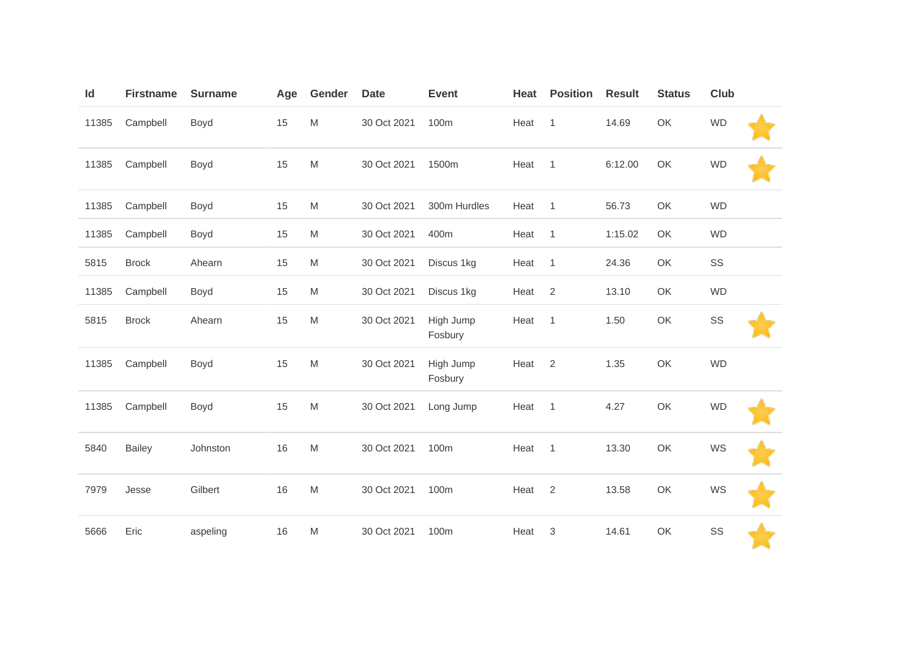| Id    | <b>Firstname</b> | <b>Surname</b> | Age | Gender                                                                                                     | <b>Date</b> | <b>Event</b>         | Heat | <b>Position</b> | <b>Result</b> | <b>Status</b> | Club      |  |
|-------|------------------|----------------|-----|------------------------------------------------------------------------------------------------------------|-------------|----------------------|------|-----------------|---------------|---------------|-----------|--|
| 11385 | Campbell         | Boyd           | 15  | $\mathsf{M}% _{T}=\mathsf{M}_{T}\!\left( a,b\right) ,\ \mathsf{M}_{T}=\mathsf{M}_{T}\!\left( a,b\right) ,$ | 30 Oct 2021 | 100m                 | Heat | $\mathbf{1}$    | 14.69         | OK            | <b>WD</b> |  |
| 11385 | Campbell         | Boyd           | 15  | $\mathsf{M}% _{T}=\mathsf{M}_{T}\!\left( a,b\right) ,\ \mathsf{M}_{T}=\mathsf{M}_{T}\!\left( a,b\right) ,$ | 30 Oct 2021 | 1500m                | Heat | $\overline{1}$  | 6:12.00       | OK            | <b>WD</b> |  |
| 11385 | Campbell         | Boyd           | 15  | $\mathsf{M}% _{T}=\mathsf{M}_{T}\!\left( a,b\right) ,\ \mathsf{M}_{T}=\mathsf{M}_{T}\!\left( a,b\right) ,$ | 30 Oct 2021 | 300m Hurdles         | Heat | $\mathbf{1}$    | 56.73         | OK            | <b>WD</b> |  |
| 11385 | Campbell         | Boyd           | 15  | $\mathsf{M}% _{T}=\mathsf{M}_{T}\!\left( a,b\right) ,\ \mathsf{M}_{T}=\mathsf{M}_{T}\!\left( a,b\right) ,$ | 30 Oct 2021 | 400m                 | Heat | $\mathbf{1}$    | 1:15.02       | OK            | <b>WD</b> |  |
| 5815  | <b>Brock</b>     | Ahearn         | 15  | $\mathsf{M}% _{T}=\mathsf{M}_{T}\!\left( a,b\right) ,\ \mathsf{M}_{T}=\mathsf{M}_{T}\!\left( a,b\right) ,$ | 30 Oct 2021 | Discus 1kg           | Heat | 1               | 24.36         | OK            | SS        |  |
| 11385 | Campbell         | Boyd           | 15  | M                                                                                                          | 30 Oct 2021 | Discus 1kg           | Heat | $\overline{2}$  | 13.10         | OK            | <b>WD</b> |  |
| 5815  | <b>Brock</b>     | Ahearn         | 15  | $\mathsf{M}% _{T}=\mathsf{M}_{T}\!\left( a,b\right) ,\ \mathsf{M}_{T}=\mathsf{M}_{T}\!\left( a,b\right) ,$ | 30 Oct 2021 | High Jump<br>Fosbury | Heat | $\mathbf{1}$    | 1.50          | OK            | SS        |  |
| 11385 | Campbell         | Boyd           | 15  | $\mathsf{M}% _{T}=\mathsf{M}_{T}\!\left( a,b\right) ,\ \mathsf{M}_{T}=\mathsf{M}_{T}\!\left( a,b\right) ,$ | 30 Oct 2021 | High Jump<br>Fosbury | Heat | $\overline{2}$  | 1.35          | OK            | <b>WD</b> |  |
| 11385 | Campbell         | Boyd           | 15  | $\mathsf{M}% _{T}=\mathsf{M}_{T}\!\left( a,b\right) ,\ \mathsf{M}_{T}=\mathsf{M}_{T}\!\left( a,b\right) ,$ | 30 Oct 2021 | Long Jump            | Heat | $\overline{1}$  | 4.27          | OK            | <b>WD</b> |  |
| 5840  | <b>Bailey</b>    | Johnston       | 16  | $\mathsf{M}% _{T}=\mathsf{M}_{T}\!\left( a,b\right) ,\ \mathsf{M}_{T}=\mathsf{M}_{T}\!\left( a,b\right) ,$ | 30 Oct 2021 | 100m                 | Heat | $\mathbf{1}$    | 13.30         | OK            | WS        |  |
| 7979  | Jesse            | Gilbert        | 16  | $\mathsf{M}% _{T}=\mathsf{M}_{T}\!\left( a,b\right) ,\ \mathsf{M}_{T}=\mathsf{M}_{T}\!\left( a,b\right) ,$ | 30 Oct 2021 | 100m                 | Heat | 2               | 13.58         | OK            | WS        |  |
| 5666  | Eric             | aspeling       | 16  | M                                                                                                          | 30 Oct 2021 | 100m                 | Heat | 3               | 14.61         | OK            | SS        |  |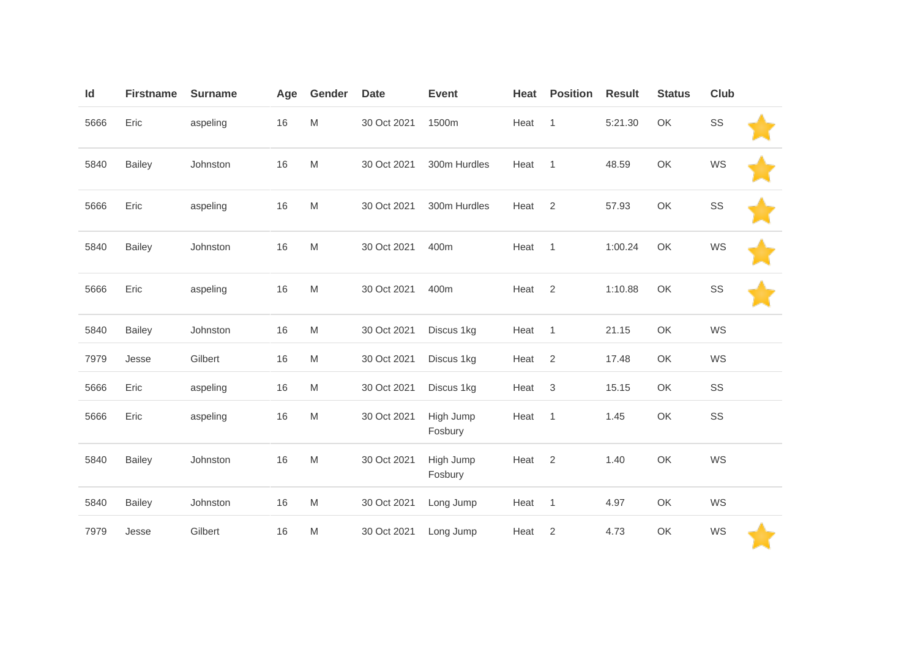| Id   | <b>Firstname</b> | <b>Surname</b> | Age  | Gender                                                                                                     | <b>Date</b> | <b>Event</b>         | Heat | <b>Position</b> | <b>Result</b> | <b>Status</b> | Club |  |
|------|------------------|----------------|------|------------------------------------------------------------------------------------------------------------|-------------|----------------------|------|-----------------|---------------|---------------|------|--|
| 5666 | Eric             | aspeling       | 16   | $\mathsf{M}% _{T}=\mathsf{M}_{T}\!\left( a,b\right) ,\ \mathsf{M}_{T}=\mathsf{M}_{T}\!\left( a,b\right) ,$ | 30 Oct 2021 | 1500m                | Heat | $\mathbf{1}$    | 5:21.30       | OK            | SS   |  |
| 5840 | <b>Bailey</b>    | Johnston       | 16   | $\mathsf{M}% _{T}=\mathsf{M}_{T}\!\left( a,b\right) ,\ \mathsf{M}_{T}=\mathsf{M}_{T}\!\left( a,b\right) ,$ | 30 Oct 2021 | 300m Hurdles         | Heat | $\mathbf{1}$    | 48.59         | OK            | WS   |  |
| 5666 | Eric             | aspeling       | 16   | $\mathsf{M}% _{T}=\mathsf{M}_{T}\!\left( a,b\right) ,\ \mathsf{M}_{T}=\mathsf{M}_{T}\!\left( a,b\right) ,$ | 30 Oct 2021 | 300m Hurdles         | Heat | $\overline{2}$  | 57.93         | OK            | SS   |  |
| 5840 | <b>Bailey</b>    | Johnston       | $16$ | $\mathsf{M}% _{T}=\mathsf{M}_{T}\!\left( a,b\right) ,\ \mathsf{M}_{T}=\mathsf{M}_{T}\!\left( a,b\right) ,$ | 30 Oct 2021 | 400m                 | Heat | 1               | 1:00.24       | OK            | WS   |  |
| 5666 | Eric             | aspeling       | 16   | $\mathsf{M}% _{T}=\mathsf{M}_{T}\!\left( a,b\right) ,\ \mathsf{M}_{T}=\mathsf{M}_{T}\!\left( a,b\right) ,$ | 30 Oct 2021 | 400m                 | Heat | 2               | 1:10.88       | OK            | SS   |  |
| 5840 | <b>Bailey</b>    | Johnston       | 16   | $\mathsf{M}% _{T}=\mathsf{M}_{T}\!\left( a,b\right) ,\ \mathsf{M}_{T}=\mathsf{M}_{T}\!\left( a,b\right) ,$ | 30 Oct 2021 | Discus 1kg           | Heat | $\mathbf{1}$    | 21.15         | OK            | WS   |  |
| 7979 | Jesse            | Gilbert        | 16   | M                                                                                                          | 30 Oct 2021 | Discus 1kg           | Heat | 2               | 17.48         | OK            | WS   |  |
| 5666 | Eric             | aspeling       | 16   | $\mathsf{M}% _{T}=\mathsf{M}_{T}\!\left( a,b\right) ,\ \mathsf{M}_{T}=\mathsf{M}_{T}\!\left( a,b\right) ,$ | 30 Oct 2021 | Discus 1kg           | Heat | $\mathfrak{Z}$  | 15.15         | OK            | SS   |  |
| 5666 | Eric             | aspeling       | 16   | M                                                                                                          | 30 Oct 2021 | High Jump<br>Fosbury | Heat | 1               | 1.45          | OK            | SS   |  |
| 5840 | <b>Bailey</b>    | Johnston       | 16   | $\mathsf{M}% _{T}=\mathsf{M}_{T}\!\left( a,b\right) ,\ \mathsf{M}_{T}=\mathsf{M}_{T}\!\left( a,b\right) ,$ | 30 Oct 2021 | High Jump<br>Fosbury | Heat | 2               | 1.40          | OK            | WS   |  |
| 5840 | <b>Bailey</b>    | Johnston       | 16   | $\mathsf{M}% _{T}=\mathsf{M}_{T}\!\left( a,b\right) ,\ \mathsf{M}_{T}=\mathsf{M}_{T}\!\left( a,b\right) ,$ | 30 Oct 2021 | Long Jump            | Heat | 1               | 4.97          | OK            | WS   |  |
| 7979 | Jesse            | Gilbert        | 16   | $\mathsf{M}% _{T}=\mathsf{M}_{T}\!\left( a,b\right) ,\ \mathsf{M}_{T}=\mathsf{M}_{T}\!\left( a,b\right) ,$ | 30 Oct 2021 | Long Jump            | Heat | $\overline{2}$  | 4.73          | OK            | WS   |  |